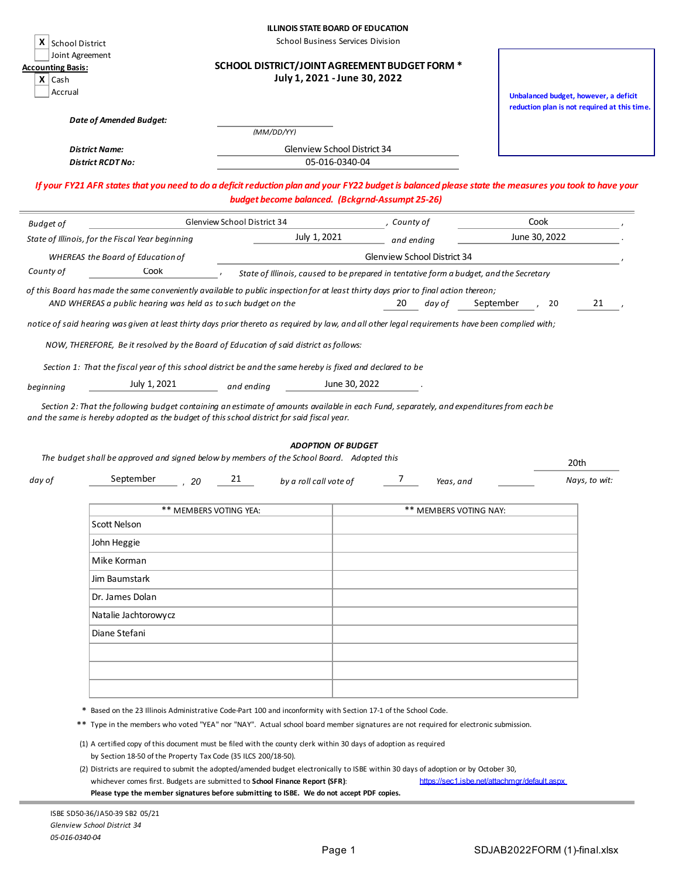|                                                                                                                                                                                                                                                                                                                                      |                                                                                                                                     |                             | <b>ILLINOIS STATE BOARD OF EDUCATION</b>                                               |                           |             |                             |           |                                                                                       |               |  |
|--------------------------------------------------------------------------------------------------------------------------------------------------------------------------------------------------------------------------------------------------------------------------------------------------------------------------------------|-------------------------------------------------------------------------------------------------------------------------------------|-----------------------------|----------------------------------------------------------------------------------------|---------------------------|-------------|-----------------------------|-----------|---------------------------------------------------------------------------------------|---------------|--|
| <b>School District</b>                                                                                                                                                                                                                                                                                                               |                                                                                                                                     |                             | School Business Services Division                                                      |                           |             |                             |           |                                                                                       |               |  |
| Joint Agreement<br><b>Accounting Basis:</b><br>$X$   Cash<br>Accrual                                                                                                                                                                                                                                                                 |                                                                                                                                     |                             | SCHOOL DISTRICT/JOINT AGREEMENT BUDGET FORM *<br>July 1, 2021 - June 30, 2022          |                           |             |                             |           |                                                                                       |               |  |
|                                                                                                                                                                                                                                                                                                                                      |                                                                                                                                     |                             |                                                                                        |                           |             |                             |           | Unbalanced budget, however, a deficit<br>reduction plan is not required at this time. |               |  |
| <b>Date of Amended Budget:</b>                                                                                                                                                                                                                                                                                                       |                                                                                                                                     |                             |                                                                                        |                           |             |                             |           |                                                                                       |               |  |
|                                                                                                                                                                                                                                                                                                                                      |                                                                                                                                     |                             | (MM/DD/YY)                                                                             |                           |             |                             |           |                                                                                       |               |  |
| District Name:<br><b>District RCDT No:</b>                                                                                                                                                                                                                                                                                           |                                                                                                                                     |                             | Glenview School District 34                                                            | 05-016-0340-04            |             |                             |           |                                                                                       |               |  |
| If your FY21 AFR states that you need to do a deficit reduction plan and your FY22 budget is balanced please state the measures you took to have your                                                                                                                                                                                |                                                                                                                                     |                             |                                                                                        |                           |             |                             |           |                                                                                       |               |  |
|                                                                                                                                                                                                                                                                                                                                      |                                                                                                                                     |                             | budget become balanced. (Bckgrnd-Assumpt 25-26)                                        |                           |             |                             |           |                                                                                       |               |  |
| <b>Budget of</b>                                                                                                                                                                                                                                                                                                                     |                                                                                                                                     | Glenview School District 34 |                                                                                        |                           | , County of |                             |           | Cook                                                                                  |               |  |
| State of Illinois, for the Fiscal Year beginning                                                                                                                                                                                                                                                                                     |                                                                                                                                     |                             | July 1, 2021                                                                           |                           | and ending  |                             |           | June 30, 2022                                                                         |               |  |
| <b>WHEREAS the Board of Education of</b>                                                                                                                                                                                                                                                                                             | Cook                                                                                                                                |                             |                                                                                        |                           |             | Glenview School District 34 |           |                                                                                       |               |  |
| County of                                                                                                                                                                                                                                                                                                                            |                                                                                                                                     |                             | State of Illinois, caused to be prepared in tentative form a budget, and the Secretary |                           |             |                             |           |                                                                                       |               |  |
| of this Board has made the same conveniently available to public inspection for at least thirty days prior to final action thereon;                                                                                                                                                                                                  | AND WHEREAS a public hearing was held as to such budget on the                                                                      |                             |                                                                                        |                           | 20          | day of                      | September | 20                                                                                    | 21            |  |
| notice of said hearing was given at least thirty days prior thereto as required by law, and all other legal requirements have been complied with;                                                                                                                                                                                    |                                                                                                                                     |                             |                                                                                        |                           |             |                             |           |                                                                                       |               |  |
|                                                                                                                                                                                                                                                                                                                                      |                                                                                                                                     |                             |                                                                                        |                           |             |                             |           |                                                                                       |               |  |
| NOW, THEREFORE, Be it resolved by the Board of Education of said district as follows:                                                                                                                                                                                                                                                |                                                                                                                                     |                             |                                                                                        |                           |             |                             |           |                                                                                       |               |  |
| Section 1: That the fiscal year of this school district be and the same hereby is fixed and declared to be                                                                                                                                                                                                                           |                                                                                                                                     |                             |                                                                                        |                           |             |                             |           |                                                                                       |               |  |
| beginning                                                                                                                                                                                                                                                                                                                            | July 1, 2021                                                                                                                        | and ending                  |                                                                                        | June 30, 2022             |             |                             |           |                                                                                       |               |  |
| Section 2: That the following budget containing an estimate of amounts available in each Fund, separately, and expenditures from each be<br>and the same is hereby adopted as the budget of this school district for said fiscal year.<br>The budget shall be approved and signed below by members of the School Board. Adopted this |                                                                                                                                     |                             |                                                                                        | <b>ADOPTION OF BUDGET</b> |             |                             |           |                                                                                       |               |  |
|                                                                                                                                                                                                                                                                                                                                      |                                                                                                                                     |                             |                                                                                        |                           |             |                             |           |                                                                                       | 20th          |  |
| day of                                                                                                                                                                                                                                                                                                                               | September<br>20                                                                                                                     | 21                          | by a roll call vote of                                                                 |                           | 7           | Yeas, and                   |           |                                                                                       | Nays, to wit: |  |
|                                                                                                                                                                                                                                                                                                                                      |                                                                                                                                     | ** MEMBERS VOTING YEA:      |                                                                                        |                           |             | ** MEMBERS VOTING NAY:      |           |                                                                                       |               |  |
| Scott Nelson                                                                                                                                                                                                                                                                                                                         |                                                                                                                                     |                             |                                                                                        |                           |             |                             |           |                                                                                       |               |  |
| John Heggie                                                                                                                                                                                                                                                                                                                          |                                                                                                                                     |                             |                                                                                        |                           |             |                             |           |                                                                                       |               |  |
| Mike Korman                                                                                                                                                                                                                                                                                                                          |                                                                                                                                     |                             |                                                                                        |                           |             |                             |           |                                                                                       |               |  |
| Jim Baumstark                                                                                                                                                                                                                                                                                                                        |                                                                                                                                     |                             |                                                                                        |                           |             |                             |           |                                                                                       |               |  |
| Dr. James Dolan                                                                                                                                                                                                                                                                                                                      |                                                                                                                                     |                             |                                                                                        |                           |             |                             |           |                                                                                       |               |  |
|                                                                                                                                                                                                                                                                                                                                      | Natalie Jachtorowycz                                                                                                                |                             |                                                                                        |                           |             |                             |           |                                                                                       |               |  |
| Diane Stefani                                                                                                                                                                                                                                                                                                                        |                                                                                                                                     |                             |                                                                                        |                           |             |                             |           |                                                                                       |               |  |
|                                                                                                                                                                                                                                                                                                                                      |                                                                                                                                     |                             |                                                                                        |                           |             |                             |           |                                                                                       |               |  |
|                                                                                                                                                                                                                                                                                                                                      |                                                                                                                                     |                             |                                                                                        |                           |             |                             |           |                                                                                       |               |  |
|                                                                                                                                                                                                                                                                                                                                      |                                                                                                                                     |                             |                                                                                        |                           |             |                             |           |                                                                                       |               |  |
|                                                                                                                                                                                                                                                                                                                                      |                                                                                                                                     |                             |                                                                                        |                           |             |                             |           |                                                                                       |               |  |
|                                                                                                                                                                                                                                                                                                                                      | * Based on the 23 Illinois Administrative Code-Part 100 and inconformity with Section 17-1 of the School Code.                      |                             |                                                                                        |                           |             |                             |           |                                                                                       |               |  |
|                                                                                                                                                                                                                                                                                                                                      | ** Type in the members who voted "YEA" nor "NAY". Actual school board member signatures are not required for electronic submission. |                             |                                                                                        |                           |             |                             |           |                                                                                       |               |  |
|                                                                                                                                                                                                                                                                                                                                      | (1) A certified copy of this document must be filed with the county clerk within 30 days of adoption as required                    |                             |                                                                                        |                           |             |                             |           |                                                                                       |               |  |
|                                                                                                                                                                                                                                                                                                                                      | by Section 18-50 of the Property Tax Code (35 ILCS 200/18-50).                                                                      |                             |                                                                                        |                           |             |                             |           |                                                                                       |               |  |

(2) Districts are required to submit the adopted/amended budget electronically to ISBE within 30 days of adoption or by October 30, whichever comes first. Budgets are submitted to **School Finance Report (SFR)**: https://sec1.isbe.net/attachmgr/default.aspx **Please type the member signatures before submitting to ISBE. We do not accept PDF copies.**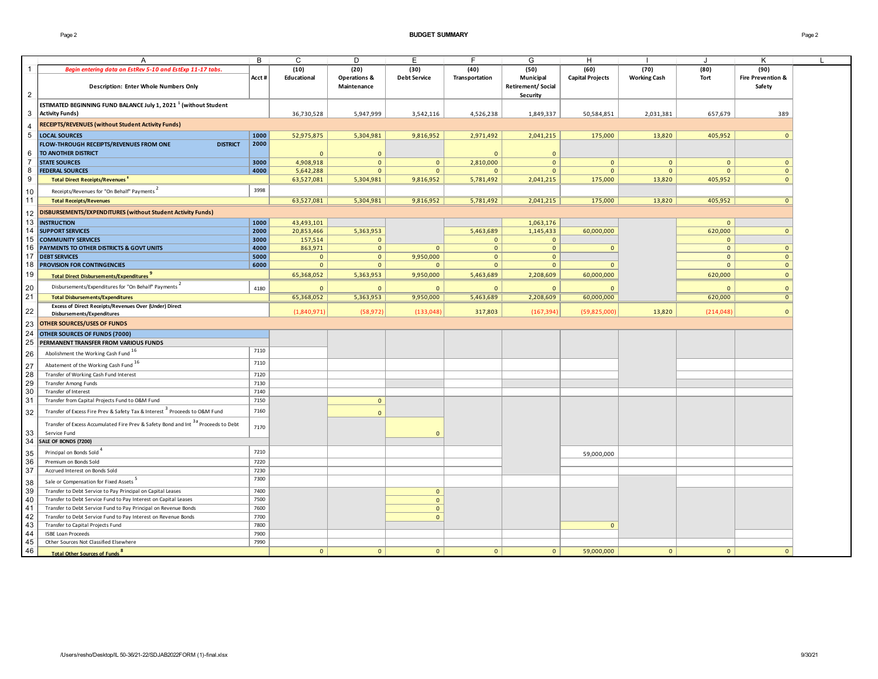### Page 2 **BUDGET SUMMARY** Page 2

|                     |                                                                                               | B     | C              | D                       | E                   | F.             | G                        | H                       |                     | J            | Κ                            |  |
|---------------------|-----------------------------------------------------------------------------------------------|-------|----------------|-------------------------|---------------------|----------------|--------------------------|-------------------------|---------------------|--------------|------------------------------|--|
| 1                   | A                                                                                             |       |                |                         |                     |                |                          |                         |                     |              |                              |  |
|                     | Begin entering data on EstRev 5-10 and EstExp 11-17 tabs.                                     |       | (10)           | (20)                    | (30)                | (40)           | (50)                     | (60)                    | (70)                | (80)         | (90)                         |  |
|                     |                                                                                               | Acct# | Educational    | <b>Operations &amp;</b> | <b>Debt Service</b> | Transportation | Municipal                | <b>Capital Projects</b> | <b>Working Cash</b> | Tort         | <b>Fire Prevention &amp;</b> |  |
|                     | <b>Description: Enter Whole Numbers Only</b>                                                  |       |                | Maintenance             |                     |                | <b>Retirement/Social</b> |                         |                     |              | Safety                       |  |
| $\overline{2}$      |                                                                                               |       |                |                         |                     |                | Security                 |                         |                     |              |                              |  |
|                     | ESTIMATED BEGINNING FUND BALANCE July 1, 2021 <sup>1</sup> (without Student                   |       |                |                         |                     |                |                          |                         |                     |              |                              |  |
| 3                   | <b>Activity Funds)</b>                                                                        |       | 36,730,528     | 5,947,999               | 3,542,116           | 4,526,238      | 1,849,337                | 50,584,851              | 2,031,381           | 657,679      | 389                          |  |
| $\overline{4}$      | RECEIPTS/REVENUES (without Student Activity Funds)                                            |       |                |                         |                     |                |                          |                         |                     |              |                              |  |
| 5                   | <b>LOCAL SOURCES</b>                                                                          | 1000  | 52,975,875     | 5,304,981               | 9,816,952           | 2,971,492      | 2,041,215                | 175,000                 | 13,820              | 405,952      | $\mathbf{0}$                 |  |
|                     | FLOW-THROUGH RECEIPTS/REVENUES FROM ONE<br><b>DISTRICT</b>                                    | 2000  |                |                         |                     |                |                          |                         |                     |              |                              |  |
|                     | TO ANOTHER DISTRICT                                                                           |       |                |                         |                     |                |                          |                         |                     |              |                              |  |
| 6<br>$\overline{7}$ |                                                                                               |       | $\Omega$       | $\mathbf{0}$            |                     | $\Omega$       | $\mathbf{0}$             |                         |                     |              |                              |  |
|                     | <b>STATE SOURCES</b>                                                                          | 3000  | 4,908,918      | $\mathbf{0}$            | $\mathbf{0}$        | 2,810,000      | $\mathbf{0}$             | $\mathbf{0}$            | $\mathbf{0}$        | $\mathbf{0}$ | $\mathbf{0}$                 |  |
| 8                   | <b>FEDERAL SOURCES</b>                                                                        | 4000  | 5,642,288      | $\mathbf{0}$            | $\mathbf{0}$        | $\mathbf{0}$   | $\mathbf{0}$             | $\mathbf{0}$            | $\mathbf{0}$        | $\mathbf{0}$ | $\mathbf{0}$                 |  |
| 9                   | <b>Total Direct Receipts/Revenues</b>                                                         |       | 63,527,081     | 5,304,981               | 9,816,952           | 5,781,492      | 2,041,215                | 175,000                 | 13,820              | 405,952      | $\mathbf{0}$                 |  |
| 10                  | Receipts/Revenues for "On Behalf" Payments                                                    | 3998  |                |                         |                     |                |                          |                         |                     |              |                              |  |
| 11                  | <b>Total Receipts/Revenues</b>                                                                |       | 63,527,081     | 5,304,981               | 9,816,952           | 5,781,492      | 2,041,215                | 175,000                 | 13,820              | 405,952      | $\mathbf{0}$                 |  |
|                     | DISBURSEMENTS/EXPENDITURES (without Student Activity Funds)                                   |       |                |                         |                     |                |                          |                         |                     |              |                              |  |
| 12                  |                                                                                               |       |                |                         |                     |                |                          |                         |                     |              |                              |  |
| 13                  | <b>INSTRUCTION</b>                                                                            | 1000  | 43,493,101     |                         |                     |                | 1,063,176                |                         |                     | $\mathbf{0}$ |                              |  |
| 14                  | <b>SUPPORT SERVICES</b>                                                                       | 2000  | 20,853,466     | 5,363,953               |                     | 5,463,689      | 1,145,433                | 60,000,000              |                     | 620,000      | $\mathbf{0}$                 |  |
| 15                  | <b>COMMUNITY SERVICES</b>                                                                     | 3000  | 157,514        | $\mathbf{0}$            |                     | $\mathbf{0}$   | $\mathbf{0}$             |                         |                     | $\mathbf{0}$ |                              |  |
| 16                  | PAYMENTS TO OTHER DISTRICTS & GOVT UNITS                                                      | 4000  | 863,971        | $\mathbf 0$             | $\mathbf{0}$        | $\circ$        | $\mathbf 0$              | $\mathbf{0}$            |                     | $\mathbf 0$  | $\mathbf 0$                  |  |
| 17                  | <b>DEBT SERVICES</b>                                                                          | 5000  | $\Omega$       | $\mathbf{0}$            | 9,950,000           | $\mathbf{0}$   | $\mathbf{0}$             |                         |                     | $\mathbf{0}$ | $\mathbf{0}$                 |  |
| 18                  | <b>PROVISION FOR CONTINGENCIES</b>                                                            | 6000  | $\mathbf{0}$   | $\mathbf{0}$            | $\mathbf{0}$        | $\mathbf{0}$   | $\mathbf{0}$             | $\Omega$                |                     | $\mathbf{0}$ | $\mathbf{0}$                 |  |
| 19                  | Total Direct Disbursements/Expenditures                                                       |       | 65,368,052     | 5,363,953               | 9,950,000           | 5,463,689      | 2,208,609                | 60,000,000              |                     | 620,000      | $\Omega$                     |  |
| 20                  | Disbursements/Expenditures for "On Behalf" Payments                                           | 4180  | $\Omega$       | $\Omega$                | $\mathbf{0}$        | $\Omega$       | $\Omega$                 | $\Omega$                |                     | $\Omega$     | $\Omega$                     |  |
| 21                  | <b>Total Disbursements/Expenditures</b>                                                       |       | 65,368,052     | 5,363,953               | 9,950,000           | 5,463,689      | 2,208,609                | 60,000,000              |                     | 620,000      | $\mathbf{0}$                 |  |
|                     | Excess of Direct Receipts/Revenues Over (Under) Direct                                        |       |                |                         |                     |                |                          |                         |                     |              |                              |  |
| 22                  | Disbursements/Expenditures                                                                    |       | (1,840,971)    | (58, 972)               | (133,048)           | 317,803        | (167, 394)               | (59,825,000)            | 13,820              | (214, 048)   | $\Omega$                     |  |
| 23                  | OTHER SOURCES/USES OF FUNDS                                                                   |       |                |                         |                     |                |                          |                         |                     |              |                              |  |
| 24                  | OTHER SOURCES OF FUNDS (7000)                                                                 |       |                |                         |                     |                |                          |                         |                     |              |                              |  |
| 25                  | PERMANENT TRANSFER FROM VARIOUS FUNDS                                                         |       |                |                         |                     |                |                          |                         |                     |              |                              |  |
|                     |                                                                                               | 7110  |                |                         |                     |                |                          |                         |                     |              |                              |  |
| 26                  | Abolishment the Working Cash Fund 16                                                          |       |                |                         |                     |                |                          |                         |                     |              |                              |  |
| 27                  | Abatement of the Working Cash Fund 16                                                         | 7110  |                |                         |                     |                |                          |                         |                     |              |                              |  |
| 28                  | Transfer of Working Cash Fund Interest                                                        | 7120  |                |                         |                     |                |                          |                         |                     |              |                              |  |
| 29                  | Transfer Among Funds                                                                          | 7130  |                |                         |                     |                |                          |                         |                     |              |                              |  |
| 30                  | Transfer of Interest                                                                          | 7140  |                |                         |                     |                |                          |                         |                     |              |                              |  |
| 31                  | Transfer from Capital Projects Fund to O&M Fund                                               | 7150  |                | $\overline{0}$          |                     |                |                          |                         |                     |              |                              |  |
| 32                  | Transfer of Excess Fire Prev & Safety Tax & Interest <sup>3</sup> Proceeds to O&M Fund        | 7160  |                | $\Omega$                |                     |                |                          |                         |                     |              |                              |  |
|                     | Transfer of Excess Accumulated Fire Prev & Safety Bond and Int <sup>3a</sup> Proceeds to Debt |       |                |                         |                     |                |                          |                         |                     |              |                              |  |
| 33                  | Service Fund                                                                                  | 7170  |                |                         | $\Omega$            |                |                          |                         |                     |              |                              |  |
| 34                  | SALE OF BONDS (7200)                                                                          |       |                |                         |                     |                |                          |                         |                     |              |                              |  |
|                     |                                                                                               |       |                |                         |                     |                |                          |                         |                     |              |                              |  |
| 35                  | Principal on Bonds Sold                                                                       | 7210  |                |                         |                     |                |                          | 59,000,000              |                     |              |                              |  |
| 36                  | Premium on Bonds Sold                                                                         | 7220  |                |                         |                     |                |                          |                         |                     |              |                              |  |
| 37                  | Accrued Interest on Bonds Sold                                                                | 7230  |                |                         |                     |                |                          |                         |                     |              |                              |  |
| 38                  | Sale or Compensation for Fixed Assets                                                         | 7300  |                |                         |                     |                |                          |                         |                     |              |                              |  |
| 39                  | Transfer to Debt Service to Pay Principal on Capital Leases                                   | 7400  |                |                         | $\mathbf{0}$        |                |                          |                         |                     |              |                              |  |
| 40                  | Transfer to Debt Service Fund to Pay Interest on Capital Leases                               | 7500  |                |                         | $\mathbf 0$         |                |                          |                         |                     |              |                              |  |
| 41                  | Transfer to Debt Service Fund to Pay Principal on Revenue Bonds                               | 7600  |                |                         | $\mathbf{0}$        |                |                          |                         |                     |              |                              |  |
| 42                  | Transfer to Debt Service Fund to Pay Interest on Revenue Bonds                                | 7700  |                |                         | $\mathbf{0}$        |                |                          |                         |                     |              |                              |  |
| 43                  | Transfer to Capital Projects Fund                                                             | 7800  |                |                         |                     |                |                          | $\mathbf{0}$            |                     |              |                              |  |
| 44                  | <b>ISBE Loan Proceeds</b>                                                                     | 7900  |                |                         |                     |                |                          |                         |                     |              |                              |  |
| 45                  | Other Sources Not Classified Elsewhere                                                        | 7990  |                |                         |                     |                |                          |                         |                     |              |                              |  |
| 46                  | <b>Total Other Sources of Funds<sup>8</sup></b>                                               |       | $\overline{0}$ | $\mathbf{0}$            | $\mathbf{0}$        | 0 <sup>1</sup> | $\mathbf{0}$             | 59,000,000              | $\mathbf{0}$        | $\mathbf{0}$ | $\Omega$                     |  |
|                     |                                                                                               |       |                |                         |                     |                |                          |                         |                     |              |                              |  |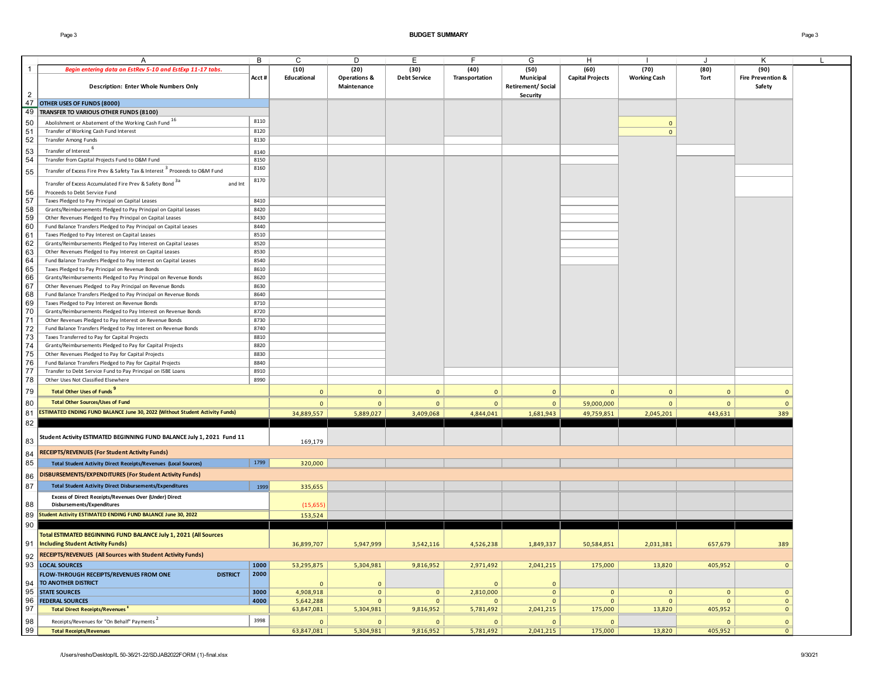Page 3 **BUDGET SUMMARY** Page 3

|                | A                                                                                      | B     | C              | D                       | E                   | F              | G                 | H                       |                     | J              | К                            |  |
|----------------|----------------------------------------------------------------------------------------|-------|----------------|-------------------------|---------------------|----------------|-------------------|-------------------------|---------------------|----------------|------------------------------|--|
| $\mathbf{1}$   | Begin entering data on EstRev 5-10 and EstExp 11-17 tabs.                              |       | (10)           | (20)                    | (30)                | (40)           | (50)              | (60)                    | (70)                | (80)           | (90)                         |  |
|                |                                                                                        | Acct# | Educational    | <b>Operations &amp;</b> | <b>Debt Service</b> | Transportation | Municipal         | <b>Capital Projects</b> | <b>Working Cash</b> | Tort           | <b>Fire Prevention &amp;</b> |  |
|                | <b>Description: Enter Whole Numbers Only</b>                                           |       |                | Maintenance             |                     |                | Retirement/Social |                         |                     |                | Safety                       |  |
| $\overline{2}$ |                                                                                        |       |                |                         |                     |                | Security          |                         |                     |                |                              |  |
| 47             | OTHER USES OF FUNDS (8000)                                                             |       |                |                         |                     |                |                   |                         |                     |                |                              |  |
|                | 49 TRANSFER TO VARIOUS OTHER FUNDS (8100)                                              |       |                |                         |                     |                |                   |                         |                     |                |                              |  |
|                |                                                                                        |       |                |                         |                     |                |                   |                         |                     |                |                              |  |
| 50             | Abolishment or Abatement of the Working Cash Fund 16                                   | 8110  |                |                         |                     |                |                   |                         | $\Omega$            |                |                              |  |
| 51             | Transfer of Working Cash Fund Interest                                                 | 8120  |                |                         |                     |                |                   |                         | $\Omega$            |                |                              |  |
| 52             | Transfer Among Funds                                                                   | 8130  |                |                         |                     |                |                   |                         |                     |                |                              |  |
| 53             | Transfer of Interest <sup>o</sup>                                                      | 8140  |                |                         |                     |                |                   |                         |                     |                |                              |  |
|                |                                                                                        | 8150  |                |                         |                     |                |                   |                         |                     |                |                              |  |
| 54             | Transfer from Capital Projects Fund to O&M Fund                                        |       |                |                         |                     |                |                   |                         |                     |                |                              |  |
| 55             | Transfer of Excess Fire Prev & Safety Tax & Interest <sup>3</sup> Proceeds to O&M Fund | 8160  |                |                         |                     |                |                   |                         |                     |                |                              |  |
|                | Transfer of Excess Accumulated Fire Prev & Safety Bond 3a<br>and Int                   | 8170  |                |                         |                     |                |                   |                         |                     |                |                              |  |
|                |                                                                                        |       |                |                         |                     |                |                   |                         |                     |                |                              |  |
| 56             | Proceeds to Debt Service Fund                                                          |       |                |                         |                     |                |                   |                         |                     |                |                              |  |
| 57             | Taxes Pledged to Pay Principal on Capital Leases                                       | 8410  |                |                         |                     |                |                   |                         |                     |                |                              |  |
| 58             | Grants/Reimbursements Pledged to Pay Principal on Capital Leases                       | 8420  |                |                         |                     |                |                   |                         |                     |                |                              |  |
| 59             | Other Revenues Pledged to Pay Principal on Capital Leases                              | 8430  |                |                         |                     |                |                   |                         |                     |                |                              |  |
| 60             | Fund Balance Transfers Pledged to Pay Principal on Capital Leases                      | 8440  |                |                         |                     |                |                   |                         |                     |                |                              |  |
| 61             | Taxes Pledged to Pay Interest on Capital Leases                                        | 8510  |                |                         |                     |                |                   |                         |                     |                |                              |  |
| 62             | Grants/Reimbursements Pledged to Pay Interest on Capital Leases                        | 8520  |                |                         |                     |                |                   |                         |                     |                |                              |  |
| 63             | Other Revenues Pledged to Pay Interest on Capital Leases                               | 8530  |                |                         |                     |                |                   |                         |                     |                |                              |  |
| 64             | Fund Balance Transfers Pledged to Pay Interest on Capital Leases                       | 8540  |                |                         |                     |                |                   |                         |                     |                |                              |  |
| 65             | Taxes Pledged to Pay Principal on Revenue Bonds                                        | 8610  |                |                         |                     |                |                   |                         |                     |                |                              |  |
|                |                                                                                        | 8620  |                |                         |                     |                |                   |                         |                     |                |                              |  |
| 66             | Grants/Reimbursements Pledged to Pay Principal on Revenue Bonds                        |       |                |                         |                     |                |                   |                         |                     |                |                              |  |
| 67             | Other Revenues Pledged to Pay Principal on Revenue Bonds                               | 8630  |                |                         |                     |                |                   |                         |                     |                |                              |  |
| 68             | Fund Balance Transfers Pledged to Pay Principal on Revenue Bonds                       | 8640  |                |                         |                     |                |                   |                         |                     |                |                              |  |
| 69             | Taxes Pledged to Pay Interest on Revenue Bonds                                         | 8710  |                |                         |                     |                |                   |                         |                     |                |                              |  |
| 70             | Grants/Reimbursements Pledged to Pay Interest on Revenue Bonds                         | 8720  |                |                         |                     |                |                   |                         |                     |                |                              |  |
| 71             | Other Revenues Pledged to Pay Interest on Revenue Bonds                                | 8730  |                |                         |                     |                |                   |                         |                     |                |                              |  |
| 72             | Fund Balance Transfers Pledged to Pay Interest on Revenue Bonds                        | 8740  |                |                         |                     |                |                   |                         |                     |                |                              |  |
| 73             | Taxes Transferred to Pay for Capital Projects                                          | 8810  |                |                         |                     |                |                   |                         |                     |                |                              |  |
| 74             | Grants/Reimbursements Pledged to Pay for Capital Projects                              | 8820  |                |                         |                     |                |                   |                         |                     |                |                              |  |
| 75             | Other Revenues Pledged to Pay for Capital Projects                                     | 8830  |                |                         |                     |                |                   |                         |                     |                |                              |  |
| 76             | Fund Balance Transfers Pledged to Pay for Capital Projects                             | 8840  |                |                         |                     |                |                   |                         |                     |                |                              |  |
| 77             | Transfer to Debt Service Fund to Pay Principal on ISBE Loans                           | 8910  |                |                         |                     |                |                   |                         |                     |                |                              |  |
| 78             | Other Uses Not Classified Elsewhere                                                    | 8990  |                |                         |                     |                |                   |                         |                     |                |                              |  |
|                |                                                                                        |       |                |                         |                     |                |                   |                         |                     |                |                              |  |
| 79             | <b>Total Other Uses of Funds</b>                                                       |       | $\Omega$       | $\mathbf{0}$            | $\Omega$            | $\Omega$       | $\mathbf{0}$      | $\Omega$                | $\Omega$            | $\mathbf{0}$   | $\Omega$                     |  |
| 80             | <b>Total Other Sources/Uses of Fund</b>                                                |       | $\overline{0}$ | $\mathbf{0}$            | $\overline{0}$      | 0              | $\mathbf{0}$      | 59,000,000              | $\overline{0}$      | $\mathbf 0$    | $\mathbf{0}$                 |  |
|                |                                                                                        |       |                |                         |                     |                |                   |                         |                     |                |                              |  |
| 81             | ESTIMATED ENDING FUND BALANCE June 30, 2022 (Without Student Activity Funds)           |       | 34,889,557     | 5,889,027               | 3,409,068           | 4,844,041      | 1,681,943         | 49,759,851              | 2,045,201           | 443,631        | 389                          |  |
| 82             |                                                                                        |       |                |                         |                     |                |                   |                         |                     |                |                              |  |
|                |                                                                                        |       |                |                         |                     |                |                   |                         |                     |                |                              |  |
| 83             | Student Activity ESTIMATED BEGINNING FUND BALANCE July 1, 2021 Fund 11                 |       | 169,179        |                         |                     |                |                   |                         |                     |                |                              |  |
|                |                                                                                        |       |                |                         |                     |                |                   |                         |                     |                |                              |  |
| 84             | RECEIPTS/REVENUES (For Student Activity Funds)                                         |       |                |                         |                     |                |                   |                         |                     |                |                              |  |
| 85             | <b>Total Student Activity Direct Receipts/Revenues (Local Sources)</b>                 | 1799  | 320,000        |                         |                     |                |                   |                         |                     |                |                              |  |
| 86             | DISBURSEMENTS/EXPENDITURES (For Student Activity Funds)                                |       |                |                         |                     |                |                   |                         |                     |                |                              |  |
|                |                                                                                        |       |                |                         |                     |                |                   |                         |                     |                |                              |  |
| 87             | <b>Total Student Activity Direct Disbursements/Expenditures</b>                        | 1999  | 335,655        |                         |                     |                |                   |                         |                     |                |                              |  |
|                | Excess of Direct Receipts/Revenues Over (Under) Direct                                 |       |                |                         |                     |                |                   |                         |                     |                |                              |  |
| 88             | Disbursements/Expenditures                                                             |       | (15, 655)      |                         |                     |                |                   |                         |                     |                |                              |  |
| 89             | <b>Student Activity ESTIMATED ENDING FUND BALANCE June 30, 2022</b>                    |       | 153,524        |                         |                     |                |                   |                         |                     |                |                              |  |
| 90             |                                                                                        |       |                |                         |                     |                |                   |                         |                     |                |                              |  |
|                |                                                                                        |       |                |                         |                     |                |                   |                         |                     |                |                              |  |
|                | Total ESTIMATED BEGINNING FUND BALANCE July 1, 2021 (All Sources                       |       |                |                         |                     |                |                   |                         |                     |                |                              |  |
| 91             | <b>Including Student Activity Funds)</b>                                               |       | 36,899,707     | 5,947,999               | 3,542,116           | 4,526,238      | 1,849,337         | 50,584,851              | 2,031,381           | 657,679        | 389                          |  |
|                | 92 RECEIPTS/REVENUES (All Sources with Student Activity Funds)                         |       |                |                         |                     |                |                   |                         |                     |                |                              |  |
|                | 93 LOCAL SOURCES                                                                       | 1000  | 53,295,875     | 5,304,981               | 9,816,952           | 2,971,492      | 2,041,215         | 175,000                 | 13,820              | 405,952        | $\mathbf{0}$                 |  |
|                |                                                                                        | 2000  |                |                         |                     |                |                   |                         |                     |                |                              |  |
|                | FLOW-THROUGH RECEIPTS/REVENUES FROM ONE<br><b>DISTRICT</b>                             |       |                |                         |                     |                |                   |                         |                     |                |                              |  |
|                | 94 TO ANOTHER DISTRICT                                                                 |       | $\overline{0}$ | $\mathbf 0$             |                     | $\overline{0}$ | $\mathbf{0}$      |                         |                     |                |                              |  |
|                | 95 STATE SOURCES                                                                       | 3000  | 4,908,918      | $\mathbf{0}$            | $\mathbf{0}$        | 2,810,000      | $\mathbf{0}$      | $\mathbf{0}$            | $\circ$             | $\overline{0}$ | $\mathbf{0}$                 |  |
| 96             | <b>FEDERAL SOURCES</b>                                                                 | 4000  | 5,642,288      | $\mathbf{0}$            | $\mathbf{0}$        | $\mathbf{0}$   | $\mathbf{0}$      | $\mathbf{0}$            | $\mathbf{0}$        | $\mathbf{0}$   | $\mathbf{0}$                 |  |
| 97             | <b>Total Direct Receipts/Revenues</b>                                                  |       | 63,847,081     | 5,304,981               | 9,816,952           | 5,781,492      | 2,041,215         | 175,000                 | 13,820              | 405,952        | $\mathbf{0}$                 |  |
| 98             | Receipts/Revenues for "On Behalf" Payments <sup>2</sup>                                | 3998  | $\mathbf{0}$   | $\mathbf{0}$            | $\mathbf{0}$        | $\mathbf{0}$   | $\mathbf{0}$      | $\mathbf{0}$            |                     | $\mathbf{0}$   | $\mathbf{0}$                 |  |
| 99             | <b>Total Receipts/Revenues</b>                                                         |       | 63,847,081     | 5,304,981               | 9,816,952           | 5,781,492      | 2,041,215         | 175,000                 | 13,820              | 405,952        | $\overline{0}$               |  |
|                |                                                                                        |       |                |                         |                     |                |                   |                         |                     |                |                              |  |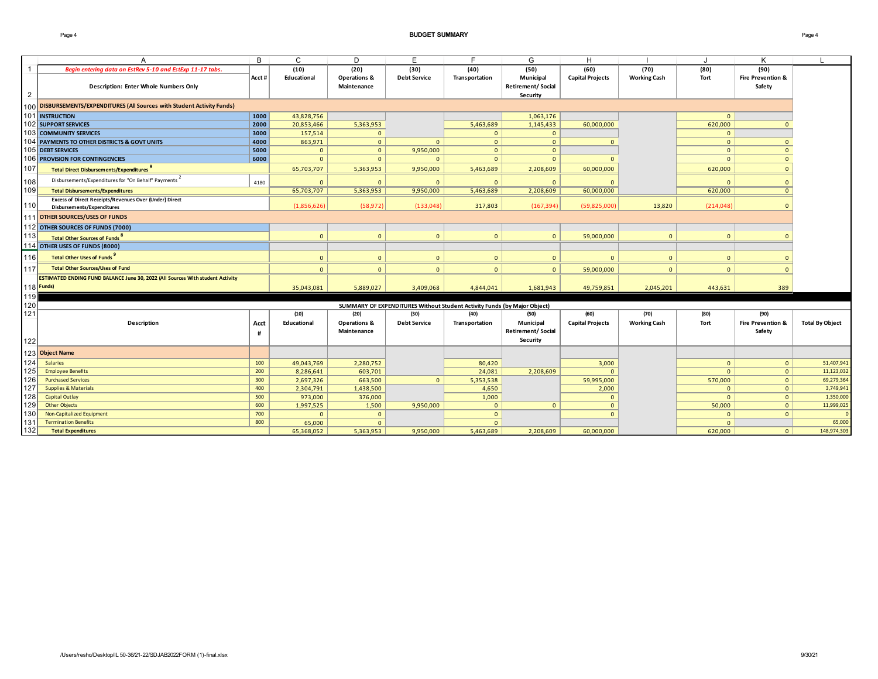### Page 4 **BUDGET SUMMARY** Page 4

|                | A                                                                                    | B     | C            | D                                      | Е                                                                        |                | G                                                 | H                       |                     |              | K                                      |                        |
|----------------|--------------------------------------------------------------------------------------|-------|--------------|----------------------------------------|--------------------------------------------------------------------------|----------------|---------------------------------------------------|-------------------------|---------------------|--------------|----------------------------------------|------------------------|
| $\overline{1}$ | Begin entering data on EstRev 5-10 and EstExp 11-17 tabs.                            |       | (10)         | (20)                                   | (30)                                                                     | (40)           | (50)                                              | (60)                    | (70)                | (80)         | (90)                                   |                        |
| $\overline{2}$ | <b>Description: Enter Whole Numbers Only</b>                                         | Acct# | Educational  | <b>Operations &amp;</b><br>Maintenance | <b>Debt Service</b>                                                      | Transportation | Municipal<br><b>Retirement/Social</b><br>Security | <b>Capital Projects</b> | <b>Working Cash</b> | Tort         | <b>Fire Prevention &amp;</b><br>Safety |                        |
|                | 100 DISBURSEMENTS/EXPENDITURES (All Sources with Student Activity Funds)             |       |              |                                        |                                                                          |                |                                                   |                         |                     |              |                                        |                        |
|                | 101 INSTRUCTION                                                                      | 1000  | 43,828,756   |                                        |                                                                          |                | 1,063,176                                         |                         |                     | $\Omega$     |                                        |                        |
|                | 102 SUPPORT SERVICES                                                                 | 2000  | 20,853,466   | 5,363,953                              |                                                                          | 5,463,689      | 1,145,433                                         | 60,000,000              |                     | 620,000      | $\mathbf{0}$                           |                        |
|                | <b>103 COMMUNITY SERVICES</b>                                                        | 3000  | 157,514      | $\Omega$                               |                                                                          | $\overline{0}$ | $\mathbf{0}$                                      |                         |                     | $\Omega$     |                                        |                        |
|                | 104 PAYMENTS TO OTHER DISTRICTS & GOVT UNITS                                         | 4000  | 863,971      | $\mathbf{0}$                           | $\mathbf{0}$                                                             | $\overline{0}$ | $\mathbf{0}$                                      | $\mathbf{0}$            |                     | $\mathbf{0}$ | $\overline{0}$                         |                        |
|                | 105 DEBT SERVICES                                                                    | 5000  | $\Omega$     | $\mathbf{0}$                           | 9,950,000                                                                | $\mathbf{0}$   | $\mathbf{0}$                                      |                         |                     | $\mathbf{0}$ | $\overline{0}$                         |                        |
|                | 106 PROVISION FOR CONTINGENCIES                                                      | 6000  | $\mathbf{0}$ | $\mathbf{0}$                           | $\mathbf{0}$                                                             | $\overline{0}$ | $\mathbf{0}$                                      | $\Omega$                |                     | $\mathbf{0}$ | $\overline{0}$                         |                        |
| 107            | <b>Total Direct Disbursements/Expenditures</b>                                       |       | 65,703,707   | 5,363,953                              | 9,950,000                                                                | 5,463,689      | 2,208,609                                         | 60,000,000              |                     | 620,000      | $\mathbf{0}$                           |                        |
| 108            | Disbursements/Expenditures for "On Behalf" Payments                                  | 4180  | $\Omega$     | $\Omega$                               | $\mathbf{0}$                                                             | $\Omega$       | $\Omega$                                          | $\Omega$                |                     | $\Omega$     | $\Omega$                               |                        |
| 109            | <b>Total Disbursements/Expenditures</b>                                              |       | 65,703,707   | 5,363,953                              | 9,950,000                                                                | 5,463,689      | 2,208,609                                         | 60,000,000              |                     | 620,000      | $\Omega$                               |                        |
| 110            | Excess of Direct Receipts/Revenues Over (Under) Direct<br>Disbursements/Expenditures |       | (1,856,626)  | (58, 972)                              | (133,048)                                                                | 317,803        | (167, 394)                                        | (59,825,000)            | 13,820              | (214, 048)   | $\Omega$                               |                        |
|                | 111 OTHER SOURCES/USES OF FUNDS                                                      |       |              |                                        |                                                                          |                |                                                   |                         |                     |              |                                        |                        |
|                | 112 OTHER SOURCES OF FUNDS (7000)                                                    |       |              |                                        |                                                                          |                |                                                   |                         |                     |              |                                        |                        |
| 113            | Total Other Sources of Funds <sup>8</sup>                                            |       | $\mathbf 0$  | $\mathbf{0}$                           | $\mathbf{0}$                                                             | $\Omega$       | $\Omega$                                          | 59,000,000              | $\overline{0}$      | $\mathbf 0$  |                                        |                        |
|                | 114 OTHER USES OF FUNDS (8000)                                                       |       |              |                                        |                                                                          |                |                                                   |                         |                     |              |                                        |                        |
| 116            | Total Other Uses of Funds <sup>9</sup>                                               |       | $\mathbf{0}$ | $\mathbf{0}$                           | $\mathbf{0}$                                                             | $\Omega$       | $\mathbf{0}$                                      | $\mathbf{0}$            | $\overline{0}$      | $\mathbf{0}$ | $\Omega$                               |                        |
| 117            | <b>Total Other Sources/Uses of Fund</b>                                              |       | $\mathbf{0}$ | $\Omega$                               | $\mathbf{0}$                                                             | $\mathbf{0}$   | $\mathbf{0}$                                      | 59,000,000              | $\overline{0}$      | $\mathbf{0}$ | $\Omega$                               |                        |
|                | ESTIMATED ENDING FUND BALANCE June 30, 2022 (All Sources With student Activity       |       |              |                                        |                                                                          |                |                                                   |                         |                     |              |                                        |                        |
|                | 118 Funds)                                                                           |       | 35,043,081   | 5,889,027                              | 3,409,068                                                                | 4,844,041      | 1,681,943                                         | 49,759,851              | 2,045,201           | 443,631      | 389                                    |                        |
| 119            |                                                                                      |       |              |                                        |                                                                          |                |                                                   |                         |                     |              |                                        |                        |
| 120            |                                                                                      |       |              |                                        | SUMMARY OF EXPENDITURES Without Student Activity Funds (by Major Object) |                |                                                   |                         |                     |              |                                        |                        |
| 121            |                                                                                      |       | (10)         | (20)                                   | (30)                                                                     | (40)           | (50)                                              | (60)                    | (70)                | (80)         | (90)                                   |                        |
|                | Description                                                                          | Acct  | Educational  | <b>Operations &amp;</b>                | <b>Debt Service</b>                                                      | Transportation | Municipal                                         | <b>Capital Projects</b> | <b>Working Cash</b> | Tort         | <b>Fire Prevention &amp;</b>           | <b>Total By Object</b> |
|                |                                                                                      | #     |              | Maintenance                            |                                                                          |                | <b>Retirement/Social</b>                          |                         |                     |              | Safety                                 |                        |
| 122            |                                                                                      |       |              |                                        |                                                                          |                | Security                                          |                         |                     |              |                                        |                        |
|                | 123 Object Name                                                                      |       |              |                                        |                                                                          |                |                                                   |                         |                     |              |                                        |                        |
| 124            | <b>Salaries</b>                                                                      | 100   | 49,043,769   | 2,280,752                              |                                                                          | 80,420         |                                                   | 3,000                   |                     | $\mathbf{0}$ | $\overline{0}$                         | 51,407,941             |
| 125            | <b>Employee Benefits</b>                                                             | 200   | 8,286,641    | 603,701                                |                                                                          | 24,081         | 2,208,609                                         | $\Omega$                |                     | $\Omega$     | $\mathbf{0}$                           | 11,123,032             |
| 126            | <b>Purchased Services</b>                                                            | 300   | 2,697,326    | 663,500                                | $\mathbf{0}$                                                             | 5,353,538      |                                                   | 59,995,000              |                     | 570,000      | $\mathbf{0}$                           | 69,279,364             |
| 127            | <b>Supplies &amp; Materials</b>                                                      | 400   | 2,304,791    | 1,438,500                              |                                                                          | 4,650          |                                                   | 2,000                   |                     | $\mathbf{0}$ | $\mathbf{0}$                           | 3,749,941              |
| 128            | <b>Capital Outlay</b>                                                                | 500   | 973,000      | 376,000                                |                                                                          | 1,000          |                                                   | $\Omega$                |                     | $\Omega$     | $\mathbf{0}$                           | 1,350,000              |
| 129            | <b>Other Objects</b>                                                                 | 600   | 1,997,525    | 1,500                                  | 9,950,000                                                                | $\mathbf{0}$   | $\mathbf{0}$                                      | $\mathbf{0}$            |                     | 50,000       | $\overline{0}$                         | 11,999,025             |
| 130            | Non-Capitalized Equipment                                                            | 700   | $\Omega$     | $\Omega$                               |                                                                          | $\mathbf{0}$   |                                                   | $\Omega$                |                     | $\Omega$     | $\mathbf{0}$                           |                        |
| 131            | <b>Termination Benefits</b>                                                          | 800   | 65,000       | $\Omega$                               |                                                                          | $\Omega$       |                                                   |                         |                     | $\Omega$     |                                        | 65,000                 |
| 132            | <b>Total Expenditures</b>                                                            |       | 65,368,052   | 5,363,953                              | 9.950.000                                                                | 5,463,689      | 2,208,609                                         | 60.000.000              |                     | 620,000      | $\Omega$                               | 148,974,303            |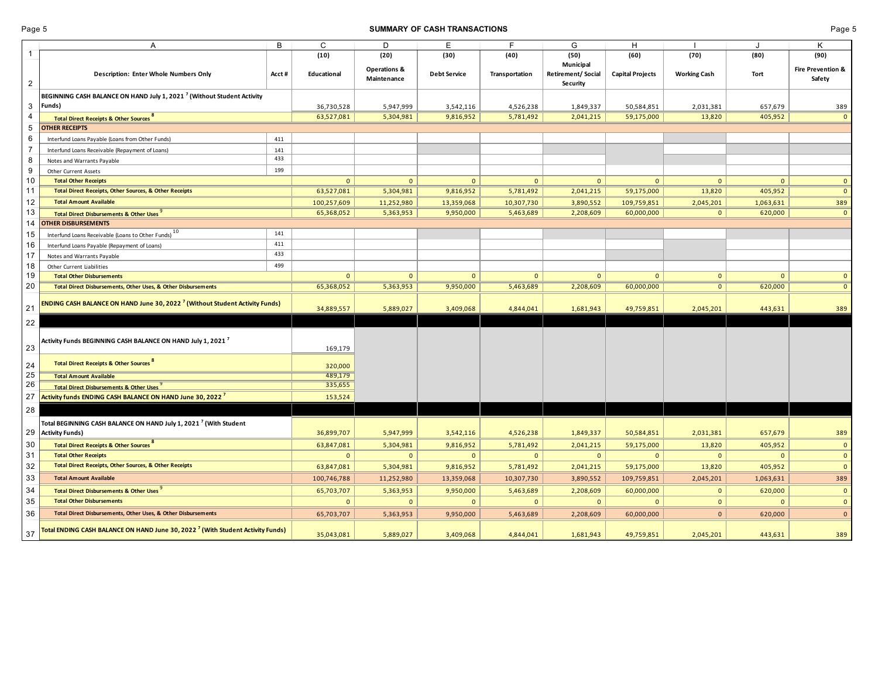## **SUMMARY OF CASH TRANSACTIONS CONSUMMARY OF CASH TRANSACTIONS Page 5**

|                     | A                                                                                                | В          | C            | D                                      | Е                   | F              | G                                          | H                       |                     | J            | Κ                                      |
|---------------------|--------------------------------------------------------------------------------------------------|------------|--------------|----------------------------------------|---------------------|----------------|--------------------------------------------|-------------------------|---------------------|--------------|----------------------------------------|
| $\mathbf{1}$        |                                                                                                  |            | (10)         | (20)                                   | (30)                | (40)           | (50)                                       | (60)                    | (70)                | (80)         | (90)                                   |
| $\overline{2}$      | Description: Enter Whole Numbers Only                                                            | Acct#      | Educational  | <b>Operations &amp;</b><br>Maintenance | <b>Debt Service</b> | Transportation | Municipal<br>Retirement/Social<br>Security | <b>Capital Projects</b> | <b>Working Cash</b> | Tort         | <b>Fire Prevention &amp;</b><br>Safety |
|                     |                                                                                                  |            |              |                                        |                     |                |                                            |                         |                     |              |                                        |
|                     | BEGINNING CASH BALANCE ON HAND July 1, 2021 <sup>7</sup> (Without Student Activity<br>Funds)     |            |              |                                        |                     |                |                                            |                         |                     |              |                                        |
| 3<br>4              |                                                                                                  |            | 36,730,528   | 5,947,999                              | 3,542,116           | 4,526,238      | 1,849,337                                  | 50,584,851              | 2,031,381           | 657,679      | 389<br>$\mathbf{0}$                    |
|                     | <b>Total Direct Receipts &amp; Other Sources 8</b>                                               |            | 63,527,081   | 5,304,981                              | 9,816,952           | 5,781,492      | 2,041,215                                  | 59,175,000              | 13,820              | 405,952      |                                        |
| 5                   | <b>OTHER RECEIPTS</b>                                                                            |            |              |                                        |                     |                |                                            |                         |                     |              |                                        |
| 6<br>$\overline{7}$ | Interfund Loans Payable (Loans from Other Funds)                                                 | 411        |              |                                        |                     |                |                                            |                         |                     |              |                                        |
|                     | Interfund Loans Receivable (Repayment of Loans)                                                  | 141<br>433 |              |                                        |                     |                |                                            |                         |                     |              |                                        |
| 8                   | Notes and Warrants Payable                                                                       | 199        |              |                                        |                     |                |                                            |                         |                     |              |                                        |
| 9                   | Other Current Assets                                                                             |            |              |                                        |                     |                |                                            |                         |                     |              |                                        |
| 10                  | <b>Total Other Receipts</b><br><b>Total Direct Receipts, Other Sources, &amp; Other Receipts</b> |            | $\mathbf{0}$ | $\mathbf{0}$                           | $\mathbf{0}$        | $\mathbf{0}$   | $\mathbf{0}$                               | $\mathbf{0}$            | $\mathbf{0}$        | $\Omega$     | $\mathbf{0}$                           |
| 11                  |                                                                                                  |            | 63,527,081   | 5,304,981                              | 9,816,952           | 5,781,492      | 2,041,215                                  | 59,175,000              | 13,820              | 405,952      | $\mathbf{0}$                           |
| 12                  | <b>Total Amount Available</b>                                                                    |            | 100,257,609  | 11,252,980                             | 13,359,068          | 10,307,730     | 3,890,552                                  | 109,759,851             | 2,045,201           | 1,063,631    | 389                                    |
| 13                  | <b>Total Direct Disbursements &amp; Other Uses</b>                                               |            | 65,368,052   | 5,363,953                              | 9,950,000           | 5,463,689      | 2,208,609                                  | 60,000,000              | $\mathbf{0}$        | 620,000      | $\mathbf{0}$                           |
| 14                  | <b>OTHER DISBURSEMENTS</b>                                                                       |            |              |                                        |                     |                |                                            |                         |                     |              |                                        |
| 15                  | Interfund Loans Receivable (Loans to Other Funds) <sup>10</sup>                                  | 141<br>411 |              |                                        |                     |                |                                            |                         |                     |              |                                        |
| 16                  | Interfund Loans Payable (Repayment of Loans)                                                     | 433        |              |                                        |                     |                |                                            |                         |                     |              |                                        |
| 17                  | Notes and Warrants Payable                                                                       |            |              |                                        |                     |                |                                            |                         |                     |              |                                        |
| 18                  | Other Current Liabilities                                                                        | 499        |              |                                        |                     |                |                                            |                         |                     |              |                                        |
| 19                  | <b>Total Other Disbursements</b>                                                                 |            | $\mathbf{0}$ | $\mathbf{0}$                           | $\mathbf{0}$        | $\mathbf{0}$   | $\mathbf{0}$                               | $\mathbf{0}$            | $\mathbf{0}$        | $\mathbf{0}$ | $\mathbf{0}$                           |
| 20                  | Total Direct Disbursements, Other Uses, & Other Disbursements                                    |            | 65,368,052   | 5,363,953                              | 9,950,000           | 5,463,689      | 2,208,609                                  | 60,000,000              | $\mathbf{0}$        | 620,000      | $\mathbf{0}$                           |
| 21                  | ENDING CASH BALANCE ON HAND June 30, 2022 <sup>7</sup> (Without Student Activity Funds)          |            | 34,889,557   | 5,889,027                              | 3,409,068           | 4,844,041      | 1,681,943                                  | 49,759,851              | 2,045,201           | 443,631      | 389                                    |
| 22                  |                                                                                                  |            |              |                                        |                     |                |                                            |                         |                     |              |                                        |
| 23                  | Activity Funds BEGINNING CASH BALANCE ON HAND July 1, 2021 $^7$                                  |            | 169,179      |                                        |                     |                |                                            |                         |                     |              |                                        |
| 24                  | <b>Total Direct Receipts &amp; Other Sources</b>                                                 |            | 320,000      |                                        |                     |                |                                            |                         |                     |              |                                        |
| 25                  | <b>Total Amount Available</b>                                                                    |            | 489,179      |                                        |                     |                |                                            |                         |                     |              |                                        |
| 26                  | <b>Total Direct Disbursements &amp; Other Uses</b>                                               |            | 335,655      |                                        |                     |                |                                            |                         |                     |              |                                        |
| 27                  | Activity funds ENDING CASH BALANCE ON HAND June 30, 2022 <sup>7</sup>                            |            | 153,524      |                                        |                     |                |                                            |                         |                     |              |                                        |
| 28                  |                                                                                                  |            |              |                                        |                     |                |                                            |                         |                     |              |                                        |
|                     | Total BEGINNING CASH BALANCE ON HAND July 1, 2021 <sup>7</sup> (With Student                     |            |              |                                        |                     |                |                                            |                         |                     |              |                                        |
| 29                  | <b>Activity Funds)</b>                                                                           |            | 36,899,707   | 5,947,999                              | 3,542,116           | 4,526,238      | 1,849,337                                  | 50,584,851              | 2,031,381           | 657,679      | 389                                    |
| 30                  | <b>Total Direct Receipts &amp; Other Sources</b>                                                 |            | 63,847,081   | 5,304,981                              | 9,816,952           | 5,781,492      | 2,041,215                                  | 59,175,000              | 13,820              | 405,952      | $\mathbf{0}$                           |
| 31                  | <b>Total Other Receipts</b>                                                                      |            | $\mathbf{0}$ | $\mathbf{0}$                           | $\Omega$            | $\mathbf{0}$   | $\mathbf{0}$                               | $\mathbf{0}$            | $\mathbf{0}$        | $\Omega$     | $\mathbf{0}$                           |
| 32                  | Total Direct Receipts, Other Sources, & Other Receipts                                           |            | 63,847,081   | 5,304,981                              | 9,816,952           | 5,781,492      | 2,041,215                                  | 59,175,000              | 13,820              | 405,952      | $\mathbf{0}$                           |
| 33                  | <b>Total Amount Available</b>                                                                    |            | 100,746,788  | 11,252,980                             | 13,359,068          | 10,307,730     | 3,890,552                                  | 109,759,851             | 2,045,201           | 1,063,631    | 389                                    |
| 34                  | <b>Total Direct Disbursements &amp; Other Uses</b>                                               |            | 65,703,707   | 5,363,953                              | 9,950,000           | 5,463,689      | 2,208,609                                  | 60,000,000              | $\mathbf{0}$        | 620,000      | $\mathbf 0$                            |
| 35                  | <b>Total Other Disbursements</b>                                                                 |            | $\mathbf{0}$ | $\mathbf{0}$                           | $\Omega$            | $\Omega$       | $\mathbf{0}$                               | $\mathbf{0}$            | $\mathbf{0}$        | $\Omega$     | $\mathbf{0}$                           |
| 36                  | Total Direct Disbursements, Other Uses, & Other Disbursements                                    |            | 65,703,707   | 5,363,953                              | 9,950,000           | 5,463,689      | 2,208,609                                  | 60,000,000              | $\mathbf{0}$        | 620,000      | $\mathbf{0}$                           |
| 37                  | Total ENDING CASH BALANCE ON HAND June 30, 2022 <sup>7</sup> (With Student Activity Funds)       |            | 35,043,081   | 5,889,027                              | 3,409,068           | 4,844,041      | 1,681,943                                  | 49,759,851              | 2,045,201           | 443,631      | 389                                    |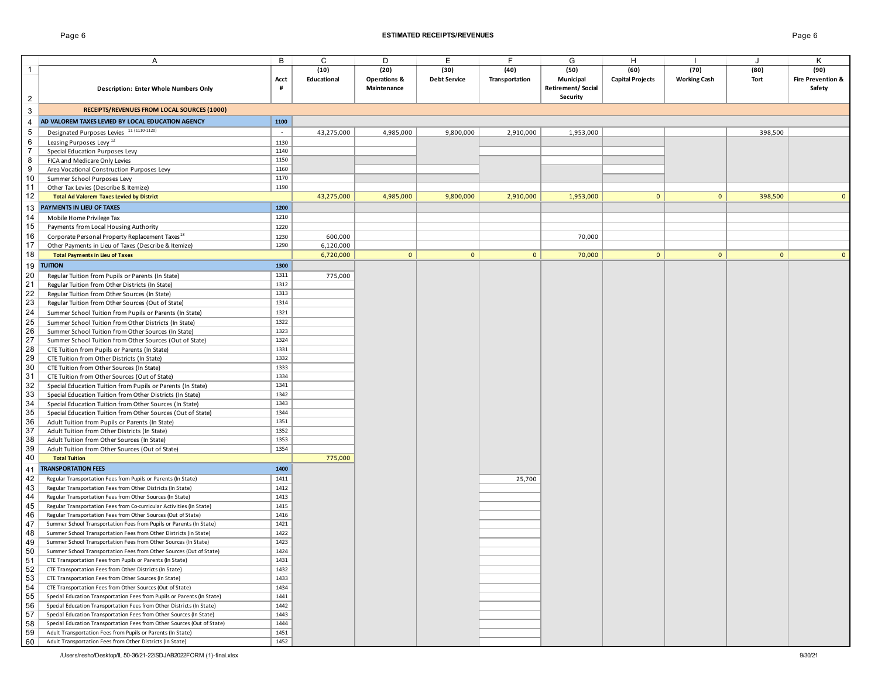## Page 6 **ESTIMATED RECEIPTS/REVENUES** Page 6

|                | Α                                                                       | B      | C           | D                       | Е                   | F              | G                        | Н                       |                     | J            | K                            |
|----------------|-------------------------------------------------------------------------|--------|-------------|-------------------------|---------------------|----------------|--------------------------|-------------------------|---------------------|--------------|------------------------------|
| $\mathbf 1$    |                                                                         |        | (10)        | (20)                    | (30)                | (40)           | (50)                     | (60)                    | (70)                | (80)         | (90)                         |
|                |                                                                         | Acct   | Educational | <b>Operations &amp;</b> | <b>Debt Service</b> | Transportation | Municipal                | <b>Capital Projects</b> | <b>Working Cash</b> | Tort         | <b>Fire Prevention &amp;</b> |
|                | <b>Description: Enter Whole Numbers Only</b>                            | #      |             | Maintenance             |                     |                | <b>Retirement/Social</b> |                         |                     |              | Safety                       |
| $\overline{2}$ |                                                                         |        |             |                         |                     |                | Security                 |                         |                     |              |                              |
|                |                                                                         |        |             |                         |                     |                |                          |                         |                     |              |                              |
| $\sqrt{3}$     | RECEIPTS/REVENUES FROM LOCAL SOURCES (1000)                             |        |             |                         |                     |                |                          |                         |                     |              |                              |
| 4              | AD VALOREM TAXES LEVIED BY LOCAL EDUCATION AGENCY                       | 1100   |             |                         |                     |                |                          |                         |                     |              |                              |
| $\sqrt{5}$     | Designated Purposes Levies 11 (1110-1120)                               | $\sim$ | 43,275,000  | 4,985,000               | 9,800,000           | 2,910,000      | 1,953,000                |                         |                     | 398,500      |                              |
| 6              | Leasing Purposes Levy <sup>12</sup>                                     | 1130   |             |                         |                     |                |                          |                         |                     |              |                              |
| $\overline{7}$ | Special Education Purposes Levy                                         | 1140   |             |                         |                     |                |                          |                         |                     |              |                              |
| 8              | FICA and Medicare Only Levies                                           | 1150   |             |                         |                     |                |                          |                         |                     |              |                              |
| 9              | Area Vocational Construction Purposes Levy                              | 1160   |             |                         |                     |                |                          |                         |                     |              |                              |
| 10             | Summer School Purposes Levy                                             | 1170   |             |                         |                     |                |                          |                         |                     |              |                              |
| 11             | Other Tax Levies (Describe & Itemize)                                   | 1190   |             |                         |                     |                |                          |                         |                     |              |                              |
| 12             | <b>Total Ad Valorem Taxes Levied by District</b>                        |        | 43,275,000  | 4,985,000               | 9,800,000           | 2,910,000      | 1,953,000                | $\mathbf{0}$            | $\mathbf{0}$        | 398,500      |                              |
|                | PAYMENTS IN LIEU OF TAXES                                               | 1200   |             |                         |                     |                |                          |                         |                     |              |                              |
| 13<br>14       |                                                                         | 1210   |             |                         |                     |                |                          |                         |                     |              |                              |
| 15             | Mobile Home Privilege Tax                                               |        |             |                         |                     |                |                          |                         |                     |              |                              |
|                | Payments from Local Housing Authority                                   | 1220   |             |                         |                     |                |                          |                         |                     |              |                              |
| 16             | Corporate Personal Property Replacement Taxes <sup>13</sup>             | 1230   | 600,000     |                         |                     |                | 70,000                   |                         |                     |              |                              |
| 17             | Other Payments in Lieu of Taxes (Describe & Itemize)                    | 1290   | 6,120,000   |                         |                     |                |                          |                         |                     |              |                              |
| 18             | <b>Total Payments in Lieu of Taxes</b>                                  |        | 6,720,000   | $\mathbf{0}$            | $\mathbf{0}$        | $\mathbf{0}$   | 70,000                   | $\overline{0}$          | $\overline{0}$      | $\mathbf{0}$ | $\Omega$                     |
| 19             | <b>TUITION</b>                                                          | 1300   |             |                         |                     |                |                          |                         |                     |              |                              |
| 20             | Regular Tuition from Pupils or Parents (In State)                       | 1311   | 775,000     |                         |                     |                |                          |                         |                     |              |                              |
| 21             | Regular Tuition from Other Districts (In State)                         | 1312   |             |                         |                     |                |                          |                         |                     |              |                              |
| 22             | Regular Tuition from Other Sources (In State)                           | 1313   |             |                         |                     |                |                          |                         |                     |              |                              |
| 23             | Regular Tuition from Other Sources (Out of State)                       | 1314   |             |                         |                     |                |                          |                         |                     |              |                              |
| 24             | Summer School Tuition from Pupils or Parents (In State)                 | 1321   |             |                         |                     |                |                          |                         |                     |              |                              |
| 25             | Summer School Tuition from Other Districts (In State)                   | 1322   |             |                         |                     |                |                          |                         |                     |              |                              |
| 26             | Summer School Tuition from Other Sources (In State)                     | 1323   |             |                         |                     |                |                          |                         |                     |              |                              |
| 27             | Summer School Tuition from Other Sources (Out of State)                 | 1324   |             |                         |                     |                |                          |                         |                     |              |                              |
| 28             | CTE Tuition from Pupils or Parents (In State)                           | 1331   |             |                         |                     |                |                          |                         |                     |              |                              |
| 29             | CTE Tuition from Other Districts (In State)                             | 1332   |             |                         |                     |                |                          |                         |                     |              |                              |
| 30             | CTE Tuition from Other Sources (In State)                               | 1333   |             |                         |                     |                |                          |                         |                     |              |                              |
| 31             | CTE Tuition from Other Sources (Out of State)                           | 1334   |             |                         |                     |                |                          |                         |                     |              |                              |
| 32             | Special Education Tuition from Pupils or Parents (In State)             | 1341   |             |                         |                     |                |                          |                         |                     |              |                              |
| 33             | Special Education Tuition from Other Districts (In State)               | 1342   |             |                         |                     |                |                          |                         |                     |              |                              |
| 34             | Special Education Tuition from Other Sources (In State)                 | 1343   |             |                         |                     |                |                          |                         |                     |              |                              |
| 35             | Special Education Tuition from Other Sources (Out of State)             | 1344   |             |                         |                     |                |                          |                         |                     |              |                              |
| 36             | Adult Tuition from Pupils or Parents (In State)                         | 1351   |             |                         |                     |                |                          |                         |                     |              |                              |
| 37             | Adult Tuition from Other Districts (In State)                           | 1352   |             |                         |                     |                |                          |                         |                     |              |                              |
| 38             | Adult Tuition from Other Sources (In State)                             | 1353   |             |                         |                     |                |                          |                         |                     |              |                              |
| 39             | Adult Tuition from Other Sources (Out of State)                         | 1354   |             |                         |                     |                |                          |                         |                     |              |                              |
| 40             | <b>Total Tuition</b>                                                    |        | 775,000     |                         |                     |                |                          |                         |                     |              |                              |
|                | <b>TRANSPORTATION FEES</b>                                              | 1400   |             |                         |                     |                |                          |                         |                     |              |                              |
| 41             |                                                                         |        |             |                         |                     |                |                          |                         |                     |              |                              |
| 42             | Regular Transportation Fees from Pupils or Parents (In State)           | 1411   |             |                         |                     | 25,700         |                          |                         |                     |              |                              |
| 43             | Regular Transportation Fees from Other Districts (In State)             | 1412   |             |                         |                     |                |                          |                         |                     |              |                              |
| 44             | Regular Transportation Fees from Other Sources (In State)               | 1413   |             |                         |                     |                |                          |                         |                     |              |                              |
| 45             | Regular Transportation Fees from Co-curricular Activities (In State)    | 1415   |             |                         |                     |                |                          |                         |                     |              |                              |
| 46             | Regular Transportation Fees from Other Sources (Out of State)           | 1416   |             |                         |                     |                |                          |                         |                     |              |                              |
| 47             | Summer School Transportation Fees from Pupils or Parents (In State)     | 1421   |             |                         |                     |                |                          |                         |                     |              |                              |
| 48             | Summer School Transportation Fees from Other Districts (In State)       | 1422   |             |                         |                     |                |                          |                         |                     |              |                              |
| 49             | Summer School Transportation Fees from Other Sources (In State)         | 1423   |             |                         |                     |                |                          |                         |                     |              |                              |
| 50             | Summer School Transportation Fees from Other Sources (Out of State)     | 1424   |             |                         |                     |                |                          |                         |                     |              |                              |
| 51             | CTE Transportation Fees from Pupils or Parents (In State)               | 1431   |             |                         |                     |                |                          |                         |                     |              |                              |
| 52             | CTE Transportation Fees from Other Districts (In State)                 | 1432   |             |                         |                     |                |                          |                         |                     |              |                              |
| 53             | CTE Transportation Fees from Other Sources (In State)                   | 1433   |             |                         |                     |                |                          |                         |                     |              |                              |
| 54             | CTE Transportation Fees from Other Sources (Out of State)               | 1434   |             |                         |                     |                |                          |                         |                     |              |                              |
| 55             | Special Education Transportation Fees from Pupils or Parents (In State) | 1441   |             |                         |                     |                |                          |                         |                     |              |                              |
| 56             | Special Education Transportation Fees from Other Districts (In State)   | 1442   |             |                         |                     |                |                          |                         |                     |              |                              |
| 57             | Special Education Transportation Fees from Other Sources (In State)     | 1443   |             |                         |                     |                |                          |                         |                     |              |                              |
| 58             | Special Education Transportation Fees from Other Sources (Out of State) | 1444   |             |                         |                     |                |                          |                         |                     |              |                              |
| 59             | Adult Transportation Fees from Pupils or Parents (In State)             | 1451   |             |                         |                     |                |                          |                         |                     |              |                              |
| 60             | Adult Transportation Fees from Other Districts (In State)               | 1452   |             |                         |                     |                |                          |                         |                     |              |                              |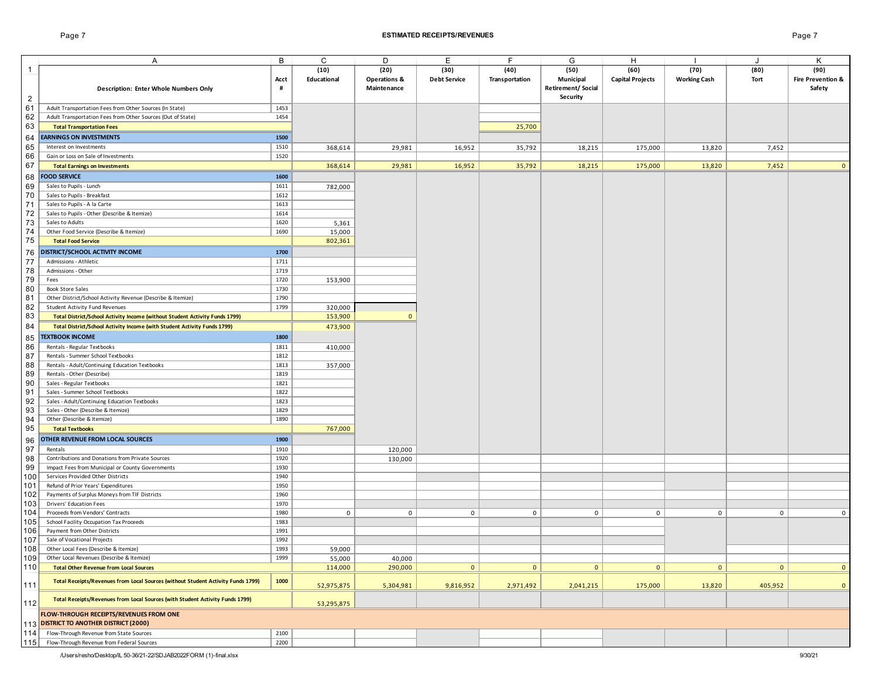## Page 7 **ESTIMATED RECEIPTS/REVENUES** Page 7

|                | Α                                                                                  | В         | C                   | D                                              | Е                           | F                      | G                                             | H                               |                             | J            | Κ                                              |
|----------------|------------------------------------------------------------------------------------|-----------|---------------------|------------------------------------------------|-----------------------------|------------------------|-----------------------------------------------|---------------------------------|-----------------------------|--------------|------------------------------------------------|
| $\mathbf{1}$   | Description: Enter Whole Numbers Only                                              | Acct<br># | (10)<br>Educational | (20)<br><b>Operations &amp;</b><br>Maintenance | (30)<br><b>Debt Service</b> | (40)<br>Transportation | (50)<br>Municipal<br><b>Retirement/Social</b> | (60)<br><b>Capital Projects</b> | (70)<br><b>Working Cash</b> | (80)<br>Tort | (90)<br><b>Fire Prevention &amp;</b><br>Safety |
| $\overline{2}$ |                                                                                    |           |                     |                                                |                             |                        | <b>Security</b>                               |                                 |                             |              |                                                |
| 61             | Adult Transportation Fees from Other Sources (In State)                            | 1453      |                     |                                                |                             |                        |                                               |                                 |                             |              |                                                |
| 62             | Adult Transportation Fees from Other Sources (Out of State)                        | 1454      |                     |                                                |                             |                        |                                               |                                 |                             |              |                                                |
| 63             | <b>Total Transportation Fees</b>                                                   |           |                     |                                                |                             | 25,700                 |                                               |                                 |                             |              |                                                |
|                |                                                                                    |           |                     |                                                |                             |                        |                                               |                                 |                             |              |                                                |
| 64             | <b>EARNINGS ON INVESTMENTS</b>                                                     | 1500      |                     |                                                |                             |                        |                                               |                                 |                             |              |                                                |
| 65             | Interest on Investments                                                            | 1510      | 368,614             | 29,981                                         | 16,952                      | 35,792                 | 18,215                                        | 175,000                         | 13,820                      | 7,452        |                                                |
| 66             | Gain or Loss on Sale of Investments                                                | 1520      |                     |                                                |                             |                        |                                               |                                 |                             |              |                                                |
| 67             | <b>Total Earnings on Investments</b>                                               |           | 368,614             | 29,981                                         | 16,952                      | 35,792                 | 18,215                                        | 175,000                         | 13,820                      | 7,452        | $\mathbf{0}$                                   |
| 68             | <b>FOOD SERVICE</b>                                                                | 1600      |                     |                                                |                             |                        |                                               |                                 |                             |              |                                                |
| 69             | Sales to Pupils - Lunch                                                            | 1611      | 782,000             |                                                |                             |                        |                                               |                                 |                             |              |                                                |
| 70             | Sales to Pupils - Breakfast                                                        | 1612      |                     |                                                |                             |                        |                                               |                                 |                             |              |                                                |
| 71             | Sales to Pupils - A la Carte                                                       | 1613      |                     |                                                |                             |                        |                                               |                                 |                             |              |                                                |
| 72             | Sales to Pupils - Other (Describe & Itemize)                                       | 1614      |                     |                                                |                             |                        |                                               |                                 |                             |              |                                                |
| 73             | Sales to Adults                                                                    | 1620      | 5,361               |                                                |                             |                        |                                               |                                 |                             |              |                                                |
| 74             | Other Food Service (Describe & Itemize)                                            | 1690      | 15,000              |                                                |                             |                        |                                               |                                 |                             |              |                                                |
| 75             | <b>Total Food Service</b>                                                          |           | 802,361             |                                                |                             |                        |                                               |                                 |                             |              |                                                |
| 76             | DISTRICT/SCHOOL ACTIVITY INCOME                                                    | 1700      |                     |                                                |                             |                        |                                               |                                 |                             |              |                                                |
| 77             | Admissions - Athletic                                                              | 1711      |                     |                                                |                             |                        |                                               |                                 |                             |              |                                                |
| 78             | Admissions - Other                                                                 | 1719      |                     |                                                |                             |                        |                                               |                                 |                             |              |                                                |
| 79             | Fees                                                                               | 1720      | 153,900             |                                                |                             |                        |                                               |                                 |                             |              |                                                |
| 80             | <b>Book Store Sales</b>                                                            | 1730      |                     |                                                |                             |                        |                                               |                                 |                             |              |                                                |
| 81             | Other District/School Activity Revenue (Describe & Itemize)                        | 1790      |                     |                                                |                             |                        |                                               |                                 |                             |              |                                                |
| 82             | Student Activity Fund Revenues                                                     | 1799      | 320,000             |                                                |                             |                        |                                               |                                 |                             |              |                                                |
| 83             | Total District/School Activity Income (without Student Activity Funds 1799)        |           | 153,900             | $\Omega$                                       |                             |                        |                                               |                                 |                             |              |                                                |
| 84             | Total District/School Activity Income (with Student Activity Funds 1799)           |           | 473,900             |                                                |                             |                        |                                               |                                 |                             |              |                                                |
| 85             | <b>TEXTBOOK INCOME</b>                                                             | 1800      |                     |                                                |                             |                        |                                               |                                 |                             |              |                                                |
| 86             | Rentals - Regular Textbooks                                                        | 1811      | 410,000             |                                                |                             |                        |                                               |                                 |                             |              |                                                |
| 87             | Rentals - Summer School Textbooks                                                  | 1812      |                     |                                                |                             |                        |                                               |                                 |                             |              |                                                |
| 88             | Rentals - Adult/Continuing Education Textbooks                                     | 1813      | 357,000             |                                                |                             |                        |                                               |                                 |                             |              |                                                |
| 89             | Rentals - Other (Describe)                                                         | 1819      |                     |                                                |                             |                        |                                               |                                 |                             |              |                                                |
| 90             | Sales - Regular Textbooks                                                          | 1821      |                     |                                                |                             |                        |                                               |                                 |                             |              |                                                |
| 91             | Sales - Summer School Textbooks                                                    | 1822      |                     |                                                |                             |                        |                                               |                                 |                             |              |                                                |
| 92             | Sales - Adult/Continuing Education Textbooks                                       | 1823      |                     |                                                |                             |                        |                                               |                                 |                             |              |                                                |
| 93             | Sales - Other (Describe & Itemize)                                                 | 1829      |                     |                                                |                             |                        |                                               |                                 |                             |              |                                                |
| 94             | Other (Describe & Itemize)                                                         | 1890      |                     |                                                |                             |                        |                                               |                                 |                             |              |                                                |
| 95             | <b>Total Textbooks</b>                                                             |           | 767,000             |                                                |                             |                        |                                               |                                 |                             |              |                                                |
| 96             | OTHER REVENUE FROM LOCAL SOURCES                                                   | 1900      |                     |                                                |                             |                        |                                               |                                 |                             |              |                                                |
| 97             | Rentals                                                                            | 1910      |                     | 120,000                                        |                             |                        |                                               |                                 |                             |              |                                                |
| 98             | Contributions and Donations from Private Sources                                   | 1920      |                     |                                                |                             |                        |                                               |                                 |                             |              |                                                |
| 99             | Impact Fees from Municipal or County Governments                                   | 1930      |                     | 130,000                                        |                             |                        |                                               |                                 |                             |              |                                                |
| 100            | Services Provided Other Districts                                                  | 1940      |                     |                                                |                             |                        |                                               |                                 |                             |              |                                                |
| 101            | Refund of Prior Years' Expenditures                                                | 1950      |                     |                                                |                             |                        |                                               |                                 |                             |              |                                                |
| 102            | Payments of Surplus Moneys from TIF Districts                                      | 1960      |                     |                                                |                             |                        |                                               |                                 |                             |              |                                                |
| 103            | Drivers' Education Fees                                                            | 1970      |                     |                                                |                             |                        |                                               |                                 |                             |              |                                                |
| 104            | Proceeds from Vendors' Contracts                                                   | 1980      | 0                   | $\mathbf 0$                                    | $\mathbf 0$                 | $\mathbf 0$            | $\mathbf 0$                                   | $\mathbf 0$                     | $\mathbf{0}$                | $\mathbf 0$  | 0                                              |
| 105            | School Facility Occupation Tax Proceeds                                            | 1983      |                     |                                                |                             |                        |                                               |                                 |                             |              |                                                |
| 106            | Payment from Other Districts                                                       | 1991      |                     |                                                |                             |                        |                                               |                                 |                             |              |                                                |
| 107            | Sale of Vocational Projects                                                        | 1992      |                     |                                                |                             |                        |                                               |                                 |                             |              |                                                |
| 108            | Other Local Fees (Describe & Itemize)                                              | 1993      | 59,000              |                                                |                             |                        |                                               |                                 |                             |              |                                                |
| 109            | Other Local Revenues (Describe & Itemize)                                          | 1999      | 55,000              | 40,000                                         |                             |                        |                                               |                                 |                             |              |                                                |
| 110            | <b>Total Other Revenue from Local Sources</b>                                      |           | 114,000             | 290,000                                        | $\mathbf{0}$                | $\mathbf{0}$           | $\mathbf{0}$                                  | $\mathbf{0}$                    | $\mathbf{0}$                | $\mathbf{0}$ | $\mathbf{0}$                                   |
|                |                                                                                    |           |                     |                                                |                             |                        |                                               |                                 |                             |              |                                                |
| 111            | Total Receipts/Revenues from Local Sources (without Student Activity Funds 1799)   | 1000      | 52,975,875          | 5,304,981                                      | 9,816,952                   | 2,971,492              | 2,041,215                                     | 175,000                         | 13,820                      | 405,952      | $\mathbf{0}$                                   |
| 112            | Total Receipts/Revenues from Local Sources (with Student Activity Funds 1799)      |           | 53,295,875          |                                                |                             |                        |                                               |                                 |                             |              |                                                |
|                | FLOW-THROUGH RECEIPTS/REVENUES FROM ONE<br>113 DISTRICT TO ANOTHER DISTRICT (2000) |           |                     |                                                |                             |                        |                                               |                                 |                             |              |                                                |
| 114            | Flow-Through Revenue from State Sources                                            | 2100      |                     |                                                |                             |                        |                                               |                                 |                             |              |                                                |
| 115            | Flow-Through Revenue from Federal Sources                                          | 2200      |                     |                                                |                             |                        |                                               |                                 |                             |              |                                                |
|                |                                                                                    |           |                     |                                                |                             |                        |                                               |                                 |                             |              |                                                |

/Users/resho/Desktop/IL 50-36/21-22/SDJAB2022FORM (1)-final.xlsx 9/30/21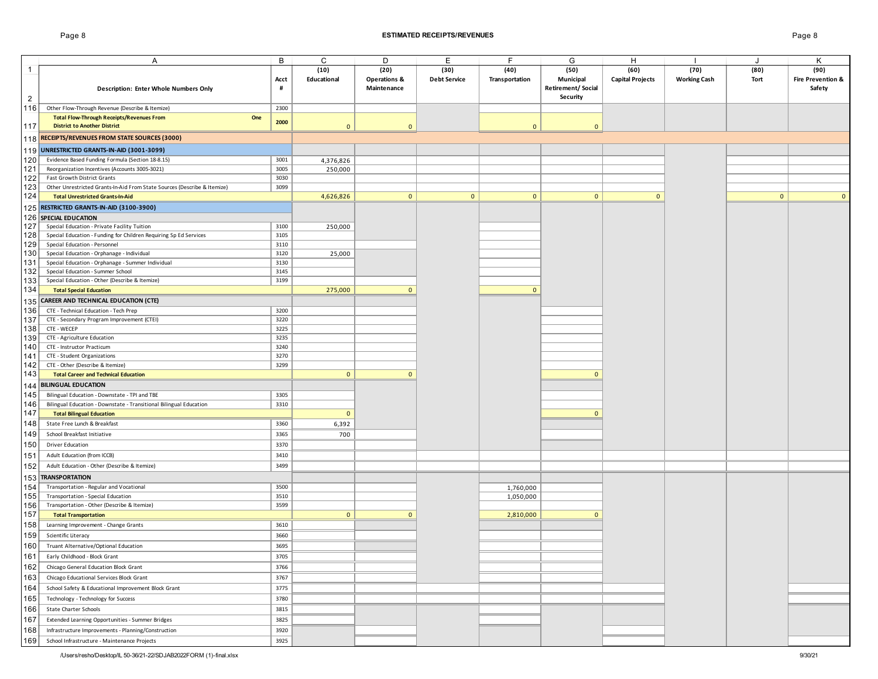## Page 8 **ESTIMATED RECEIPTS/REVENUES** Page 8

|                | Α                                                                        | В    | C              | D                       | E                   | F              | G                        | H                       |                     | J            | Κ                            |
|----------------|--------------------------------------------------------------------------|------|----------------|-------------------------|---------------------|----------------|--------------------------|-------------------------|---------------------|--------------|------------------------------|
|                |                                                                          |      |                |                         |                     |                |                          |                         |                     |              |                              |
| $\mathbf{1}$   |                                                                          |      | (10)           | (20)                    | (30)                | (40)           | (50)                     | (60)                    | (70)                | (80)         | (90)                         |
|                |                                                                          | Acct | Educational    | <b>Operations &amp;</b> | <b>Debt Service</b> | Transportation | Municipal                | <b>Capital Projects</b> | <b>Working Cash</b> | Tort         | <b>Fire Prevention &amp;</b> |
|                | <b>Description: Enter Whole Numbers Only</b>                             | #    |                | Maintenance             |                     |                | <b>Retirement/Social</b> |                         |                     |              | Safety                       |
| $\overline{c}$ |                                                                          |      |                |                         |                     |                | Security                 |                         |                     |              |                              |
| 116            | Other Flow-Through Revenue (Describe & Itemize)                          | 2300 |                |                         |                     |                |                          |                         |                     |              |                              |
|                | <b>Total Flow-Through Receipts/Revenues From</b><br>One                  |      |                |                         |                     |                |                          |                         |                     |              |                              |
| 117            | <b>District to Another District</b>                                      | 2000 | $\mathbf 0$    | $\mathbf{0}$            |                     | $\mathbf{0}$   | $\mathbf{0}$             |                         |                     |              |                              |
|                |                                                                          |      |                |                         |                     |                |                          |                         |                     |              |                              |
|                | 118 RECEIPTS/REVENUES FROM STATE SOURCES (3000)                          |      |                |                         |                     |                |                          |                         |                     |              |                              |
| 119            | UNRESTRICTED GRANTS-IN-AID (3001-3099)                                   |      |                |                         |                     |                |                          |                         |                     |              |                              |
| 120            | Evidence Based Funding Formula (Section 18-8.15)                         | 3001 | 4,376,826      |                         |                     |                |                          |                         |                     |              |                              |
| 121            | Reorganization Incentives (Accounts 3005-3021)                           | 3005 | 250,000        |                         |                     |                |                          |                         |                     |              |                              |
| 122            | Fast Growth District Grants                                              | 3030 |                |                         |                     |                |                          |                         |                     |              |                              |
| 123            | Other Unrestricted Grants-In-Aid From State Sources (Describe & Itemize) | 3099 |                |                         |                     |                |                          |                         |                     |              |                              |
| 124            |                                                                          |      |                |                         |                     |                |                          |                         |                     |              |                              |
|                | <b>Total Unrestricted Grants-In-Aid</b>                                  |      | 4,626,826      | $\mathbf{0}$            | $\mathbf{0}$        | $\mathbf{0}$   | $\mathbf{0}$             | $\mathbf{0}$            |                     | $\mathbf{0}$ | $\mathbf{0}$                 |
| 125            | RESTRICTED GRANTS-IN-AID (3100-3900)                                     |      |                |                         |                     |                |                          |                         |                     |              |                              |
|                | 126 SPECIAL EDUCATION                                                    |      |                |                         |                     |                |                          |                         |                     |              |                              |
| 127            | Special Education - Private Facility Tuition                             | 3100 | 250,000        |                         |                     |                |                          |                         |                     |              |                              |
| 128            | Special Education - Funding for Children Requiring Sp Ed Services        | 3105 |                |                         |                     |                |                          |                         |                     |              |                              |
| 129            | Special Education - Personnel                                            | 3110 |                |                         |                     |                |                          |                         |                     |              |                              |
| 130            | Special Education - Orphanage - Individual                               | 3120 | 25,000         |                         |                     |                |                          |                         |                     |              |                              |
| 131            | Special Education - Orphanage - Summer Individual                        | 3130 |                |                         |                     |                |                          |                         |                     |              |                              |
| 132            | Special Education - Summer School                                        | 3145 |                |                         |                     |                |                          |                         |                     |              |                              |
| 133            | Special Education - Other (Describe & Itemize)                           | 3199 |                |                         |                     |                |                          |                         |                     |              |                              |
| 134            | <b>Total Special Education</b>                                           |      | 275,000        | $\Omega$                |                     | $\Omega$       |                          |                         |                     |              |                              |
|                |                                                                          |      |                |                         |                     |                |                          |                         |                     |              |                              |
| 135            | <b>CAREER AND TECHNICAL EDUCATION (CTE)</b>                              |      |                |                         |                     |                |                          |                         |                     |              |                              |
| 136            | CTE - Technical Education - Tech Prep                                    | 3200 |                |                         |                     |                |                          |                         |                     |              |                              |
| 137            | CTE - Secondary Program Improvement (CTEI)                               | 3220 |                |                         |                     |                |                          |                         |                     |              |                              |
| 138            | CTE - WECEP                                                              | 3225 |                |                         |                     |                |                          |                         |                     |              |                              |
| 139            | CTE - Agriculture Education                                              | 3235 |                |                         |                     |                |                          |                         |                     |              |                              |
| 140            | CTE - Instructor Practicum                                               | 3240 |                |                         |                     |                |                          |                         |                     |              |                              |
| 141            | CTE - Student Organizations                                              | 3270 |                |                         |                     |                |                          |                         |                     |              |                              |
| 142            | CTE - Other (Describe & Itemize)                                         | 3299 |                |                         |                     |                |                          |                         |                     |              |                              |
| 143            | <b>Total Career and Technical Education</b>                              |      | $\mathbf{0}$   | $\mathbf{0}$            |                     |                | $\mathbf{0}$             |                         |                     |              |                              |
|                | <b>BILINGUAL EDUCATION</b>                                               |      |                |                         |                     |                |                          |                         |                     |              |                              |
| 144            |                                                                          |      |                |                         |                     |                |                          |                         |                     |              |                              |
| 145            | Bilingual Education - Downstate - TPI and TBE                            | 3305 |                |                         |                     |                |                          |                         |                     |              |                              |
| 146            | Bilingual Education - Downstate - Transitional Bilingual Education       | 3310 |                |                         |                     |                |                          |                         |                     |              |                              |
| 147            | <b>Total Bilingual Education</b>                                         |      | $\mathbf{0}$   |                         |                     |                | $\mathbf{0}$             |                         |                     |              |                              |
| 148            | State Free Lunch & Breakfast                                             | 3360 | 6,392          |                         |                     |                |                          |                         |                     |              |                              |
| 149            | School Breakfast Initiative                                              | 3365 | 700            |                         |                     |                |                          |                         |                     |              |                              |
| 150            | <b>Driver Education</b>                                                  | 3370 |                |                         |                     |                |                          |                         |                     |              |                              |
|                |                                                                          |      |                |                         |                     |                |                          |                         |                     |              |                              |
| 151            | Adult Education (from ICCB)                                              | 3410 |                |                         |                     |                |                          |                         |                     |              |                              |
| 152            | Adult Education - Other (Describe & Itemize)                             | 3499 |                |                         |                     |                |                          |                         |                     |              |                              |
| 153            | <b>TRANSPORTATION</b>                                                    |      |                |                         |                     |                |                          |                         |                     |              |                              |
| 154            | Transportation - Regular and Vocational                                  | 3500 |                |                         |                     | 1,760,000      |                          |                         |                     |              |                              |
| 155            | Transportation - Special Education                                       | 3510 |                |                         |                     | 1,050,000      |                          |                         |                     |              |                              |
| 156            | Transportation - Other (Describe & Itemize)                              | 3599 |                |                         |                     |                |                          |                         |                     |              |                              |
| 157            | <b>Total Transportation</b>                                              |      | $\overline{0}$ | $\mathbf{0}$            |                     | 2,810,000      | $\mathbf{0}$             |                         |                     |              |                              |
| 158            |                                                                          |      |                |                         |                     |                |                          |                         |                     |              |                              |
|                | Learning Improvement - Change Grants                                     | 3610 |                |                         |                     |                |                          |                         |                     |              |                              |
| 159            | Scientific Literacy                                                      | 3660 |                |                         |                     |                |                          |                         |                     |              |                              |
| 160            | Truant Alternative/Optional Education                                    | 3695 |                |                         |                     |                |                          |                         |                     |              |                              |
| 161            | Early Childhood - Block Grant                                            | 3705 |                |                         |                     |                |                          |                         |                     |              |                              |
| 162            | Chicago General Education Block Grant                                    | 3766 |                |                         |                     |                |                          |                         |                     |              |                              |
|                |                                                                          | 3767 |                |                         |                     |                |                          |                         |                     |              |                              |
| 163            | Chicago Educational Services Block Grant                                 |      |                |                         |                     |                |                          |                         |                     |              |                              |
| 164            | School Safety & Educational Improvement Block Grant                      | 3775 |                |                         |                     |                |                          |                         |                     |              |                              |
| 165            | Technology - Technology for Success                                      | 3780 |                |                         |                     |                |                          |                         |                     |              |                              |
| 166            | State Charter Schools                                                    | 3815 |                |                         |                     |                |                          |                         |                     |              |                              |
| 167            | Extended Learning Opportunities - Summer Bridges                         | 3825 |                |                         |                     |                |                          |                         |                     |              |                              |
|                |                                                                          |      |                |                         |                     |                |                          |                         |                     |              |                              |
| 168            | Infrastructure Improvements - Planning/Construction                      | 3920 |                |                         |                     |                |                          |                         |                     |              |                              |
| 169            | School Infrastructure - Maintenance Projects                             | 3925 |                |                         |                     |                |                          |                         |                     |              |                              |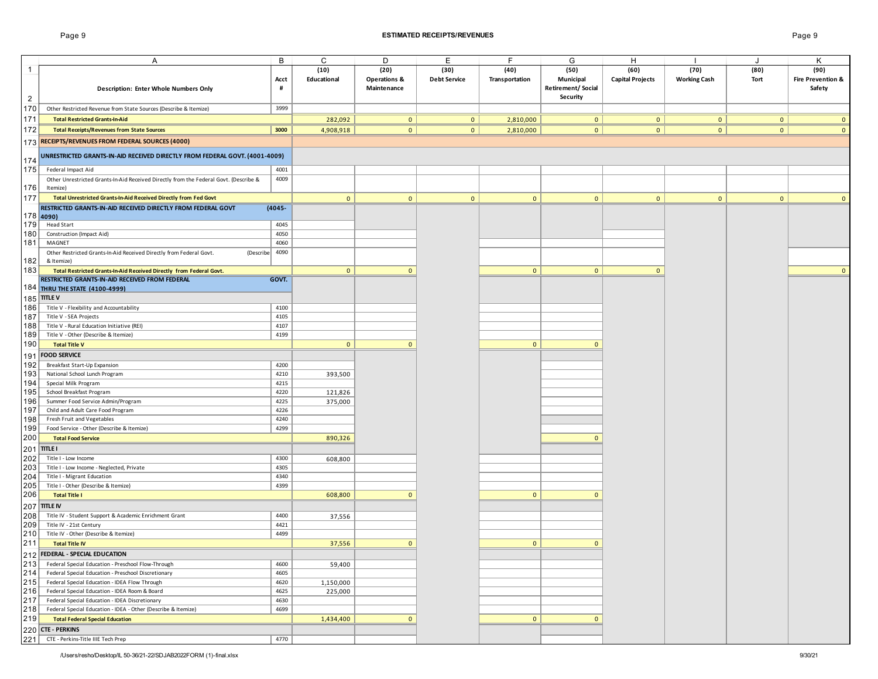## Page 9 **ESTIMATED RECEIPTS/REVENUES** Page 9

|                | A                                                                                     | B         | C            | D                       | Е                   | F              | G                        | H                       |                     | J            | Κ                 |
|----------------|---------------------------------------------------------------------------------------|-----------|--------------|-------------------------|---------------------|----------------|--------------------------|-------------------------|---------------------|--------------|-------------------|
| $\overline{1}$ |                                                                                       |           | (10)         | (20)                    | (30)                | (40)           | (50)                     | (60)                    | (70)                | (80)         | (90)              |
|                |                                                                                       | Acct      | Educational  | <b>Operations &amp;</b> | <b>Debt Service</b> | Transportation | Municipal                | <b>Capital Projects</b> | <b>Working Cash</b> | Tort         | Fire Prevention & |
|                | <b>Description: Enter Whole Numbers Only</b>                                          | #         |              | Maintenance             |                     |                | <b>Retirement/Social</b> |                         |                     |              | Safety            |
| $\overline{2}$ |                                                                                       |           |              |                         |                     |                | Security                 |                         |                     |              |                   |
|                |                                                                                       |           |              |                         |                     |                |                          |                         |                     |              |                   |
| 170            | Other Restricted Revenue from State Sources (Describe & Itemize)                      | 3999      |              |                         |                     |                |                          |                         |                     |              |                   |
| 171            | <b>Total Restricted Grants-In-Aid</b>                                                 |           | 282,092      | $\overline{0}$          | $\overline{0}$      | 2,810,000      | $\mathbf{0}$             | $\mathbf{0}$            | $\overline{0}$      | $\mathbf{0}$ | $\mathbf{0}$      |
| 172            | <b>Total Receipts/Revenues from State Sources</b>                                     | 3000      | 4,908,918    | $\circ$                 | 0                   | 2,810,000      | $\mathbf{0}$             | 0                       | $\overline{0}$      | $\mathbf{0}$ | $\mathbf{0}$      |
|                | 173 RECEIPTS/REVENUES FROM FEDERAL SOURCES (4000)                                     |           |              |                         |                     |                |                          |                         |                     |              |                   |
|                |                                                                                       |           |              |                         |                     |                |                          |                         |                     |              |                   |
|                | UNRESTRICTED GRANTS-IN-AID RECEIVED DIRECTLY FROM FEDERAL GOVT. (4001-4009)           |           |              |                         |                     |                |                          |                         |                     |              |                   |
| 174            |                                                                                       |           |              |                         |                     |                |                          |                         |                     |              |                   |
| 175            | Federal Impact Aid                                                                    | 4001      |              |                         |                     |                |                          |                         |                     |              |                   |
|                | Other Unrestricted Grants-In-Aid Received Directly from the Federal Govt. (Describe & | 4009      |              |                         |                     |                |                          |                         |                     |              |                   |
| 176            | Itemize)                                                                              |           |              |                         |                     |                |                          |                         |                     |              |                   |
| 177            | Total Unrestricted Grants-In-Aid Received Directly from Fed Govt                      |           | $\mathbf{0}$ | $\mathbf{0}$            | $\mathbf{0}$        | $\mathbf{0}$   | $\mathbf{0}$             | $\overline{\mathbf{0}}$ | $\mathbf{0}$        | $\mathbf{0}$ | $\Omega$          |
|                | RESTRICTED GRANTS-IN-AID RECEIVED DIRECTLY FROM FEDERAL GOVT                          | $(4045 -$ |              |                         |                     |                |                          |                         |                     |              |                   |
|                | $178$ 4090)                                                                           |           |              |                         |                     |                |                          |                         |                     |              |                   |
| 179            | <b>Head Start</b>                                                                     | 4045      |              |                         |                     |                |                          |                         |                     |              |                   |
| 180            | Construction (Impact Aid)                                                             | 4050      |              |                         |                     |                |                          |                         |                     |              |                   |
| 181            | MAGNET                                                                                | 4060      |              |                         |                     |                |                          |                         |                     |              |                   |
|                | Other Restricted Grants-In-Aid Received Directly from Federal Govt.<br>(Describe      | 4090      |              |                         |                     |                |                          |                         |                     |              |                   |
| 182            | & Itemize)                                                                            |           |              |                         |                     |                |                          |                         |                     |              |                   |
| 183            | Total Restricted Grants-In-Aid Received Directly from Federal Govt.                   |           | $\mathbf{0}$ | $\mathbf{0}$            |                     | $\mathbf{0}$   | $\mathbf{0}$             | $\mathbf{0}$            |                     |              | $\mathbf{0}$      |
|                | RESTRICTED GRANTS-IN-AID RECEIVED FROM FEDERAL                                        | GOVT.     |              |                         |                     |                |                          |                         |                     |              |                   |
|                | 184 THRU THE STATE (4100-4999)                                                        |           |              |                         |                     |                |                          |                         |                     |              |                   |
| 185            | <b>TITLE V</b>                                                                        |           |              |                         |                     |                |                          |                         |                     |              |                   |
|                |                                                                                       |           |              |                         |                     |                |                          |                         |                     |              |                   |
| 186            | Title V - Flexibility and Accountability                                              | 4100      |              |                         |                     |                |                          |                         |                     |              |                   |
| 187            | Title V - SEA Projects                                                                | 4105      |              |                         |                     |                |                          |                         |                     |              |                   |
| 188            | Title V - Rural Education Initiative (REI)                                            | 4107      |              |                         |                     |                |                          |                         |                     |              |                   |
| 189            | Title V - Other (Describe & Itemize)                                                  | 4199      |              |                         |                     |                |                          |                         |                     |              |                   |
| 190            | <b>Total Title V</b>                                                                  |           | $\mathbf{0}$ | $\mathbf{0}$            |                     | $\mathbf{0}$   | $\mathbf{0}$             |                         |                     |              |                   |
| 191            | <b>FOOD SERVICE</b>                                                                   |           |              |                         |                     |                |                          |                         |                     |              |                   |
| 192            | Breakfast Start-Up Expansion                                                          | 4200      |              |                         |                     |                |                          |                         |                     |              |                   |
| 193            | National School Lunch Program                                                         | 4210      | 393,500      |                         |                     |                |                          |                         |                     |              |                   |
| 194            | Special Milk Program                                                                  | 4215      |              |                         |                     |                |                          |                         |                     |              |                   |
| 195            | School Breakfast Program                                                              | 4220      | 121,826      |                         |                     |                |                          |                         |                     |              |                   |
| 196            | Summer Food Service Admin/Program                                                     | 4225      | 375,000      |                         |                     |                |                          |                         |                     |              |                   |
| 197            | Child and Adult Care Food Program                                                     | 4226      |              |                         |                     |                |                          |                         |                     |              |                   |
| 198            | Fresh Fruit and Vegetables                                                            | 4240      |              |                         |                     |                |                          |                         |                     |              |                   |
| 199            | Food Service - Other (Describe & Itemize)                                             | 4299      |              |                         |                     |                |                          |                         |                     |              |                   |
| 200            | <b>Total Food Service</b>                                                             |           | 890,326      |                         |                     |                | $\mathbf{0}$             |                         |                     |              |                   |
| 201            | <b>TITLE I</b>                                                                        |           |              |                         |                     |                |                          |                         |                     |              |                   |
| 202            | Title I - Low Income                                                                  | 4300      | 608,800      |                         |                     |                |                          |                         |                     |              |                   |
| 203            | Title I - Low Income - Neglected, Private                                             | 4305      |              |                         |                     |                |                          |                         |                     |              |                   |
| 204            | Title I - Migrant Education                                                           | 4340      |              |                         |                     |                |                          |                         |                     |              |                   |
| 205            | Title I - Other (Describe & Itemize)                                                  | 4399      |              |                         |                     |                |                          |                         |                     |              |                   |
| 206            | <b>Total Title I</b>                                                                  |           | 608,800      | $\mathbf{0}$            |                     | $\mathbf{0}$   | $\mathbf{0}$             |                         |                     |              |                   |
|                |                                                                                       |           |              |                         |                     |                |                          |                         |                     |              |                   |
| 207            | <b>TITLE IV</b>                                                                       |           |              |                         |                     |                |                          |                         |                     |              |                   |
| 208            | Title IV - Student Support & Academic Enrichment Grant                                | 4400      | 37,556       |                         |                     |                |                          |                         |                     |              |                   |
| 209            | Title IV - 21st Century                                                               | 4421      |              |                         |                     |                |                          |                         |                     |              |                   |
| 210            | Title IV - Other (Describe & Itemize)                                                 | 4499      |              |                         |                     |                |                          |                         |                     |              |                   |
| 211            | <b>Total Title IV</b>                                                                 |           | 37,556       | $\mathbf{0}$            |                     | $\mathbf{0}$   | $\mathbf{0}$             |                         |                     |              |                   |
|                | 212 FEDERAL - SPECIAL EDUCATION                                                       |           |              |                         |                     |                |                          |                         |                     |              |                   |
| 213            | Federal Special Education - Preschool Flow-Through                                    | 4600      | 59,400       |                         |                     |                |                          |                         |                     |              |                   |
| 214            | Federal Special Education - Preschool Discretionary                                   | 4605      |              |                         |                     |                |                          |                         |                     |              |                   |
| 215            | Federal Special Education - IDEA Flow Through                                         | 4620      | 1,150,000    |                         |                     |                |                          |                         |                     |              |                   |
| 216            | Federal Special Education - IDEA Room & Board                                         | 4625      | 225,000      |                         |                     |                |                          |                         |                     |              |                   |
| 217            | Federal Special Education - IDEA Discretionary                                        | 4630      |              |                         |                     |                |                          |                         |                     |              |                   |
| 218            | Federal Special Education - IDEA - Other (Describe & Itemize)                         | 4699      |              |                         |                     |                |                          |                         |                     |              |                   |
| 219            | <b>Total Federal Special Education</b>                                                |           | 1,434,400    | $\mathbf{0}$            |                     | $\mathbf{0}$   | $\mathbf{0}$             |                         |                     |              |                   |
|                | 220 CTE - PERKINS                                                                     |           |              |                         |                     |                |                          |                         |                     |              |                   |
| 221            | CTE - Perkins-Title IIIE Tech Prep                                                    | 4770      |              |                         |                     |                |                          |                         |                     |              |                   |
|                |                                                                                       |           |              |                         |                     |                |                          |                         |                     |              |                   |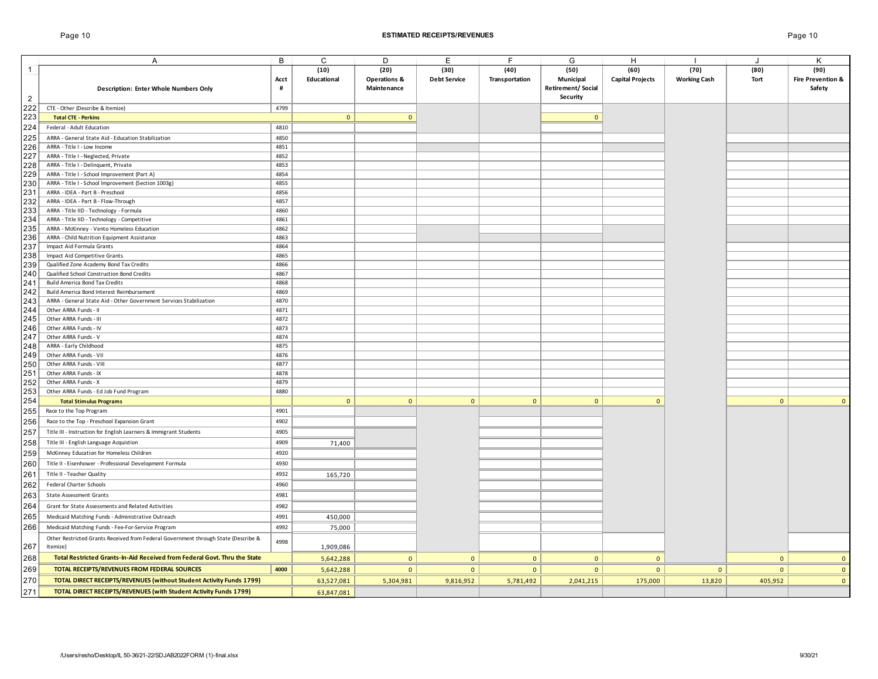1

2

A B C D E F G H I J K

| <b>Description: Enter Whole Numbers Only</b>                                       | Acct<br>#    | (10)<br>Educational | (20)<br><b>Operations &amp;</b><br>Maintenance | (30)<br><b>Debt Service</b> | (40)<br>Transportation | (50)<br>Municipal<br><b>Retirement/Social</b> | (60)<br><b>Capital Projects</b> | (70)<br><b>Working Cash</b> | (80)<br>Tort   | (90)<br>Fire Prevention &<br>Safety |
|------------------------------------------------------------------------------------|--------------|---------------------|------------------------------------------------|-----------------------------|------------------------|-----------------------------------------------|---------------------------------|-----------------------------|----------------|-------------------------------------|
|                                                                                    |              |                     |                                                |                             |                        | <b>Security</b>                               |                                 |                             |                |                                     |
| CTE - Other (Describe & Itemize)                                                   | 4799         |                     |                                                |                             |                        |                                               |                                 |                             |                |                                     |
| <b>Total CTE - Perkins</b>                                                         |              | $\mathbf{0}$        | $\mathbf{0}$                                   |                             |                        | $\mathbf{0}$                                  |                                 |                             |                |                                     |
| Federal - Adult Education                                                          | 4810         |                     |                                                |                             |                        |                                               |                                 |                             |                |                                     |
| ARRA - General State Aid - Education Stabilization                                 | 4850         |                     |                                                |                             |                        |                                               |                                 |                             |                |                                     |
| ARRA - Title I - Low Income                                                        | 4851         |                     |                                                |                             |                        |                                               |                                 |                             |                |                                     |
| ARRA - Title I - Neglected, Private                                                | 4852         |                     |                                                |                             |                        |                                               |                                 |                             |                |                                     |
| ARRA - Title I - Delinquent, Private                                               | 4853         |                     |                                                |                             |                        |                                               |                                 |                             |                |                                     |
| ARRA - Title I - School Improvement (Part A)                                       | 4854         |                     |                                                |                             |                        |                                               |                                 |                             |                |                                     |
| ARRA - Title I - School Improvement (Section 1003g)                                | 4855         |                     |                                                |                             |                        |                                               |                                 |                             |                |                                     |
| ARRA - IDEA - Part B - Preschool                                                   | 4856         |                     |                                                |                             |                        |                                               |                                 |                             |                |                                     |
| ARRA - IDEA - Part B - Flow-Through                                                | 4857         |                     |                                                |                             |                        |                                               |                                 |                             |                |                                     |
| ARRA - Title IID - Technology - Formula                                            | 4860         |                     |                                                |                             |                        |                                               |                                 |                             |                |                                     |
| ARRA - Title IID - Technology - Competitive                                        | 4861         |                     |                                                |                             |                        |                                               |                                 |                             |                |                                     |
| ARRA - McKinney - Vento Homeless Education                                         | 4862         |                     |                                                |                             |                        |                                               |                                 |                             |                |                                     |
| ARRA - Child Nutrition Equipment Assistance                                        | 4863         |                     |                                                |                             |                        |                                               |                                 |                             |                |                                     |
| Impact Aid Formula Grants                                                          | 4864         |                     |                                                |                             |                        |                                               |                                 |                             |                |                                     |
| Impact Aid Competitive Grants                                                      | 4865         |                     |                                                |                             |                        |                                               |                                 |                             |                |                                     |
| Qualified Zone Academy Bond Tax Credits                                            | 4866         |                     |                                                |                             |                        |                                               |                                 |                             |                |                                     |
| Qualified School Construction Bond Credits                                         | 4867         |                     |                                                |                             |                        |                                               |                                 |                             |                |                                     |
| Build America Bond Tax Credits                                                     | 4868         |                     |                                                |                             |                        |                                               |                                 |                             |                |                                     |
| Build America Bond Interest Reimbursement                                          | 4869         |                     |                                                |                             |                        |                                               |                                 |                             |                |                                     |
| ARRA - General State Aid - Other Government Services Stabilization                 | 4870         |                     |                                                |                             |                        |                                               |                                 |                             |                |                                     |
| Other ARRA Funds - II                                                              | 4871         |                     |                                                |                             |                        |                                               |                                 |                             |                |                                     |
| Other ARRA Funds - III<br>Other ARRA Funds - IV                                    | 4872<br>4873 |                     |                                                |                             |                        |                                               |                                 |                             |                |                                     |
| Other ARRA Funds - V                                                               | 4874         |                     |                                                |                             |                        |                                               |                                 |                             |                |                                     |
| ARRA - Early Childhood                                                             | 4875         |                     |                                                |                             |                        |                                               |                                 |                             |                |                                     |
| Other ARRA Funds - VII                                                             | 4876         |                     |                                                |                             |                        |                                               |                                 |                             |                |                                     |
| Other ARRA Funds - VIII                                                            | 4877         |                     |                                                |                             |                        |                                               |                                 |                             |                |                                     |
| Other ARRA Funds - IX                                                              | 4878         |                     |                                                |                             |                        |                                               |                                 |                             |                |                                     |
| Other ARRA Funds - X                                                               | 4879         |                     |                                                |                             |                        |                                               |                                 |                             |                |                                     |
| Other ARRA Funds - Ed Job Fund Program                                             | 4880         |                     |                                                |                             |                        |                                               |                                 |                             |                |                                     |
| <b>Total Stimulus Programs</b>                                                     |              | $\mathbf 0$         | $\mathbf{0}$                                   | $\mathbf{0}$                | $\mathbf{0}$           | $\mathbf{0}$                                  | $\mathbf{0}$                    |                             | $\overline{0}$ | $\mathbf{0}$                        |
| Race to the Top Program                                                            | 4901         |                     |                                                |                             |                        |                                               |                                 |                             |                |                                     |
| Race to the Top - Preschool Expansion Grant                                        | 4902         |                     |                                                |                             |                        |                                               |                                 |                             |                |                                     |
| Title III - Instruction for English Learners & Immigrant Students                  | 4905         |                     |                                                |                             |                        |                                               |                                 |                             |                |                                     |
| Title III - English Language Acquistion                                            | 4909         |                     |                                                |                             |                        |                                               |                                 |                             |                |                                     |
| McKinney Education for Homeless Children                                           | 4920         | 71,400              |                                                |                             |                        |                                               |                                 |                             |                |                                     |
|                                                                                    |              |                     |                                                |                             |                        |                                               |                                 |                             |                |                                     |
| Title II - Eisenhower - Professional Development Formula                           | 4930         |                     |                                                |                             |                        |                                               |                                 |                             |                |                                     |
| Title II - Teacher Quality                                                         | 4932         | 165,720             |                                                |                             |                        |                                               |                                 |                             |                |                                     |
| Federal Charter Schools                                                            | 4960         |                     |                                                |                             |                        |                                               |                                 |                             |                |                                     |
| <b>State Assessment Grants</b>                                                     | 4981         |                     |                                                |                             |                        |                                               |                                 |                             |                |                                     |
| Grant for State Assessments and Related Activities                                 | 4982         |                     |                                                |                             |                        |                                               |                                 |                             |                |                                     |
| Medicaid Matching Funds - Administrative Outreach                                  | 4991         | 450,000             |                                                |                             |                        |                                               |                                 |                             |                |                                     |
| Medicaid Matching Funds - Fee-For-Service Program                                  | 4992         | 75,000              |                                                |                             |                        |                                               |                                 |                             |                |                                     |
| Other Restricted Grants Received from Federal Government through State (Describe & | 4998         |                     |                                                |                             |                        |                                               |                                 |                             |                |                                     |
| Itemize)                                                                           |              | 1,909,086           |                                                |                             |                        |                                               |                                 |                             |                |                                     |
| Total Restricted Grants-In-Aid Received from Federal Govt. Thru the State          |              | 5,642,288           | $\mathbf{0}$                                   | $\mathbf{0}$                | $\mathbf{0}$           | $\mathbf{0}$                                  | $\mathbf{0}$                    |                             | $\mathbf{0}$   | $\overline{0}$                      |
| TOTAL RECEIPTS/REVENUES FROM FEDERAL SOURCES                                       | 4000         | 5,642,288           | $\mathbf{0}$                                   | $\mathbf{0}$                | $\mathbf{0}$           | $\mathbf{0}$                                  | $\overline{0}$                  | $\mathbf{0}$                | $\overline{0}$ | $\mathbf{0}$                        |
| <b>TOTAL DIRECT RECEIPTS/REVENUES (without Student Activity Funds 1799)</b>        |              | 63,527,081          | 5,304,981                                      | 9,816,952                   | 5,781,492              | 2,041,215                                     | 175,000                         | 13,820                      | 405,952        | $\mathbf{0}$                        |
| <b>TOTAL DIRECT RECEIPTS/REVENUES (with Student Activity Funds 1799)</b>           |              | 63,847,081          |                                                |                             |                        |                                               |                                 |                             |                |                                     |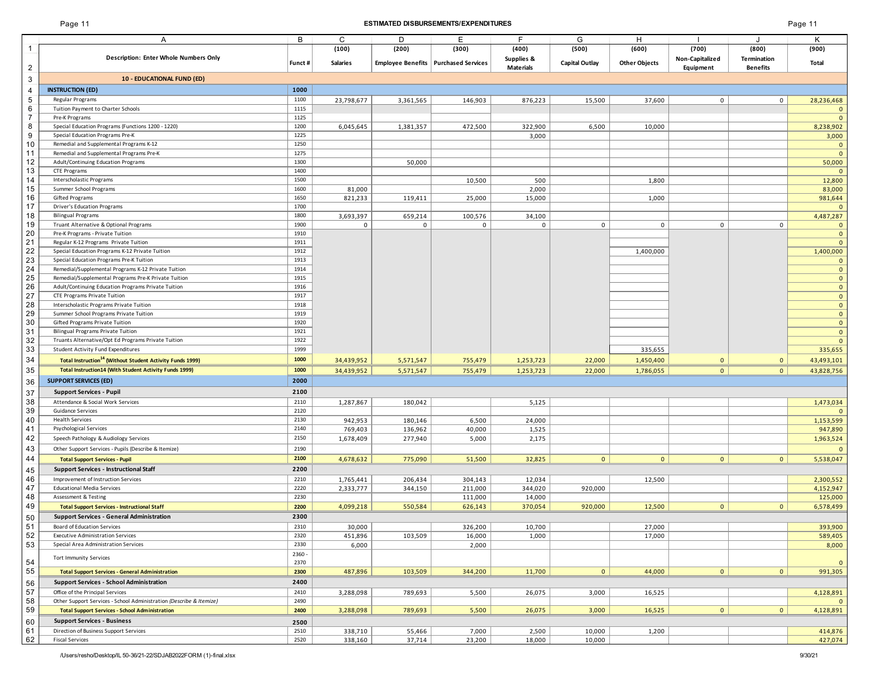## Page 11 **ESTIMATED DISBURSEMENTS/EXPENDITURES** Page 11

| Page 1 |  |  |
|--------|--|--|
|--------|--|--|

|                     | Α                                                                                   | В                | C                 | D         | Е                                      | F                              | G                     | н                    |                              | $\cdot$                     | Κ                            |
|---------------------|-------------------------------------------------------------------------------------|------------------|-------------------|-----------|----------------------------------------|--------------------------------|-----------------------|----------------------|------------------------------|-----------------------------|------------------------------|
|                     | Description: Enter Whole Numbers Only                                               |                  | (100)             | (200)     | (300)                                  | (400)                          | (500)                 | (600)                | (700)                        | (800)<br><b>Termination</b> | (900)                        |
| $\overline{c}$      |                                                                                     | Funct #          | <b>Salaries</b>   |           | Employee Benefits   Purchased Services | Supplies &<br><b>Materials</b> | <b>Capital Outlay</b> | <b>Other Objects</b> | Non-Capitalized<br>Equipment | <b>Benefits</b>             | Total                        |
| 3                   | 10 - EDUCATIONAL FUND (ED)                                                          |                  |                   |           |                                        |                                |                       |                      |                              |                             |                              |
| 4                   | <b>INSTRUCTION (ED)</b>                                                             | 1000             |                   |           |                                        |                                |                       |                      |                              |                             |                              |
| 5                   | Regular Programs                                                                    | 1100             | 23,798,677        | 3,361,565 | 146,903                                | 876,223                        | 15,500                | 37,600               | $\mathbf{0}$                 | $\mathbf 0$                 | 28,236,468                   |
| 6<br>$\overline{7}$ | Tuition Payment to Charter Schools<br>Pre-K Programs                                | 1115<br>1125     |                   |           |                                        |                                |                       |                      |                              |                             | $\mathbf 0$<br>$\mathbf{0}$  |
| 8                   | Special Education Programs (Functions 1200 - 1220)                                  | 1200             | 6,045,645         | 1,381,357 | 472,500                                | 322,900                        | 6,500                 | 10,000               |                              |                             | 8,238,902                    |
| 9                   | Special Education Programs Pre-K                                                    | 1225             |                   |           |                                        | 3,000                          |                       |                      |                              |                             | 3,000                        |
| 10                  | Remedial and Supplemental Programs K-12                                             | 1250             |                   |           |                                        |                                |                       |                      |                              |                             | $\mathbf{0}$                 |
| 11                  | Remedial and Supplemental Programs Pre-K                                            | 1275             |                   |           |                                        |                                |                       |                      |                              |                             | $\mathbf{0}$                 |
| 12                  | Adult/Continuing Education Programs                                                 | 1300<br>1400     |                   | 50,000    |                                        |                                |                       |                      |                              |                             | 50,000                       |
| 13<br>14            | CTE Programs<br>Interscholastic Programs                                            | 1500             |                   |           | 10,500                                 | 500                            |                       | 1,800                |                              |                             | $\mathbf{0}$<br>12,800       |
| 15                  | Summer School Programs                                                              | 1600             | 81,000            |           |                                        | 2,000                          |                       |                      |                              |                             | 83,000                       |
| 16                  | Gifted Programs                                                                     | 1650             | 821,233           | 119,411   | 25,000                                 | 15,000                         |                       | 1,000                |                              |                             | 981,644                      |
| 17                  | Driver's Education Programs                                                         | 1700             |                   |           |                                        |                                |                       |                      |                              |                             | $\mathbf{0}$                 |
| 18                  | <b>Bilingual Programs</b>                                                           | 1800             | 3,693,397         | 659,214   | 100,576                                | 34,100                         |                       |                      |                              |                             | 4,487,287                    |
| 19<br>20            | Truant Alternative & Optional Programs<br>Pre-K Programs - Private Tuition          | 1900<br>1910     | 0                 | 0         | $\mathbf 0$                            | $\mathbf 0$                    | $\mathsf 0$           | $\mathbf 0$          | $\mathbf 0$                  | $\mathbf 0$                 | $\mathbf{0}$                 |
| 21                  | Regular K-12 Programs Private Tuition                                               | 1911             |                   |           |                                        |                                |                       |                      |                              |                             | $\mathbf{0}$<br>$\mathbf{0}$ |
| 22                  | Special Education Programs K-12 Private Tuition                                     | 1912             |                   |           |                                        |                                |                       | 1,400,000            |                              |                             | 1,400,000                    |
| 23                  | Special Education Programs Pre-K Tuition                                            | 1913             |                   |           |                                        |                                |                       |                      |                              |                             | $\mathbf{0}$                 |
| 24                  | Remedial/Supplemental Programs K-12 Private Tuition                                 | 1914             |                   |           |                                        |                                |                       |                      |                              |                             | $\mathbf{0}$                 |
| 25                  | Remedial/Supplemental Programs Pre-K Private Tuition                                | 1915             |                   |           |                                        |                                |                       |                      |                              |                             | $\mathbf 0$                  |
| 26<br>27            | Adult/Continuing Education Programs Private Tuition<br>CTE Programs Private Tuition | 1916<br>1917     |                   |           |                                        |                                |                       |                      |                              |                             | $\mathbf 0$<br>$\mathbf 0$   |
| 28                  | Interscholastic Programs Private Tuition                                            | 1918             |                   |           |                                        |                                |                       |                      |                              |                             | $\mathbf 0$                  |
| 29                  | Summer School Programs Private Tuition                                              | 1919             |                   |           |                                        |                                |                       |                      |                              |                             | $\mathbf{0}$                 |
| 30                  | Gifted Programs Private Tuition                                                     | 1920             |                   |           |                                        |                                |                       |                      |                              |                             | $\mathbf{0}$                 |
| 31                  | Bilingual Programs Private Tuition                                                  | 1921             |                   |           |                                        |                                |                       |                      |                              |                             | $\mathbf{0}$                 |
| 32                  | Truants Alternative/Opt Ed Programs Private Tuition                                 | 1922             |                   |           |                                        |                                |                       |                      |                              |                             | $\mathbf{0}$                 |
| 33                  | Student Activity Fund Expenditures                                                  | 1999             |                   |           |                                        |                                |                       | 335,655              |                              |                             | 335,655                      |
| 34                  | Total Instruction <sup>14</sup> (Without Student Activity Funds 1999)               | 1000             | 34,439,952        | 5,571,547 | 755,479                                | 1,253,723                      | 22,000                | 1,450,400            | $\mathbf{0}$                 | $\mathbf{0}$                | 43,493,101                   |
| 35                  | Total Instruction14 (With Student Activity Funds 1999)                              | 1000             | 34,439,952        | 5,571,547 | 755,479                                | 1,253,723                      | 22,000                | 1,786,055            | $\circ$                      | 0                           | 43,828,756                   |
| 36                  | <b>SUPPORT SERVICES (ED)</b>                                                        | 2000             |                   |           |                                        |                                |                       |                      |                              |                             |                              |
| 37                  | <b>Support Services - Pupil</b>                                                     | 2100             |                   |           |                                        |                                |                       |                      |                              |                             |                              |
| 38<br>39            | Attendance & Social Work Services<br>Guidance Services                              | 2110<br>2120     | 1,287,867         | 180,042   |                                        | 5,125                          |                       |                      |                              |                             | 1,473,034                    |
| 40                  | <b>Health Services</b>                                                              | 2130             | 942,953           | 180,146   | 6,500                                  | 24,000                         |                       |                      |                              |                             | 1,153,599                    |
| 41                  | Psychological Services                                                              | 2140             | 769,403           | 136,962   | 40,000                                 | 1,525                          |                       |                      |                              |                             | 947,890                      |
| 42                  | Speech Pathology & Audiology Services                                               | 2150             | 1,678,409         | 277,940   | 5,000                                  | 2,175                          |                       |                      |                              |                             | 1,963,524                    |
| 43                  | Other Support Services - Pupils (Describe & Itemize)                                | 2190             |                   |           |                                        |                                |                       |                      |                              |                             | $\mathbf{0}$                 |
| 44                  | <b>Total Support Services - Pupil</b>                                               | 2100             | 4,678,632         | 775,090   | 51,500                                 | 32,825                         | $\mathbf{0}$          | $\mathbf{0}$         | $\overline{0}$               | $\overline{0}$              | 5,538,047                    |
| 45                  | <b>Support Services - Instructional Staff</b>                                       | 2200             |                   |           |                                        |                                |                       |                      |                              |                             |                              |
| 46                  | Improvement of Instruction Services                                                 | 2210             | 1,765,441         | 206,434   | 304,143                                | 12,034                         |                       | 12,500               |                              |                             | 2,300,552                    |
| 47                  | <b>Educational Media Services</b>                                                   | 2220             | 2,333,777         | 344,150   | 211,000                                | 344,020                        | 920,000               |                      |                              |                             | 4,152,947                    |
| 48<br>49            | Assessment & Testing                                                                | 2230<br>2200     |                   |           | 111,000<br>626,143                     | 14,000                         | 920,000               | 12,500               | $\mathbf{0}$                 | $\overline{0}$              | 125,000                      |
|                     | <b>Total Support Services - Instructional Staff</b>                                 |                  | 4,099,218         | 550,584   |                                        | 370,054                        |                       |                      |                              |                             | 6,578,499                    |
| 50<br>51            | <b>Support Services - General Administration</b><br>Board of Education Services     | 2300<br>2310     |                   |           |                                        |                                |                       |                      |                              |                             |                              |
| 52                  | <b>Executive Administration Services</b>                                            | 2320             | 30,000<br>451,896 | 103,509   | 326,200<br>16,000                      | 10,700<br>1,000                |                       | 27,000<br>17,000     |                              |                             | 393,900<br>589,405           |
| 53                  | Special Area Administration Services                                                | 2330             | 6,000             |           | 2,000                                  |                                |                       |                      |                              |                             | 8,000                        |
| 54                  | <b>Tort Immunity Services</b>                                                       | $2360 -$<br>2370 |                   |           |                                        |                                |                       |                      |                              |                             | $\mathbf{0}$                 |
| 55                  | <b>Total Support Services - General Administration</b>                              | 2300             | 487,896           | 103,509   | 344,200                                | 11,700                         | $\mathbf{0}$          | 44,000               | $\circ$                      | $\overline{0}$              | 991,305                      |
| 56                  | <b>Support Services - School Administration</b>                                     | 2400             |                   |           |                                        |                                |                       |                      |                              |                             |                              |
| 57                  | Office of the Principal Services                                                    | 2410             | 3,288,098         | 789,693   | 5,500                                  | 26,075                         | 3,000                 | 16,525               |                              |                             | 4,128,891                    |
| 58                  | Other Support Services - School Administration (Describe & Itemize)                 | 2490             |                   |           |                                        |                                |                       |                      |                              |                             | $\mathbf{0}$                 |
| 59                  | <b>Total Support Services - School Administration</b>                               | 2400             | 3,288,098         | 789,693   | 5,500                                  | 26,075                         | 3,000                 | 16,525               | 0                            | 0                           | 4,128,891                    |
| 60                  | <b>Support Services - Business</b>                                                  | 2500             |                   |           |                                        |                                |                       |                      |                              |                             |                              |
| 61                  | Direction of Business Support Services                                              | 2510             | 338,710           | 55,466    | 7,000                                  | 2,500                          | 10,000                | 1,200                |                              |                             | 414,876                      |
| 62                  | <b>Fiscal Services</b>                                                              | 2520             | 338,160           | 37,714    | 23,200                                 | 18,000                         | 10,000                |                      |                              |                             | 427,074                      |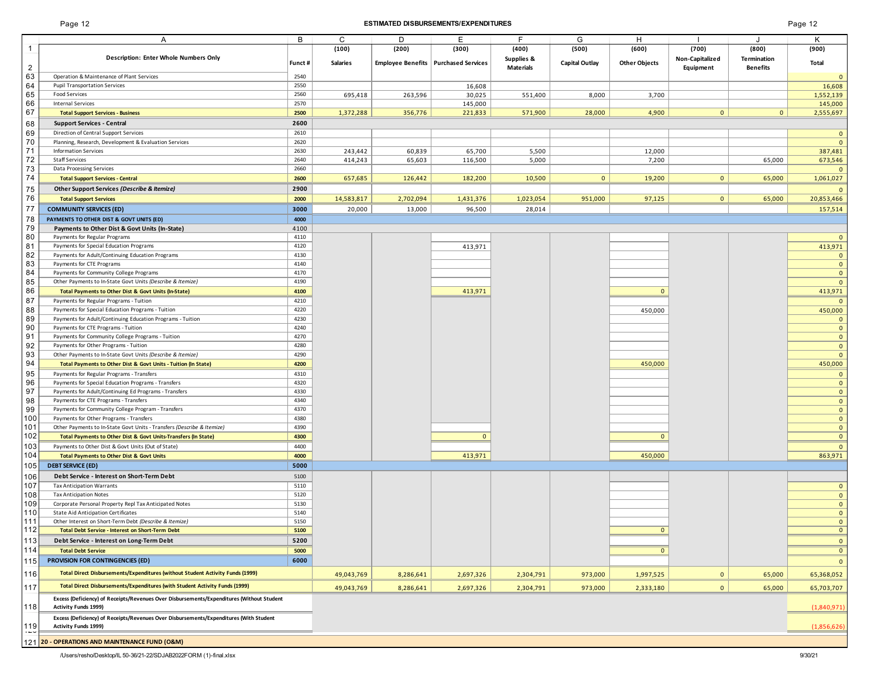## Page 12 **ESTIMATED DISBURSEMENTS/EXPENDITURES** Page 12

|                | A                                                                                                                        | в            | C               | D         | E                                      | F.         | G                     | H                    |                 | J               | K                              |
|----------------|--------------------------------------------------------------------------------------------------------------------------|--------------|-----------------|-----------|----------------------------------------|------------|-----------------------|----------------------|-----------------|-----------------|--------------------------------|
|                |                                                                                                                          |              | (100)           | (200)     | (300)                                  | (400)      | (500)                 | (600)                | (700)           | (800)           | (900)                          |
|                | <b>Description: Enter Whole Numbers Only</b>                                                                             | Funct #      | <b>Salaries</b> |           | Employee Benefits   Purchased Services | Supplies & | <b>Capital Outlay</b> | <b>Other Objects</b> | Non-Capitalized | Termination     | Total                          |
| $\overline{2}$ |                                                                                                                          |              |                 |           |                                        | Materials  |                       |                      | Equipment       | <b>Benefits</b> |                                |
| 63             | Operation & Maintenance of Plant Services                                                                                | 2540         |                 |           |                                        |            |                       |                      |                 |                 | $\mathbf 0$                    |
| 64             | Pupil Transportation Services                                                                                            | 2550         |                 |           | 16,608                                 |            |                       |                      |                 |                 | 16,608                         |
| 65             | Food Services                                                                                                            | 2560         | 695,418         | 263,596   | 30,025                                 | 551,400    | 8,000                 | 3,700                |                 |                 | 1,552,139                      |
| 66             | <b>Internal Services</b>                                                                                                 | 2570         |                 |           | 145,000                                |            |                       |                      |                 |                 | 145,000                        |
| 67             | <b>Total Support Services - Business</b>                                                                                 | 2500         | 1,372,288       | 356,776   | 221,833                                | 571,900    | 28,000                | 4,900                | $\mathbf{0}$    | $\mathbf{0}$    | 2,555,697                      |
| 68             | <b>Support Services - Central</b>                                                                                        | 2600         |                 |           |                                        |            |                       |                      |                 |                 |                                |
| 69             | Direction of Central Support Services                                                                                    | 2610         |                 |           |                                        |            |                       |                      |                 |                 | $\mathbf 0$                    |
| 70             | Planning, Research, Development & Evaluation Services                                                                    | 2620         |                 |           |                                        |            |                       |                      |                 |                 | $\mathbf{0}$                   |
| 71<br>72       | <b>Information Services</b><br><b>Staff Services</b>                                                                     | 2630<br>2640 | 243,442         | 60,839    | 65,700                                 | 5,500      |                       | 12,000               |                 |                 | 387,481                        |
| 73             | Data Processing Services                                                                                                 | 2660         | 414,243         | 65,603    | 116,500                                | 5,000      |                       | 7,200                |                 | 65,000          | 673,546                        |
| 74             | <b>Total Support Services - Central</b>                                                                                  | 2600         | 657,685         | 126,442   | 182,200                                | 10,500     | $\overline{0}$        | 19,200               | $\overline{0}$  | 65,000          | 1,061,027                      |
|                | Other Support Services (Describe & Itemize)                                                                              | 2900         |                 |           |                                        |            |                       |                      |                 |                 |                                |
| 75<br>76       |                                                                                                                          |              |                 |           |                                        | 1,023,054  | 951,000               | 97,125               | $\mathbf{0}$    | 65,000          | 20,853,466                     |
| 77             | <b>Total Support Services</b>                                                                                            | 2000         | 14,583,817      | 2,702,094 | 1,431,376                              |            |                       |                      |                 |                 |                                |
| 78             | <b>COMMUNITY SERVICES (ED)</b>                                                                                           | 3000         | 20,000          | 13,000    | 96,500                                 | 28,014     |                       |                      |                 |                 | 157,514                        |
| 79             | PAYMENTS TO OTHER DIST & GOVT UNITS (ED)                                                                                 | 4000<br>4100 |                 |           |                                        |            |                       |                      |                 |                 |                                |
| 80             | Payments to Other Dist & Govt Units (In-State)<br>Payments for Regular Programs                                          | 4110         |                 |           |                                        |            |                       |                      |                 |                 |                                |
| 81             | Payments for Special Education Programs                                                                                  | 4120         |                 |           | 413,971                                |            |                       |                      |                 |                 | 413,971                        |
| 82             | Payments for Adult/Continuing Education Programs                                                                         | 4130         |                 |           |                                        |            |                       |                      |                 |                 | $\overline{0}$                 |
| 83             | Payments for CTE Programs                                                                                                | 4140         |                 |           |                                        |            |                       |                      |                 |                 | $\mathbf 0$                    |
| 84             | Payments for Community College Programs                                                                                  | 4170         |                 |           |                                        |            |                       |                      |                 |                 | $\mathbf{0}$                   |
| 85             | Other Payments to In-State Govt Units (Describe & Itemize)                                                               | 4190         |                 |           |                                        |            |                       |                      |                 |                 | $\mathbf{0}$                   |
| 86             | Total Payments to Other Dist & Govt Units (In-State)                                                                     | 4100         |                 |           | 413,971                                |            |                       | $\mathbf{0}$         |                 |                 | 413,971                        |
| 87             | Payments for Regular Programs - Tuition                                                                                  | 4210         |                 |           |                                        |            |                       |                      |                 |                 | $\overline{0}$                 |
| 88             | Payments for Special Education Programs - Tuition                                                                        | 4220         |                 |           |                                        |            |                       | 450,000              |                 |                 | 450,000                        |
| 89             | Payments for Adult/Continuing Education Programs - Tuition                                                               | 4230         |                 |           |                                        |            |                       |                      |                 |                 | $\mathbf 0$                    |
| 90             | Payments for CTE Programs - Tuition                                                                                      | 4240         |                 |           |                                        |            |                       |                      |                 |                 | $\mathbf{0}$                   |
| 91             | Payments for Community College Programs - Tuition                                                                        | 4270         |                 |           |                                        |            |                       |                      |                 |                 | $\mathbf{0}$                   |
| 92<br>93       | Payments for Other Programs - Tuition                                                                                    | 4280<br>4290 |                 |           |                                        |            |                       |                      |                 |                 | $\mathbf 0$                    |
| 94             | Other Payments to In-State Govt Units (Describe & Itemize)                                                               | 4200         |                 |           |                                        |            |                       | 450,000              |                 |                 | $\mathbf{0}$<br>450,000        |
| 95             | Total Payments to Other Dist & Govt Units - Tuition (In State)<br>Payments for Regular Programs - Transfers              | 4310         |                 |           |                                        |            |                       |                      |                 |                 |                                |
| 96             | Payments for Special Education Programs - Transfers                                                                      | 4320         |                 |           |                                        |            |                       |                      |                 |                 | $\mathbf 0$<br>$\mathbf{0}$    |
| 97             | Payments for Adult/Continuing Ed Programs - Transfers                                                                    | 4330         |                 |           |                                        |            |                       |                      |                 |                 | $\mathbf 0$                    |
| 98             | Payments for CTE Programs - Transfers                                                                                    | 4340         |                 |           |                                        |            |                       |                      |                 |                 | $\mathbf{0}$                   |
| 99             | Payments for Community College Program - Transfers                                                                       | 4370         |                 |           |                                        |            |                       |                      |                 |                 | $\mathbf 0$                    |
| 100            | Payments for Other Programs - Transfers                                                                                  | 4380         |                 |           |                                        |            |                       |                      |                 |                 | $\mathbf 0$                    |
| 101            | Other Payments to In-State Govt Units - Transfers (Describe & Itemize)                                                   | 4390         |                 |           |                                        |            |                       |                      |                 |                 | $\mathbf{0}$                   |
| 102            | Total Payments to Other Dist & Govt Units-Transfers (In State)                                                           | 4300         |                 |           | $\mathbf{0}$                           |            |                       | $\mathbf{0}$         |                 |                 | $\mathbf 0$                    |
| 103            | Payments to Other Dist & Govt Units (Out of State)                                                                       | 4400         |                 |           |                                        |            |                       |                      |                 |                 | $\overline{0}$                 |
| 104            | <b>Total Payments to Other Dist &amp; Govt Units</b>                                                                     | 4000         |                 |           | 413,971                                |            |                       | 450,000              |                 |                 | 863,971                        |
| 105            | <b>DEBT SERVICE (ED)</b>                                                                                                 | 5000         |                 |           |                                        |            |                       |                      |                 |                 |                                |
| 106            | Debt Service - Interest on Short-Term Debt                                                                               | 5100         |                 |           |                                        |            |                       |                      |                 |                 |                                |
| 107            | <b>Tax Anticipation Warrants</b>                                                                                         | 5110         |                 |           |                                        |            |                       |                      |                 |                 | $\mathbf{0}$                   |
| 108            | <b>Tax Anticipation Notes</b>                                                                                            | 5120         |                 |           |                                        |            |                       |                      |                 |                 | $\mathbf{0}$                   |
| 109            | Corporate Personal Property Repl Tax Anticipated Notes                                                                   | 5130         |                 |           |                                        |            |                       |                      |                 |                 | $\mathbf 0$                    |
| 110<br>111     | <b>State Aid Anticipation Certificates</b>                                                                               | 5140         |                 |           |                                        |            |                       |                      |                 |                 | $\mathbf{0}$                   |
| 112            | Other Interest on Short-Term Debt (Describe & Itemize)<br><b>Total Debt Service - Interest on Short-Term Debt</b>        | 5150<br>5100 |                 |           |                                        |            |                       | $\mathbf{0}$         |                 |                 | $\mathbf{0}$<br>$\mathbf{0}$   |
| 113            | Debt Service - Interest on Long-Term Debt                                                                                | 5200         |                 |           |                                        |            |                       |                      |                 |                 |                                |
| 114            | <b>Total Debt Service</b>                                                                                                | 5000         |                 |           |                                        |            |                       | $\mathbf{0}$         |                 |                 | $\mathbf{0}$<br>$\overline{0}$ |
|                | <b>PROVISION FOR CONTINGENCIES (ED)</b>                                                                                  | 6000         |                 |           |                                        |            |                       |                      |                 |                 |                                |
| 115            |                                                                                                                          |              |                 |           |                                        |            |                       |                      |                 |                 | $\mathbf{0}$                   |
| 116            | Total Direct Disbursements/Expenditures (without Student Activity Funds (1999)                                           |              | 49,043,769      | 8,286,641 | 2,697,326                              | 2,304,791  | 973,000               | 1,997,525            | $\mathbf{0}$    | 65,000          | 65,368,052                     |
| 117            | Total Direct Disbursements/Expenditures (with Student Activity Funds (1999)                                              |              | 49,043,769      | 8,286,641 | 2,697,326                              | 2,304,791  | 973,000               | 2,333,180            | $\mathbf{0}$    | 65,000          | 65,703,707                     |
| 118            | Excess (Deficiency) of Receipts/Revenues Over Disbursements/Expenditures (Without Student<br><b>Activity Funds 1999)</b> |              |                 |           |                                        |            |                       |                      |                 |                 | (1,840,971)                    |
|                | Excess (Deficiency) of Receipts/Revenues Over Disbursements/Expenditures (With Student                                   |              |                 |           |                                        |            |                       |                      |                 |                 |                                |
| 119<br>$-$     | <b>Activity Funds 1999)</b>                                                                                              |              |                 |           |                                        |            |                       |                      |                 |                 | (1,856,626)                    |
|                | 121 20 - OPERATIONS AND MAINTENANCE FUND (O&M)                                                                           |              |                 |           |                                        |            |                       |                      |                 |                 |                                |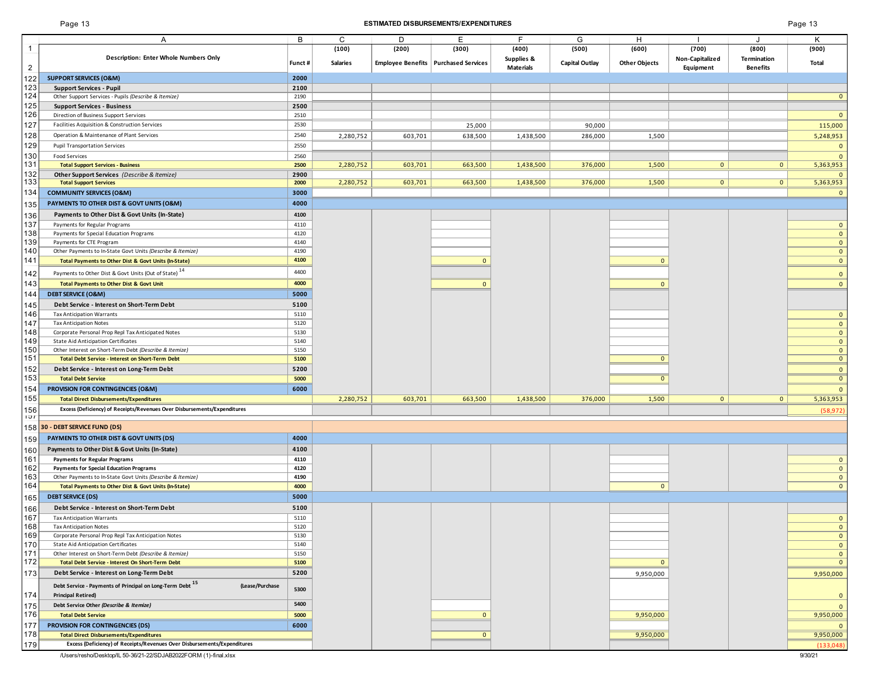## Page 13 **ESTIMATED DISBURSEMENTS/EXPENDITURES** Page 13

| age | 3 |
|-----|---|
|     |   |

|                | Α                                                                                      | B            | С               | D       | Е                                      | F                              | G                     | H                    |                                     | J                              | Κ                                |
|----------------|----------------------------------------------------------------------------------------|--------------|-----------------|---------|----------------------------------------|--------------------------------|-----------------------|----------------------|-------------------------------------|--------------------------------|----------------------------------|
| $\mathbf{1}$   |                                                                                        |              | (100)           | (200)   | (300)                                  | (400)                          | (500)                 | (600)                | (700)                               | (800)                          | (900)                            |
| $\overline{2}$ | <b>Description: Enter Whole Numbers Only</b>                                           | Funct#       | <b>Salaries</b> |         | Employee Benefits   Purchased Services | Supplies &<br><b>Materials</b> | <b>Capital Outlay</b> | <b>Other Objects</b> | <b>Non-Capitalized</b><br>Equipment | Termination<br><b>Benefits</b> | Total                            |
| 122            | <b>SUPPORT SERVICES (O&amp;M)</b>                                                      | 2000         |                 |         |                                        |                                |                       |                      |                                     |                                |                                  |
| 123            | <b>Support Services - Pupil</b>                                                        | 2100         |                 |         |                                        |                                |                       |                      |                                     |                                |                                  |
| 124            | Other Support Services - Pupils (Describe & Itemize)                                   | 2190         |                 |         |                                        |                                |                       |                      |                                     |                                | $\overline{0}$                   |
| 125            | <b>Support Services - Business</b>                                                     | 2500         |                 |         |                                        |                                |                       |                      |                                     |                                |                                  |
| 126            | Direction of Business Support Services                                                 | 2510         |                 |         |                                        |                                |                       |                      |                                     |                                | $\mathbf 0$                      |
| 127            | Facilities Acquisition & Construction Services                                         | 2530         |                 |         | 25,000                                 |                                | 90,000                |                      |                                     |                                | 115,000                          |
| 128            | Operation & Maintenance of Plant Services                                              | 2540         | 2,280,752       | 603,701 | 638,500                                | 1,438,500                      | 286,000               | 1,500                |                                     |                                | 5,248,953                        |
| 129            | <b>Pupil Transportation Services</b>                                                   | 2550         |                 |         |                                        |                                |                       |                      |                                     |                                | $\mathbf{0}$                     |
| 130            | Food Services                                                                          | 2560         |                 |         |                                        |                                |                       |                      |                                     |                                | $\mathbf{0}$                     |
| 131            | <b>Total Support Services - Business</b>                                               | 2500         | 2,280,752       | 603,701 | 663,500                                | 1,438,500                      | 376,000               | 1,500                | $\mathbf{0}$                        | $\mathbf{0}$                   | 5,363,953                        |
| 132<br>133     | Other Support Services (Describe & Itemize)                                            | 2900         |                 |         |                                        |                                |                       |                      |                                     |                                | $\mathbf{0}$                     |
|                | <b>Total Support Services</b>                                                          | 2000         | 2,280,752       | 603,701 | 663,500                                | 1,438,500                      | 376,000               | 1,500                | $\mathbf{0}$                        | $\overline{0}$                 | 5,363,953                        |
| 134            | <b>COMMUNITY SERVICES (O&amp;M)</b>                                                    | 3000         |                 |         |                                        |                                |                       |                      |                                     |                                | $\mathbf{0}$                     |
| 135            | PAYMENTS TO OTHER DIST & GOVT UNITS (O&M)                                              | 4000         |                 |         |                                        |                                |                       |                      |                                     |                                |                                  |
| 136            | Payments to Other Dist & Govt Units (In-State)                                         | 4100         |                 |         |                                        |                                |                       |                      |                                     |                                |                                  |
| 137            | Payments for Regular Programs                                                          | 4110         |                 |         |                                        |                                |                       |                      |                                     |                                | $\overline{0}$                   |
| 138            | Payments for Special Education Programs                                                | 4120<br>4140 |                 |         |                                        |                                |                       |                      |                                     |                                | $\overline{0}$                   |
| 139<br>140     | Payments for CTE Program<br>Other Payments to In-State Govt Units (Describe & Itemize) | 4190         |                 |         |                                        |                                |                       |                      |                                     |                                | $\mathbf{0}$<br>$\overline{0}$   |
| 141            | Total Payments to Other Dist & Govt Units (In-State)                                   | 4100         |                 |         | $\Omega$                               |                                |                       | $\mathbf{0}$         |                                     |                                | $\overline{0}$                   |
|                |                                                                                        | 4400         |                 |         |                                        |                                |                       |                      |                                     |                                |                                  |
| 142            | Payments to Other Dist & Govt Units (Out of State) <sup>14</sup>                       |              |                 |         |                                        |                                |                       |                      |                                     |                                | $\overline{0}$                   |
| 143            | <b>Total Payments to Other Dist &amp; Govt Unit</b>                                    | 4000         |                 |         | $\mathbf{0}$                           |                                |                       | $\mathbf{0}$         |                                     |                                | $\overline{0}$                   |
| 144            | <b>DEBT SERVICE (O&amp;M)</b>                                                          | 5000         |                 |         |                                        |                                |                       |                      |                                     |                                |                                  |
| 145            | Debt Service - Interest on Short-Term Debt                                             | 5100         |                 |         |                                        |                                |                       |                      |                                     |                                |                                  |
| 146            | <b>Tax Anticipation Warrants</b>                                                       | 5110         |                 |         |                                        |                                |                       |                      |                                     |                                | $\overline{0}$                   |
| 147            | <b>Tax Anticipation Notes</b><br>Corporate Personal Prop Repl Tax Anticipated Notes    | 5120<br>5130 |                 |         |                                        |                                |                       |                      |                                     |                                | $\overline{0}$                   |
| 148<br>149     | State Aid Anticipation Certificates                                                    | 5140         |                 |         |                                        |                                |                       |                      |                                     |                                | $\overline{0}$<br>$\overline{0}$ |
| 150            | Other Interest on Short-Term Debt (Describe & Itemize)                                 | 5150         |                 |         |                                        |                                |                       |                      |                                     |                                | $\overline{0}$                   |
| 151            | Total Debt Service - Interest on Short-Term Debt                                       | 5100         |                 |         |                                        |                                |                       | $\mathbf{0}$         |                                     |                                | $\overline{0}$                   |
| 152            | Debt Service - Interest on Long-Term Debt                                              | 5200         |                 |         |                                        |                                |                       |                      |                                     |                                | $\overline{0}$                   |
| 153            | <b>Total Debt Service</b>                                                              | 5000         |                 |         |                                        |                                |                       | $\mathbf{0}$         |                                     |                                | $\overline{0}$                   |
| 154            | PROVISION FOR CONTINGENCIES (O&M)                                                      | 6000         |                 |         |                                        |                                |                       |                      |                                     |                                | $\mathbf{0}$                     |
| 155            | <b>Total Direct Disbursements/Expenditures</b>                                         |              | 2,280,752       | 603,701 | 663,500                                | 1,438,500                      | 376,000               | 1,500                | $\mathbf{0}$                        | $\mathbf{0}$                   | 5,363,953                        |
| 156            | Excess (Deficiency) of Receipts/Revenues Over Disbursements/Expenditures               |              |                 |         |                                        |                                |                       |                      |                                     |                                | (58, 972)                        |
| 151            |                                                                                        |              |                 |         |                                        |                                |                       |                      |                                     |                                |                                  |
|                | 158 30 - DEBT SERVICE FUND (DS)                                                        |              |                 |         |                                        |                                |                       |                      |                                     |                                |                                  |
| 159            | PAYMENTS TO OTHER DIST & GOVT UNITS (DS)                                               | 4000         |                 |         |                                        |                                |                       |                      |                                     |                                |                                  |
| 160            | Payments to Other Dist & Govt Units (In-State)                                         | 4100         |                 |         |                                        |                                |                       |                      |                                     |                                |                                  |
| 161            | <b>Payments for Regular Programs</b>                                                   | 4110         |                 |         |                                        |                                |                       |                      |                                     |                                | $\mathbf{0}$                     |
| 162            | <b>Payments for Special Education Programs</b>                                         | 4120         |                 |         |                                        |                                |                       |                      |                                     |                                | $\overline{0}$                   |
| 163            | Other Payments to In-State Govt Units (Describe & Itemize)                             | 4190         |                 |         |                                        |                                |                       |                      |                                     |                                | $\overline{0}$                   |
| 164            | Total Payments to Other Dist & Govt Units (In-State)                                   | 4000         |                 |         |                                        |                                |                       | $\mathbf{0}$         |                                     |                                | $\overline{0}$                   |
| 165            | <b>DEBT SERVICE (DS)</b>                                                               | 5000         |                 |         |                                        |                                |                       |                      |                                     |                                |                                  |
| 166            | Debt Service - Interest on Short-Term Debt                                             | 5100         |                 |         |                                        |                                |                       |                      |                                     |                                |                                  |
| 167            | <b>Tax Anticipation Warrants</b>                                                       | 5110         |                 |         |                                        |                                |                       |                      |                                     |                                | $\mathbf{0}$                     |
| 168<br>169     | <b>Tax Anticipation Notes</b><br>Corporate Personal Prop Repl Tax Anticipation Notes   | 5120<br>5130 |                 |         |                                        |                                |                       |                      |                                     |                                | $\mathbf{0}$<br>$\overline{0}$   |
| 170            | State Aid Anticipation Certificates                                                    | 5140         |                 |         |                                        |                                |                       |                      |                                     |                                | $\overline{0}$                   |
| 171            | Other Interest on Short-Term Debt (Describe & Itemize)                                 | 5150         |                 |         |                                        |                                |                       |                      |                                     |                                | $\overline{0}$                   |
| 172            | <b>Total Debt Service - Interest On Short-Term Debt</b>                                | 5100         |                 |         |                                        |                                |                       | $\mathbf{0}$         |                                     |                                | $\mathbf{0}$                     |
| 173            | Debt Service - Interest on Long-Term Debt                                              | 5200         |                 |         |                                        |                                |                       | 9,950,000            |                                     |                                | 9,950,000                        |
|                | Debt Service - Payments of Principal on Long-Term Debt 15<br>(Lease/Purchase           |              |                 |         |                                        |                                |                       |                      |                                     |                                |                                  |
| 174            | <b>Principal Retired)</b>                                                              | 5300         |                 |         |                                        |                                |                       |                      |                                     |                                | $\overline{0}$                   |
| 175            | Debt Service Other (Describe & Itemize)                                                | 5400         |                 |         |                                        |                                |                       |                      |                                     |                                | $\overline{0}$                   |
| 176            | <b>Total Debt Service</b>                                                              | 5000         |                 |         | $\mathbf{0}$                           |                                |                       | 9,950,000            |                                     |                                | 9,950,000                        |
| 177            | PROVISION FOR CONTINGENCIES (DS)                                                       | 6000         |                 |         |                                        |                                |                       |                      |                                     |                                | $\overline{0}$                   |
| 178            | <b>Total Direct Disbursements/Expenditures</b>                                         |              |                 |         | $\mathbf{0}$                           |                                |                       | 9,950,000            |                                     |                                | 9,950,000                        |
| 179            | Excess (Deficiency) of Receipts/Revenues Over Disbursements/Expenditures               |              |                 |         |                                        |                                |                       |                      |                                     |                                | (133,048)                        |

/Users/resho/Desktop/IL 50-36/21-22/SDJAB2022FORM (1)-final.xlsx 9/30/21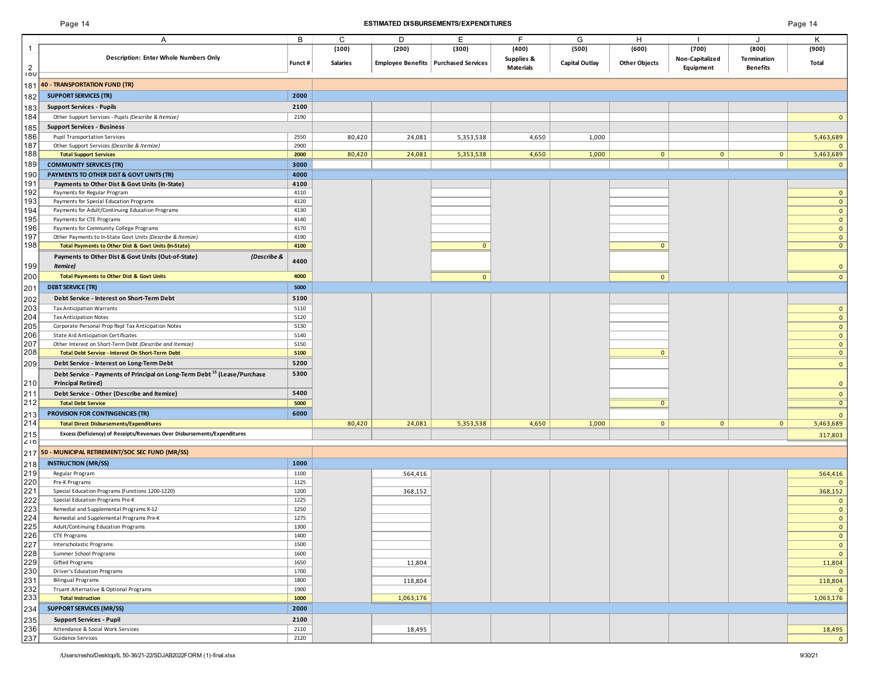## Page 14 **ESTIMATED DISBURSEMENTS/EXPENDITURES** Page 14

| Page 14 |  |
|---------|--|
|---------|--|

|            | Α                                                                                          | B            | C               | D         | Ε                                      | F.               | G                     | H                    |                 |                 | Κ                                |
|------------|--------------------------------------------------------------------------------------------|--------------|-----------------|-----------|----------------------------------------|------------------|-----------------------|----------------------|-----------------|-----------------|----------------------------------|
| 1          |                                                                                            |              | (100)           | (200)     | (300)                                  | (400)            | (500)                 | (600)                | (700)           | (800)           | (900)                            |
|            | Description: Enter Whole Numbers Only                                                      |              | <b>Salaries</b> |           |                                        | Supplies &       |                       |                      | Non-Capitalized | Termination     | Total                            |
| 2          |                                                                                            | Funct#       |                 |           | Employee Benefits   Purchased Services | <b>Materials</b> | <b>Capital Outlay</b> | <b>Other Objects</b> | Equipment       | <b>Benefits</b> |                                  |
| <b>IOU</b> |                                                                                            |              |                 |           |                                        |                  |                       |                      |                 |                 |                                  |
| 181        | 40 - TRANSPORTATION FUND (TR)                                                              |              |                 |           |                                        |                  |                       |                      |                 |                 |                                  |
| 182        | <b>SUPPORT SERVICES (TR)</b>                                                               | 2000         |                 |           |                                        |                  |                       |                      |                 |                 |                                  |
|            | <b>Support Services - Pupils</b>                                                           | 2100         |                 |           |                                        |                  |                       |                      |                 |                 |                                  |
| 183        |                                                                                            |              |                 |           |                                        |                  |                       |                      |                 |                 |                                  |
| 184        | Other Support Services - Pupils (Describe & Itemize)                                       | 2190         |                 |           |                                        |                  |                       |                      |                 |                 | $\overline{0}$                   |
| 185        | <b>Support Services - Business</b>                                                         |              |                 |           |                                        |                  |                       |                      |                 |                 |                                  |
| 186        | <b>Pupil Transportation Services</b>                                                       | 2550         | 80,420          | 24,081    | 5,353,538                              | 4,650            | 1,000                 |                      |                 |                 | 5,463,689                        |
| 187        | Other Support Services (Describe & Itemize)                                                | 2900         |                 |           |                                        |                  |                       |                      |                 |                 | $\mathbf{0}$                     |
| 188        | <b>Total Support Services</b>                                                              | 2000         | 80,420          | 24,081    | 5,353,538                              | 4,650            | 1,000                 | $\overline{0}$       | $\mathbf{0}$    | 0               | 5,463,689                        |
| 189        | <b>COMMUNITY SERVICES (TR)</b>                                                             | 3000         |                 |           |                                        |                  |                       |                      |                 |                 | $\overline{0}$                   |
| 190        | PAYMENTS TO OTHER DIST & GOVT UNITS (TR)                                                   | 4000         |                 |           |                                        |                  |                       |                      |                 |                 |                                  |
| 191        | Payments to Other Dist & Govt Units (In-State)                                             | 4100         |                 |           |                                        |                  |                       |                      |                 |                 |                                  |
| 192        | Payments for Regular Program                                                               | 4110         |                 |           |                                        |                  |                       |                      |                 |                 | $\overline{0}$                   |
| 193        | Payments for Special Education Programs                                                    | 4120         |                 |           |                                        |                  |                       |                      |                 |                 | $\mathbf{0}$                     |
| 194        | Payments for Adult/Continuing Education Programs                                           | 4130         |                 |           |                                        |                  |                       |                      |                 |                 | $\mathbf{0}$                     |
| 195        | Payments for CTE Programs                                                                  | 4140         |                 |           |                                        |                  |                       |                      |                 |                 | $\overline{0}$                   |
| 196        | Payments for Community College Programs                                                    | 4170         |                 |           |                                        |                  |                       |                      |                 |                 | $\overline{0}$                   |
| 197        | Other Payments to In-State Govt Units (Describe & Itemize)                                 | 4190         |                 |           |                                        |                  |                       |                      |                 |                 | $\overline{0}$                   |
| 198        | Total Payments to Other Dist & Govt Units (In-State)                                       | 4100         |                 |           | $\mathbf{0}$                           |                  |                       | $\mathbf{0}$         |                 |                 | $\bullet$                        |
|            | Payments to Other Dist & Govt Units (Out-of-State)<br>(Describe &                          | 4400         |                 |           |                                        |                  |                       |                      |                 |                 |                                  |
| 199        | Itemize)                                                                                   |              |                 |           |                                        |                  |                       |                      |                 |                 | $\overline{0}$                   |
| 200        | <b>Total Payments to Other Dist &amp; Govt Units</b>                                       | 4000         |                 |           | $\mathbf{0}$                           |                  |                       | $\mathbf{0}$         |                 |                 | $\overline{0}$                   |
| 201        | <b>DEBT SERVICE (TR)</b>                                                                   | 5000         |                 |           |                                        |                  |                       |                      |                 |                 |                                  |
|            |                                                                                            |              |                 |           |                                        |                  |                       |                      |                 |                 |                                  |
| 202        | Debt Service - Interest on Short-Term Debt                                                 | 5100         |                 |           |                                        |                  |                       |                      |                 |                 |                                  |
| 203<br>204 | <b>Tax Anticipation Warrants</b>                                                           | 5110<br>5120 |                 |           |                                        |                  |                       |                      |                 |                 | $\bullet$                        |
| 205        | <b>Tax Anticipation Notes</b>                                                              | 5130         |                 |           |                                        |                  |                       |                      |                 |                 | $\overline{0}$<br>$\overline{0}$ |
| 206        | Corporate Personal Prop Repl Tax Anticipation Notes<br>State Aid Anticipation Certificates | 5140         |                 |           |                                        |                  |                       |                      |                 |                 |                                  |
| 207        | Other Interest on Short-Term Debt (Describe and Itemize)                                   | 5150         |                 |           |                                        |                  |                       |                      |                 |                 | $\overline{0}$<br>$\overline{0}$ |
| 208        | Total Debt Service - Interest On Short-Term Debt                                           | 5100         |                 |           |                                        |                  |                       | $\mathbf{0}$         |                 |                 | $\overline{0}$                   |
|            |                                                                                            | 5200         |                 |           |                                        |                  |                       |                      |                 |                 |                                  |
| 209        | Debt Service - Interest on Long-Term Debt                                                  |              |                 |           |                                        |                  |                       |                      |                 |                 | $\overline{0}$                   |
|            | Debt Service - Payments of Principal on Long-Term Debt <sup>15</sup> (Lease/Purchase       | 5300         |                 |           |                                        |                  |                       |                      |                 |                 |                                  |
| 210        | <b>Principal Retired)</b>                                                                  |              |                 |           |                                        |                  |                       |                      |                 |                 | $\overline{0}$                   |
| 211        | Debt Service - Other (Describe and Itemize)                                                | 5400         |                 |           |                                        |                  |                       |                      |                 |                 | $\overline{0}$                   |
| 212        | <b>Total Debt Service</b>                                                                  | 5000         |                 |           |                                        |                  |                       | $\mathbf 0$          |                 |                 | $\overline{0}$                   |
| 213        | PROVISION FOR CONTINGENCIES (TR)                                                           | 6000         |                 |           |                                        |                  |                       |                      |                 |                 | $\mathbf{0}$                     |
| 214        | <b>Total Direct Disbursements/Expenditures</b>                                             |              | 80,420          | 24,081    | 5,353,538                              | 4,650            | 1,000                 | $\overline{0}$       | $\mathbf{0}$    | $\overline{0}$  | 5,463,689                        |
| 215        | Excess (Deficiency) of Receipts/Revenues Over Disbursements/Expenditures                   |              |                 |           |                                        |                  |                       |                      |                 |                 | 317,803                          |
| 210        |                                                                                            |              |                 |           |                                        |                  |                       |                      |                 |                 |                                  |
| 217        | 50 - MUNICIPAL RETIREMENT/SOC SEC FUND (MR/SS)                                             |              |                 |           |                                        |                  |                       |                      |                 |                 |                                  |
| 218        | <b>INSTRUCTION (MR/SS)</b>                                                                 | 1000         |                 |           |                                        |                  |                       |                      |                 |                 |                                  |
| 219        | Regular Program                                                                            | 1100         |                 | 564,416   |                                        |                  |                       |                      |                 |                 | 564,416                          |
| 220        | Pre-K Programs                                                                             | 1125         |                 |           |                                        |                  |                       |                      |                 |                 | $\overline{0}$                   |
| 221        | Special Education Programs (Functions 1200-1220)                                           | 1200         |                 | 368,152   |                                        |                  |                       |                      |                 |                 | 368,152                          |
| 222        | Special Education Programs Pre-K                                                           | 1225         |                 |           |                                        |                  |                       |                      |                 |                 | $\overline{0}$                   |
| 223        | Remedial and Supplemental Programs K-12                                                    | 1250         |                 |           |                                        |                  |                       |                      |                 |                 | $\mathbf{0}$                     |
| 224        | Remedial and Supplemental Programs Pre-K                                                   | 1275         |                 |           |                                        |                  |                       |                      |                 |                 | $\overline{0}$                   |
| ククち<br>دد، | Adult/Continuing Education Programs                                                        | 1300         |                 |           |                                        |                  |                       |                      |                 |                 | $\overline{0}$                   |
| 226        | CTE Programs                                                                               | 1400         |                 |           |                                        |                  |                       |                      |                 |                 | $\mathbf{0}$                     |
| 227        | Interscholastic Programs                                                                   | 1500         |                 |           |                                        |                  |                       |                      |                 |                 | $\mathbf{0}$                     |
| 228        | Summer School Programs                                                                     | 1600         |                 |           |                                        |                  |                       |                      |                 |                 | $\overline{0}$                   |
| 229        | Gifted Programs                                                                            | 1650         |                 | 11,804    |                                        |                  |                       |                      |                 |                 | 11,804                           |
| 230        | Driver's Education Programs                                                                | 1700         |                 |           |                                        |                  |                       |                      |                 |                 | $\overline{0}$                   |
| 231<br>232 | <b>Bilingual Programs</b><br>Truant Alternative & Optional Programs                        | 1800<br>1900 |                 | 118,804   |                                        |                  |                       |                      |                 |                 | 118,804                          |
| 233        | <b>Total Instruction</b>                                                                   | 1000         |                 | 1,063,176 |                                        |                  |                       |                      |                 |                 | $\overline{0}$<br>1,063,176      |
|            | <b>SUPPORT SERVICES (MR/SS)</b>                                                            | 2000         |                 |           |                                        |                  |                       |                      |                 |                 |                                  |
| 234        |                                                                                            |              |                 |           |                                        |                  |                       |                      |                 |                 |                                  |
| 235        | <b>Support Services - Pupil</b>                                                            | 2100         |                 |           |                                        |                  |                       |                      |                 |                 |                                  |
| 236        | Attendance & Social Work Services                                                          | 2110         |                 | 18,495    |                                        |                  |                       |                      |                 |                 | 18,495                           |
| 237        | Guidance Services                                                                          | 2120         |                 |           |                                        |                  |                       |                      |                 |                 | $\overline{0}$                   |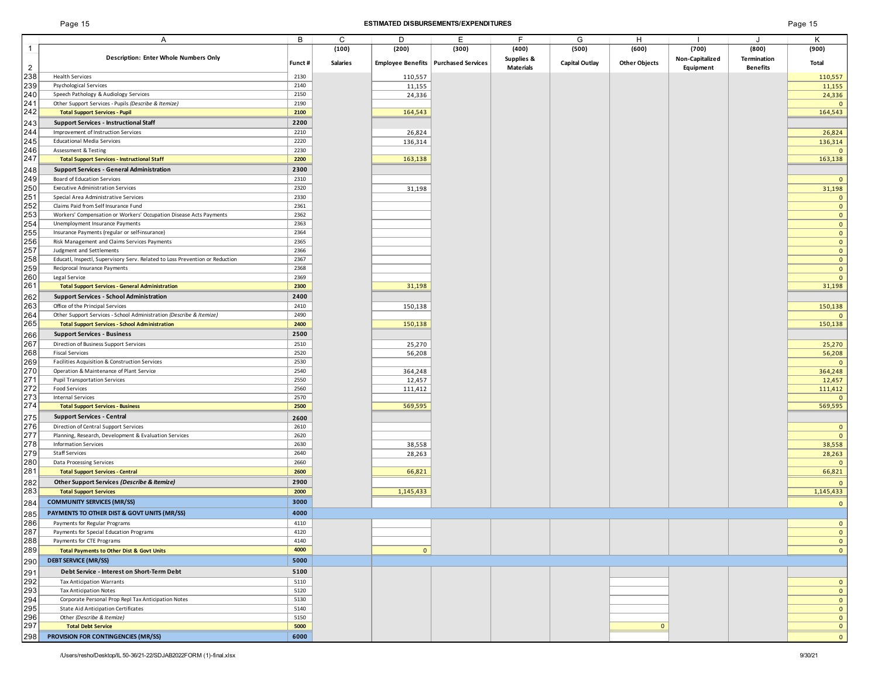## Page 15 **ESTIMATED DISBURSEMENTS/EXPENDITURES** Page 15

|                | Α                                                                            | В      | C               | D            | Ε                                      | F.                    | G                     | H                    |                 |                    | Κ              |
|----------------|------------------------------------------------------------------------------|--------|-----------------|--------------|----------------------------------------|-----------------------|-----------------------|----------------------|-----------------|--------------------|----------------|
| -1             |                                                                              |        | (100)           | (200)        | (300)                                  | (400)                 | (500)                 | (600)                | (700)           | (800)              | (900)          |
|                | Description: Enter Whole Numbers Only                                        |        |                 |              |                                        | <b>Supplies &amp;</b> |                       |                      | Non-Capitalized | <b>Termination</b> |                |
| $\overline{2}$ |                                                                              | Funct# | <b>Salaries</b> |              | Employee Benefits   Purchased Services | <b>Materials</b>      | <b>Capital Outlay</b> | <b>Other Objects</b> | Equipment       | <b>Benefits</b>    | Total          |
| 238            | <b>Health Services</b>                                                       | 2130   |                 | 110,557      |                                        |                       |                       |                      |                 |                    | 110,557        |
| 239            | Psychological Services                                                       | 2140   |                 | 11,155       |                                        |                       |                       |                      |                 |                    | 11,155         |
| 240            | Speech Pathology & Audiology Services                                        | 2150   |                 | 24,336       |                                        |                       |                       |                      |                 |                    | 24,336         |
| 241            | Other Support Services - Pupils (Describe & Itemize)                         | 2190   |                 |              |                                        |                       |                       |                      |                 |                    | $\mathbf{0}$   |
| 242            | <b>Total Support Services - Pupil</b>                                        | 2100   |                 | 164,543      |                                        |                       |                       |                      |                 |                    | 164,543        |
| 243            | <b>Support Services - Instructional Staff</b>                                | 2200   |                 |              |                                        |                       |                       |                      |                 |                    |                |
| 244            | Improvement of Instruction Services                                          | 2210   |                 | 26,824       |                                        |                       |                       |                      |                 |                    | 26,824         |
| 245            | <b>Educational Media Services</b>                                            | 2220   |                 | 136,314      |                                        |                       |                       |                      |                 |                    | 136,314        |
| 246            | Assessment & Testing                                                         | 2230   |                 |              |                                        |                       |                       |                      |                 |                    | $\mathbf{0}$   |
| 247            | <b>Total Support Services - Instructional Staff</b>                          | 2200   |                 | 163,138      |                                        |                       |                       |                      |                 |                    | 163,138        |
|                |                                                                              |        |                 |              |                                        |                       |                       |                      |                 |                    |                |
| 248            | <b>Support Services - General Administration</b>                             | 2300   |                 |              |                                        |                       |                       |                      |                 |                    |                |
| 249            | Board of Education Services                                                  | 2310   |                 |              |                                        |                       |                       |                      |                 |                    | $\overline{0}$ |
| 250            | <b>Executive Administration Services</b>                                     | 2320   |                 | 31,198       |                                        |                       |                       |                      |                 |                    | 31,198         |
| 251            | Special Area Administrative Services                                         | 2330   |                 |              |                                        |                       |                       |                      |                 |                    | $\mathbf{0}$   |
| 252            | Claims Paid from Self Insurance Fund                                         | 2361   |                 |              |                                        |                       |                       |                      |                 |                    | $\mathbf{0}$   |
| 253            | Workers' Compensation or Workers' Occupation Disease Acts Payments           | 2362   |                 |              |                                        |                       |                       |                      |                 |                    | $\overline{0}$ |
| 254            | Unemployment Insurance Payments                                              | 2363   |                 |              |                                        |                       |                       |                      |                 |                    | $\mathbf{0}$   |
| 255            | Insurance Payments (regular or self-insurance)                               | 2364   |                 |              |                                        |                       |                       |                      |                 |                    | $\mathbf{0}$   |
| 256            | Risk Management and Claims Services Payments                                 | 2365   |                 |              |                                        |                       |                       |                      |                 |                    | $\overline{0}$ |
| 257            | Judgment and Settlements                                                     | 2366   |                 |              |                                        |                       |                       |                      |                 |                    | $\mathbf{0}$   |
| 258            | Educatl, Inspectl, Supervisory Serv. Related to Loss Prevention or Reduction | 2367   |                 |              |                                        |                       |                       |                      |                 |                    | $\mathbf{0}$   |
| 259            | Reciprocal Insurance Payments                                                | 2368   |                 |              |                                        |                       |                       |                      |                 |                    | $\overline{0}$ |
| 260<br>261     | Legal Service                                                                | 2369   |                 |              |                                        |                       |                       |                      |                 |                    | $\mathbf{0}$   |
|                | <b>Total Support Services - General Administration</b>                       | 2300   |                 | 31,198       |                                        |                       |                       |                      |                 |                    | 31,198         |
| 262            | <b>Support Services - School Administration</b>                              | 2400   |                 |              |                                        |                       |                       |                      |                 |                    |                |
| 263            | Office of the Principal Services                                             | 2410   |                 | 150,138      |                                        |                       |                       |                      |                 |                    | 150,138        |
| 264            | Other Support Services - School Administration (Describe & Itemize)          | 2490   |                 |              |                                        |                       |                       |                      |                 |                    | $\mathbf{0}$   |
| 265            | <b>Total Support Services - School Administration</b>                        | 2400   |                 | 150,138      |                                        |                       |                       |                      |                 |                    | 150,138        |
| 266            | <b>Support Services - Business</b>                                           | 2500   |                 |              |                                        |                       |                       |                      |                 |                    |                |
| 267            | Direction of Business Support Services                                       | 2510   |                 | 25,270       |                                        |                       |                       |                      |                 |                    | 25,270         |
| 268            | <b>Fiscal Services</b>                                                       | 2520   |                 | 56,208       |                                        |                       |                       |                      |                 |                    | 56,208         |
| 269            | Facilities Acquisition & Construction Services                               | 2530   |                 |              |                                        |                       |                       |                      |                 |                    | $\overline{0}$ |
| 270            | Operation & Maintenance of Plant Service                                     | 2540   |                 | 364,248      |                                        |                       |                       |                      |                 |                    | 364,248        |
| 271            | <b>Pupil Transportation Services</b>                                         | 2550   |                 | 12,457       |                                        |                       |                       |                      |                 |                    | 12,457         |
| 272            | <b>Food Services</b>                                                         | 2560   |                 | 111,412      |                                        |                       |                       |                      |                 |                    | 111,412        |
| 273            | <b>Internal Services</b>                                                     | 2570   |                 |              |                                        |                       |                       |                      |                 |                    | $\mathbf{0}$   |
| 274            | <b>Total Support Services - Business</b>                                     | 2500   |                 | 569,595      |                                        |                       |                       |                      |                 |                    | 569,595        |
| 275            | <b>Support Services - Central</b>                                            | 2600   |                 |              |                                        |                       |                       |                      |                 |                    |                |
| 276            | Direction of Central Support Services                                        | 2610   |                 |              |                                        |                       |                       |                      |                 |                    | $\mathbf{0}$   |
| 277            | Planning, Research, Development & Evaluation Services                        | 2620   |                 |              |                                        |                       |                       |                      |                 |                    | $\mathbf{0}$   |
| 278            | <b>Information Services</b>                                                  | 2630   |                 | 38,558       |                                        |                       |                       |                      |                 |                    | 38,558         |
| 279            | <b>Staff Services</b>                                                        | 2640   |                 | 28,263       |                                        |                       |                       |                      |                 |                    | 28,263         |
| 280            | Data Processing Services                                                     | 2660   |                 |              |                                        |                       |                       |                      |                 |                    | $\mathbf{0}$   |
| 281            | <b>Total Support Services - Central</b>                                      | 2600   |                 | 66,821       |                                        |                       |                       |                      |                 |                    | 66,821         |
| 282            | Other Support Services (Describe & Itemize)                                  | 2900   |                 |              |                                        |                       |                       |                      |                 |                    | $\mathbf{0}$   |
| 283            | <b>Total Support Services</b>                                                | 2000   |                 | 1,145,433    |                                        |                       |                       |                      |                 |                    | 1,145,433      |
|                |                                                                              |        |                 |              |                                        |                       |                       |                      |                 |                    |                |
| 284            | <b>COMMUNITY SERVICES (MR/SS)</b>                                            | 3000   |                 |              |                                        |                       |                       |                      |                 |                    | $\mathbf{0}$   |
| 285            | PAYMENTS TO OTHER DIST & GOVT UNITS (MR/SS)                                  | 4000   |                 |              |                                        |                       |                       |                      |                 |                    |                |
| 286            | Payments for Regular Programs                                                | 4110   |                 |              |                                        |                       |                       |                      |                 |                    | $\mathbf{0}$   |
| 287            | Payments for Special Education Programs                                      | 4120   |                 |              |                                        |                       |                       |                      |                 |                    | $\mathbf{0}$   |
| 288            | Payments for CTE Programs                                                    | 4140   |                 |              |                                        |                       |                       |                      |                 |                    | $\overline{0}$ |
| 289            | <b>Total Payments to Other Dist &amp; Govt Units</b>                         | 4000   |                 | $\mathbf{0}$ |                                        |                       |                       |                      |                 |                    | $\overline{0}$ |
| 290            | <b>DEBT SERVICE (MR/SS)</b>                                                  | 5000   |                 |              |                                        |                       |                       |                      |                 |                    |                |
| 291            | Debt Service - Interest on Short-Term Debt                                   | 5100   |                 |              |                                        |                       |                       |                      |                 |                    |                |
| 292            | <b>Tax Anticipation Warrants</b>                                             | 5110   |                 |              |                                        |                       |                       |                      |                 |                    | $\overline{0}$ |
| 293            | <b>Tax Anticipation Notes</b>                                                | 5120   |                 |              |                                        |                       |                       |                      |                 |                    | $\overline{0}$ |
| 294            | Corporate Personal Prop Repl Tax Anticipation Notes                          | 5130   |                 |              |                                        |                       |                       |                      |                 |                    | $\mathbf{0}$   |
| 295            | State Aid Anticipation Certificates                                          | 5140   |                 |              |                                        |                       |                       |                      |                 |                    | $\overline{0}$ |
| 296            | Other (Describe & Itemize)                                                   | 5150   |                 |              |                                        |                       |                       |                      |                 |                    | $\overline{0}$ |
| 297            | <b>Total Debt Service</b>                                                    | 5000   |                 |              |                                        |                       |                       | $\mathbf{0}$         |                 |                    | $\mathbf{0}$   |
|                | PROVISION FOR CONTINGENCIES (MR/SS)                                          |        |                 |              |                                        |                       |                       |                      |                 |                    |                |
| 298            |                                                                              | 6000   |                 |              |                                        |                       |                       |                      |                 |                    | $\mathbf{0}$   |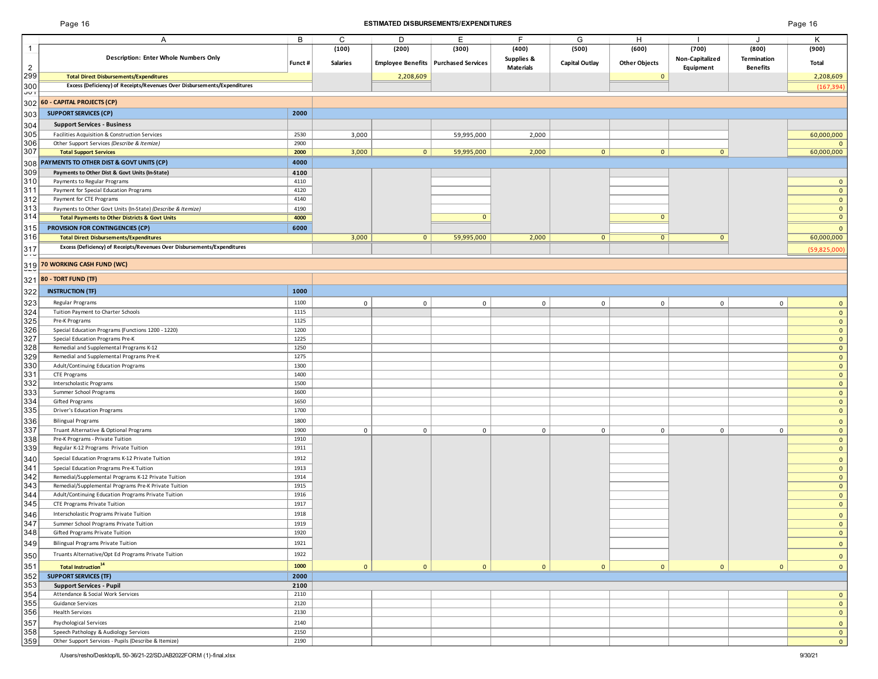| aqe' | -16 |  |
|------|-----|--|
|------|-----|--|

| Page 16<br><b>ESTIMATED DISBURSEMENTS/EXPENDITURES</b> |                                                                                                                           |              |                 |                |                                        |                                |                       |                      | Page 16                  |                      |                             |
|--------------------------------------------------------|---------------------------------------------------------------------------------------------------------------------------|--------------|-----------------|----------------|----------------------------------------|--------------------------------|-----------------------|----------------------|--------------------------|----------------------|-----------------------------|
|                                                        | Α                                                                                                                         | B            | C               | D              | Е                                      | F                              | G                     | H                    |                          | J.                   |                             |
|                                                        | <b>Description: Enter Whole Numbers Only</b>                                                                              |              | (100)           | (200)          | (300)                                  | (400)                          | (500)                 | (600)                | (700)<br>Non-Capitalized | (800)<br>Termination | (900)                       |
| $\overline{2}$                                         |                                                                                                                           | Funct #      | <b>Salaries</b> |                | Employee Benefits   Purchased Services | Supplies &<br><b>Materials</b> | <b>Capital Outlay</b> | <b>Other Objects</b> | Equipment                | <b>Benefits</b>      | Total                       |
| 299                                                    | <b>Total Direct Disbursements/Expenditures</b>                                                                            |              |                 | 2,208,609      |                                        |                                |                       | $\mathbf 0$          |                          |                      | 2,208,609                   |
| 300<br><b>JUT</b>                                      | Excess (Deficiency) of Receipts/Revenues Over Disbursements/Expenditures                                                  |              |                 |                |                                        |                                |                       |                      |                          |                      | (167, 394)                  |
|                                                        | 302 60 - CAPITAL PROJECTS (CP)                                                                                            |              |                 |                |                                        |                                |                       |                      |                          |                      |                             |
| 303                                                    | <b>SUPPORT SERVICES (CP)</b>                                                                                              | 2000         |                 |                |                                        |                                |                       |                      |                          |                      |                             |
| 304                                                    | <b>Support Services - Business</b>                                                                                        |              |                 |                |                                        |                                |                       |                      |                          |                      |                             |
| 305                                                    | Facilities Acquisition & Construction Services                                                                            | 2530         | 3,000           |                | 59,995,000                             | 2,000                          |                       |                      |                          |                      | 60,000,000                  |
| 306<br>307                                             | Other Support Services (Describe & Itemize)                                                                               | 2900<br>2000 |                 | $\overline{0}$ | 59,995,000                             | 2,000                          | $\mathbf{0}$          | $\overline{0}$       | $\mathbf{0}$             |                      |                             |
| 308                                                    | <b>Total Support Services</b><br>PAYMENTS TO OTHER DIST & GOVT UNITS (CP)                                                 | 4000         | 3,000           |                |                                        |                                |                       |                      |                          |                      | 60,000,000                  |
| 309                                                    | Payments to Other Dist & Govt Units (In-State)                                                                            | 4100         |                 |                |                                        |                                |                       |                      |                          |                      |                             |
| 310                                                    | Payments to Regular Programs                                                                                              | 4110         |                 |                |                                        |                                |                       |                      |                          |                      | $\mathbf{0}$                |
| 311                                                    | Payment for Special Education Programs                                                                                    | 4120         |                 |                |                                        |                                |                       |                      |                          |                      | $\mathbf{0}$                |
| 312<br>313                                             | Payment for CTE Programs                                                                                                  | 4140<br>4190 |                 |                |                                        |                                |                       |                      |                          |                      | $\mathbf 0$<br>$\mathbf{0}$ |
| 314                                                    | Payments to Other Govt Units (In-State) (Describe & Itemize)<br><b>Total Payments to Other Districts &amp; Govt Units</b> | 4000         |                 |                | $\mathbf{0}$                           |                                |                       | $\mathbf{0}$         |                          |                      | $\overline{0}$              |
| 315                                                    | PROVISION FOR CONTINGENCIES (CP)                                                                                          | 6000         |                 |                |                                        |                                |                       |                      |                          |                      | $\mathbf{0}$                |
| 316                                                    | <b>Total Direct Disbursements/Expenditures</b>                                                                            |              | 3,000           | $\mathbf{0}$   | 59,995,000                             | 2,000                          | $\mathbf{0}$          | $\overline{0}$       | $\mathbf{0}$             |                      | 60,000,000                  |
| 317                                                    | Excess (Deficiency) of Receipts/Revenues Over Disbursements/Expenditures                                                  |              |                 |                |                                        |                                |                       |                      |                          |                      | (59,825,000)                |
|                                                        | 319 70 WORKING CASH FUND (WC)                                                                                             |              |                 |                |                                        |                                |                       |                      |                          |                      |                             |
| 321                                                    | 80 - TORT FUND (TF)                                                                                                       |              |                 |                |                                        |                                |                       |                      |                          |                      |                             |
| 322                                                    | <b>INSTRUCTION (TF)</b>                                                                                                   | 1000         |                 |                |                                        |                                |                       |                      |                          |                      |                             |
| 323                                                    | Regular Programs                                                                                                          | 1100         | $\mathbf 0$     | $\mathbf 0$    | $\mathbf 0$                            | $\Omega$                       | $\mathbf 0$           | $\mathbf 0$          | $\mathbf{0}$             | $\mathbf 0$          | $\mathbf{0}$                |
| 324                                                    | Tuition Payment to Charter Schools                                                                                        | 1115         |                 |                |                                        |                                |                       |                      |                          |                      | $\mathbf{0}$                |
| 325                                                    | Pre-K Programs                                                                                                            | 1125         |                 |                |                                        |                                |                       |                      |                          |                      | $\mathbf 0$                 |
| 326                                                    | Special Education Programs (Functions 1200 - 1220)                                                                        | 1200         |                 |                |                                        |                                |                       |                      |                          |                      | $\mathbf 0$                 |
| 327<br>328                                             | Special Education Programs Pre-K<br>Remedial and Supplemental Programs K-12                                               | 1225<br>1250 |                 |                |                                        |                                |                       |                      |                          |                      | $\mathbf{0}$<br>$\mathbf 0$ |
| 329                                                    | Remedial and Supplemental Programs Pre-K                                                                                  | 1275         |                 |                |                                        |                                |                       |                      |                          |                      | $\mathbf 0$                 |
| 330                                                    | Adult/Continuing Education Programs                                                                                       | 1300         |                 |                |                                        |                                |                       |                      |                          |                      | $\mathbf 0$                 |
| 331                                                    | CTE Programs                                                                                                              | 1400         |                 |                |                                        |                                |                       |                      |                          |                      | $\mathbf{0}$                |
| 332<br>333                                             | Interscholastic Programs<br>Summer School Programs                                                                        | 1500<br>1600 |                 |                |                                        |                                |                       |                      |                          |                      | $\mathbf 0$<br>$\mathbf{0}$ |
| 334                                                    | Gifted Programs                                                                                                           | 1650         |                 |                |                                        |                                |                       |                      |                          |                      | $\mathbf 0$                 |
| 335                                                    | Driver's Education Programs                                                                                               | 1700         |                 |                |                                        |                                |                       |                      |                          |                      | $\mathbf{0}$                |
| 336                                                    | <b>Bilingual Programs</b>                                                                                                 | 1800         |                 |                |                                        |                                |                       |                      |                          |                      | $\mathbf{0}$                |
| 337<br>338                                             | Truant Alternative & Optional Programs<br>Pre-K Programs - Private Tuition                                                | 1900<br>1910 | $\mathbf 0$     | $\mathsf 0$    | $\mathbf 0$                            | $\mathbf 0$                    | $\mathbf 0$           | $\mathbf 0$          | $\mathbf 0$              | $\mathbf 0$          | $\mathbf{0}$<br>$\mathbf 0$ |
| 339                                                    | Regular K-12 Programs Private Tuition                                                                                     | 1911         |                 |                |                                        |                                |                       |                      |                          |                      | $\mathbf 0$                 |
| 340                                                    | Special Education Programs K-12 Private Tuition                                                                           | 1912         |                 |                |                                        |                                |                       |                      |                          |                      | $\mathbf 0$                 |
| 341                                                    | Special Education Programs Pre-K Tuition                                                                                  | 1913         |                 |                |                                        |                                |                       |                      |                          |                      | $\mathbf 0$                 |
| 342                                                    | Remedial/Supplemental Programs K-12 Private Tuition                                                                       | 1914         |                 |                |                                        |                                |                       |                      |                          |                      | $\mathbf{0}$                |
| 343<br>344                                             | Remedial/Supplemental Programs Pre-K Private Tuition<br>Adult/Continuing Education Programs Private Tuition               | 1915<br>1916 |                 |                |                                        |                                |                       |                      |                          |                      | $\mathbf 0$<br>$\mathbf{0}$ |
| 345                                                    | CTE Programs Private Tuition                                                                                              | 1917         |                 |                |                                        |                                |                       |                      |                          |                      | $\mathbf{0}$                |
| 346                                                    | Interscholastic Programs Private Tuition                                                                                  | 1918         |                 |                |                                        |                                |                       |                      |                          |                      | $\mathbf{0}$                |
| 347                                                    | Summer School Programs Private Tuition                                                                                    | 1919         |                 |                |                                        |                                |                       |                      |                          |                      | $\mathbf 0$                 |
| 348                                                    | Gifted Programs Private Tuition                                                                                           | 1920         |                 |                |                                        |                                |                       |                      |                          |                      | $\mathbf{0}$                |
| 349                                                    | Bilingual Programs Private Tuition                                                                                        | 1921         |                 |                |                                        |                                |                       |                      |                          |                      | $\mathbf{0}$                |
| 350                                                    | Truants Alternative/Opt Ed Programs Private Tuition                                                                       | 1922         |                 |                |                                        |                                |                       |                      |                          |                      | $\mathbf{0}$                |
| 351                                                    | Total Instruction <sup>14</sup>                                                                                           | 1000         | $\mathbf{0}$    | $\mathbf{0}$   | 0                                      | $\overline{0}$                 | $\mathbf{0}$          | $\overline{0}$       | $\mathbf{0}$             | $\mathbf{0}$         | $\mathbf{0}$                |
| 352<br>353                                             | <b>SUPPORT SERVICES (TF)</b>                                                                                              | 2000<br>2100 |                 |                |                                        |                                |                       |                      |                          |                      |                             |
| 354                                                    | <b>Support Services - Pupil</b><br>Attendance & Social Work Services                                                      | 2110         |                 |                |                                        |                                |                       |                      |                          |                      | $\mathbf{0}$                |
| 355                                                    | Guidance Services                                                                                                         | 2120         |                 |                |                                        |                                |                       |                      |                          |                      | $\mathbf 0$                 |
| 356                                                    | <b>Health Services</b>                                                                                                    | 2130         |                 |                |                                        |                                |                       |                      |                          |                      | $\mathbf 0$                 |
| 357                                                    | Psychological Services                                                                                                    | 2140         |                 |                |                                        |                                |                       |                      |                          |                      | $\mathbf{0}$                |
| 358<br>359                                             | Speech Pathology & Audiology Services<br>Other Support Services - Pupils (Describe & Itemize)                             | 2150<br>2190 |                 |                |                                        |                                |                       |                      |                          |                      | $\mathbf{0}$<br>$\mathbf 0$ |
|                                                        |                                                                                                                           |              |                 |                |                                        |                                |                       |                      |                          |                      |                             |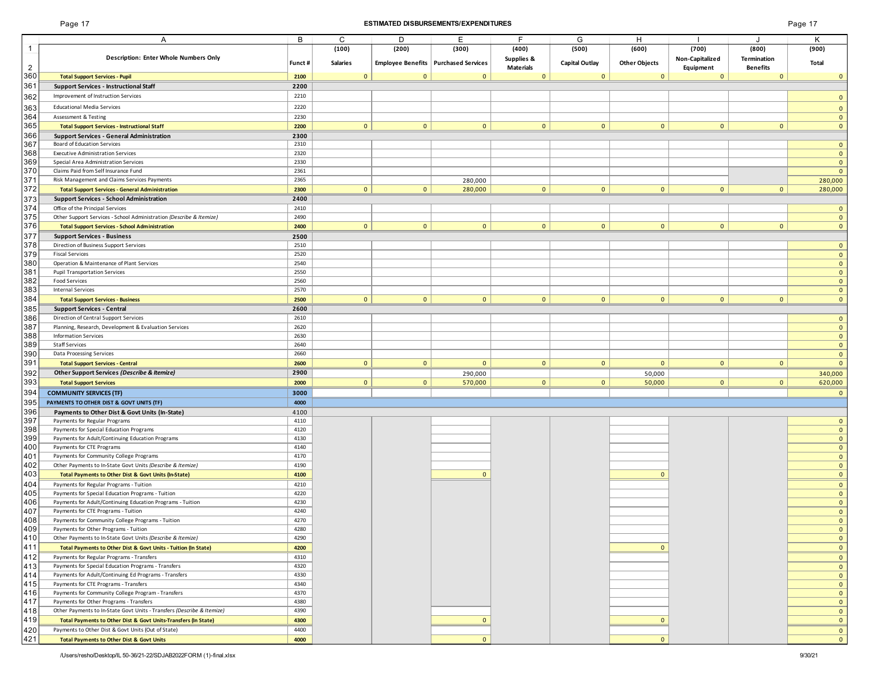## Page 17 **ESTIMATED DISBURSEMENTS/EXPENDITURES** Page 17

|                | A                                                                      | B       | C               | D              | E.                                     | E                | G                     | H                    |                 | $\cdot$            | K            |
|----------------|------------------------------------------------------------------------|---------|-----------------|----------------|----------------------------------------|------------------|-----------------------|----------------------|-----------------|--------------------|--------------|
|                |                                                                        |         | (100)           | (200)          | (300)                                  | (400)            | (500)                 | (600)                | (700)           | (800)              | (900)        |
|                | <b>Description: Enter Whole Numbers Only</b>                           |         |                 |                |                                        | Supplies &       |                       |                      | Non-Capitalized | <b>Termination</b> |              |
| $\overline{2}$ |                                                                        | Funct # | <b>Salaries</b> |                | Employee Benefits   Purchased Services | <b>Materials</b> | <b>Capital Outlay</b> | <b>Other Objects</b> | Equipment       | <b>Benefits</b>    | <b>Total</b> |
| 360            | <b>Total Support Services - Pupil</b>                                  | 2100    | $\mathbf{0}$    | $\Omega$       | $\mathbf{0}$                           | $\mathbf{0}$     | $\mathbf{0}$          | $\mathbf{0}$         | $\mathbf{0}$    | $\Omega$           | $\mathbf{0}$ |
| 361            | <b>Support Services - Instructional Staff</b>                          | 2200    |                 |                |                                        |                  |                       |                      |                 |                    |              |
| 362            | Improvement of Instruction Services                                    | 2210    |                 |                |                                        |                  |                       |                      |                 |                    | $\mathbf{0}$ |
|                |                                                                        |         |                 |                |                                        |                  |                       |                      |                 |                    |              |
| 363            | <b>Educational Media Services</b>                                      | 2220    |                 |                |                                        |                  |                       |                      |                 |                    | $\mathbf{0}$ |
| 364            | <b>Assessment &amp; Testing</b>                                        | 2230    |                 |                |                                        |                  |                       |                      |                 |                    | $\mathbf{0}$ |
| 365            | <b>Total Support Services - Instructional Staff</b>                    | 2200    | 0               | 0 <sup>1</sup> | $\overline{0}$                         | $\mathbf{0}$     | $\overline{0}$        | 0                    | $\overline{0}$  | $\mathbf{0}$       | $\mathbf{0}$ |
| 366            | <b>Support Services - General Administration</b>                       | 2300    |                 |                |                                        |                  |                       |                      |                 |                    |              |
| 367            | Board of Education Services                                            | 2310    |                 |                |                                        |                  |                       |                      |                 |                    | $\mathbf{0}$ |
| 368            | <b>Executive Administration Services</b>                               | 2320    |                 |                |                                        |                  |                       |                      |                 |                    | $\mathbf{0}$ |
| 369            | Special Area Administration Services                                   | 2330    |                 |                |                                        |                  |                       |                      |                 |                    | $\mathbf{0}$ |
| 370            | Claims Paid from Self Insurance Fund                                   | 2361    |                 |                |                                        |                  |                       |                      |                 |                    | $\mathbf{0}$ |
| 371            | Risk Management and Claims Services Payments                           | 2365    |                 |                | 280,000                                |                  |                       |                      |                 |                    | 280,000      |
| 372            | <b>Total Support Services - General Administration</b>                 | 2300    | 0               | $\overline{0}$ | 280,000                                | $\mathbf{0}$     | $\overline{0}$        | $\mathbf{0}$         | $\mathbf{0}$    | $\mathbf{0}$       | 280,000      |
| 373            | <b>Support Services - School Administration</b>                        | 2400    |                 |                |                                        |                  |                       |                      |                 |                    |              |
| 374            | Office of the Principal Services                                       | 2410    |                 |                |                                        |                  |                       |                      |                 |                    | $\mathbf{0}$ |
| 375            | Other Support Services - School Administration (Describe & Itemize)    | 2490    |                 |                |                                        |                  |                       |                      |                 |                    | $\mathbf{0}$ |
| 376            | <b>Total Support Services - School Administration</b>                  | 2400    | 0               | 0              | $\mathbf{0}$                           | $\mathbf{0}$     | $\overline{0}$        | $\overline{0}$       | $\overline{0}$  | $\mathbf{0}$       | $\mathbf{0}$ |
| 377            | <b>Support Services - Business</b>                                     | 2500    |                 |                |                                        |                  |                       |                      |                 |                    |              |
| 378            | Direction of Business Support Services                                 | 2510    |                 |                |                                        |                  |                       |                      |                 |                    | $\mathbf{0}$ |
| 379            | <b>Fiscal Services</b>                                                 | 2520    |                 |                |                                        |                  |                       |                      |                 |                    | $\mathbf{0}$ |
| 380            | Operation & Maintenance of Plant Services                              | 2540    |                 |                |                                        |                  |                       |                      |                 |                    | $\mathbf{0}$ |
| 381            | <b>Pupil Transportation Services</b>                                   | 2550    |                 |                |                                        |                  |                       |                      |                 |                    |              |
|                | Food Services                                                          | 2560    |                 |                |                                        |                  |                       |                      |                 |                    | $\mathbf{0}$ |
| 382            | <b>Internal Services</b>                                               | 2570    |                 |                |                                        |                  |                       |                      |                 |                    | $\mathbf{0}$ |
| 383<br>384     |                                                                        |         |                 |                |                                        |                  |                       |                      |                 |                    | $\mathbf{0}$ |
|                | <b>Total Support Services - Business</b>                               | 2500    | 0               | $\overline{0}$ | $\mathbf{0}$                           | $\mathbf{0}$     | $\overline{0}$        | $\overline{0}$       | $\overline{0}$  | $\mathbf{0}$       | $\mathbf{0}$ |
| 385            | <b>Support Services - Central</b>                                      | 2600    |                 |                |                                        |                  |                       |                      |                 |                    |              |
| 386            | Direction of Central Support Services                                  | 2610    |                 |                |                                        |                  |                       |                      |                 |                    | $\mathbf{0}$ |
| 387            | Planning, Research, Development & Evaluation Services                  | 2620    |                 |                |                                        |                  |                       |                      |                 |                    | $\mathbf{0}$ |
| 388            | <b>Information Services</b>                                            | 2630    |                 |                |                                        |                  |                       |                      |                 |                    | $\mathbf{0}$ |
| 389            | <b>Staff Services</b>                                                  | 2640    |                 |                |                                        |                  |                       |                      |                 |                    | $\mathbf{0}$ |
| 390            | Data Processing Services                                               | 2660    |                 |                |                                        |                  |                       |                      |                 |                    | $\mathbf{0}$ |
| 391            | <b>Total Support Services - Central</b>                                | 2600    | $\overline{0}$  | $\overline{0}$ | $\mathbf{0}$                           | $\mathbf{0}$     | $\mathbf{0}$          | $\mathbf{0}$         | $\mathbf{0}$    | $\mathbf{0}$       | $\mathbf{0}$ |
| 392            | Other Support Services (Describe & Itemize)                            | 2900    |                 |                | 290,000                                |                  |                       | 50,000               |                 |                    | 340,000      |
| 393            | <b>Total Support Services</b>                                          | 2000    | $\mathbf{0}$    | $\mathbf{0}$   | 570,000                                | $\mathbf{0}$     | $\overline{0}$        | 50,000               | $\overline{0}$  | $\mathbf{0}$       | 620,000      |
| 394            | <b>COMMUNITY SERVICES (TF)</b>                                         | 3000    |                 |                |                                        |                  |                       |                      |                 |                    | $\mathbf{0}$ |
| 395            | PAYMENTS TO OTHER DIST & GOVT UNITS (TF)                               | 4000    |                 |                |                                        |                  |                       |                      |                 |                    |              |
| 396            | Payments to Other Dist & Govt Units (In-State)                         | 4100    |                 |                |                                        |                  |                       |                      |                 |                    |              |
| 397            | Payments for Regular Programs                                          | 4110    |                 |                |                                        |                  |                       |                      |                 |                    | $\mathbf{0}$ |
| 398            | Payments for Special Education Programs                                | 4120    |                 |                |                                        |                  |                       |                      |                 |                    | $\mathbf{0}$ |
| 399            | Payments for Adult/Continuing Education Programs                       | 4130    |                 |                |                                        |                  |                       |                      |                 |                    | $\mathbf{0}$ |
| 400            | Payments for CTE Programs                                              | 4140    |                 |                |                                        |                  |                       |                      |                 |                    | $\mathbf{0}$ |
| 401            | Payments for Community College Programs                                | 4170    |                 |                |                                        |                  |                       |                      |                 |                    | $\mathbf{0}$ |
| 402            | Other Payments to In-State Govt Units (Describe & Itemize)             | 4190    |                 |                |                                        |                  |                       |                      |                 |                    | $\mathbf{0}$ |
| 403            | Total Payments to Other Dist & Govt Units (In-State)                   | 4100    |                 |                | $\mathbf{0}$                           |                  |                       | $\mathbf{0}$         |                 |                    | $\mathbf{0}$ |
| 404            | Payments for Regular Programs - Tuition                                | 4210    |                 |                |                                        |                  |                       |                      |                 |                    | $\mathbf{0}$ |
| 405            | Payments for Special Education Programs - Tuition                      | 4220    |                 |                |                                        |                  |                       |                      |                 |                    | $\mathbf{0}$ |
| 406            | Payments for Adult/Continuing Education Programs - Tuition             | 4230    |                 |                |                                        |                  |                       |                      |                 |                    | $\mathbf{0}$ |
| 407            | Payments for CTE Programs - Tuition                                    | 4240    |                 |                |                                        |                  |                       |                      |                 |                    | $\mathbf{0}$ |
| 408            | Payments for Community College Programs - Tuition                      | 4270    |                 |                |                                        |                  |                       |                      |                 |                    | $\Omega$     |
| 409            | Payments for Other Programs - Tuition                                  | 4280    |                 |                |                                        |                  |                       |                      |                 |                    | $\mathbf{0}$ |
| 410            | Other Payments to In-State Govt Units (Describe & Itemize)             | 4290    |                 |                |                                        |                  |                       |                      |                 |                    | $\mathbf{0}$ |
| 411            |                                                                        | 4200    |                 |                |                                        |                  |                       | $\mathbf{0}$         |                 |                    | $\mathbf{0}$ |
|                | Total Payments to Other Dist & Govt Units - Tuition (In State)         |         |                 |                |                                        |                  |                       |                      |                 |                    |              |
| 412            | Payments for Regular Programs - Transfers                              | 4310    |                 |                |                                        |                  |                       |                      |                 |                    | $\mathbf{0}$ |
| 413            | Payments for Special Education Programs - Transfers                    | 4320    |                 |                |                                        |                  |                       |                      |                 |                    | $\mathbf{0}$ |
| 414            | Payments for Adult/Continuing Ed Programs - Transfers                  | 4330    |                 |                |                                        |                  |                       |                      |                 |                    | $\mathbf{0}$ |
| 415            | Payments for CTE Programs - Transfers                                  | 4340    |                 |                |                                        |                  |                       |                      |                 |                    | $\mathbf{0}$ |
| 416            | Payments for Community College Program - Transfers                     | 4370    |                 |                |                                        |                  |                       |                      |                 |                    | $\mathbf{0}$ |
| 417            | Payments for Other Programs - Transfers                                | 4380    |                 |                |                                        |                  |                       |                      |                 |                    | $\mathbf{0}$ |
| 418            | Other Payments to In-State Govt Units - Transfers (Describe & Itemize) | 4390    |                 |                |                                        |                  |                       |                      |                 |                    | $\mathbf{0}$ |
| 419            | Total Payments to Other Dist & Govt Units-Transfers (In State)         | 4300    |                 |                | $\mathbf{0}$                           |                  |                       | $\mathbf{0}$         |                 |                    | $\mathbf{0}$ |
| 420            | Payments to Other Dist & Govt Units (Out of State)                     | 4400    |                 |                |                                        |                  |                       |                      |                 |                    | $\mathbf{0}$ |
| 421            | <b>Total Payments to Other Dist &amp; Govt Units</b>                   | 4000    |                 |                | $\mathbf{0}$                           |                  |                       | $\mathbf{0}$         |                 |                    | $\mathbf{0}$ |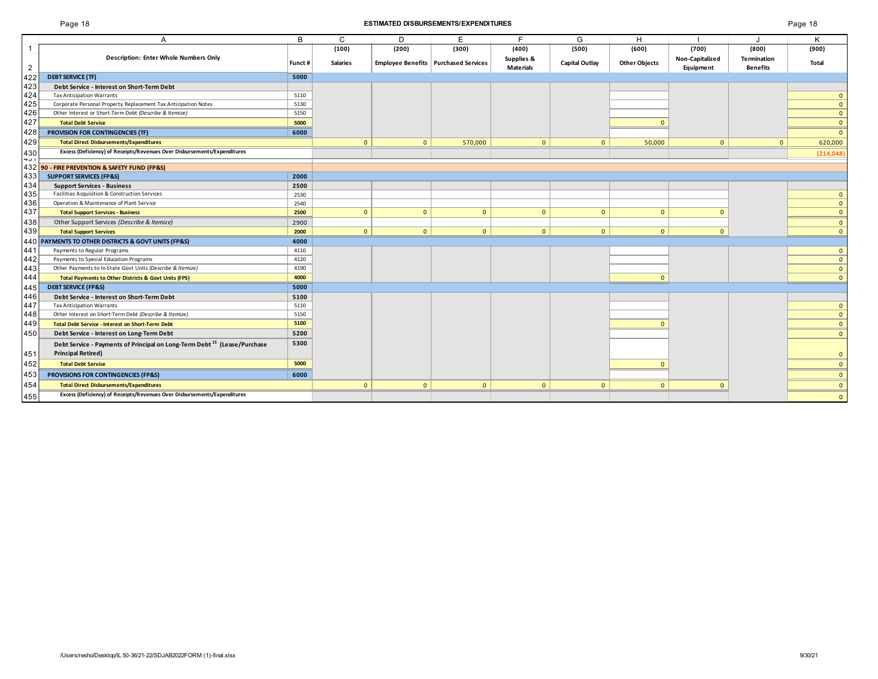## Page 18 **ESTIMATED DISBURSEMENTS/EXPENDITURES** Page 18

| age |  | 18 |
|-----|--|----|
|     |  |    |

|                | A                                                                                    | B.      | C               | D            | F                                      | F.                             | G              | H                    |                              |                                       | ĸ              |
|----------------|--------------------------------------------------------------------------------------|---------|-----------------|--------------|----------------------------------------|--------------------------------|----------------|----------------------|------------------------------|---------------------------------------|----------------|
|                |                                                                                      |         | (100)           | (200)        | (300)                                  | (400)                          | (500)          | (600)                | (700)                        | (800)                                 | (900)          |
| $\overline{2}$ | <b>Description: Enter Whole Numbers Only</b>                                         | Funct # | <b>Salaries</b> |              | Employee Benefits   Purchased Services | Supplies &<br><b>Materials</b> | Capital Outlay | <b>Other Objects</b> | Non-Capitalized<br>Equipment | <b>Termination</b><br><b>Benefits</b> | Total          |
| 422            | <b>DEBT SERVICE (TF)</b>                                                             | 5000    |                 |              |                                        |                                |                |                      |                              |                                       |                |
| 423            | Debt Service - Interest on Short-Term Debt                                           |         |                 |              |                                        |                                |                |                      |                              |                                       |                |
| 424            | <b>Tax Anticipation Warrants</b>                                                     | 5110    |                 |              |                                        |                                |                |                      |                              |                                       | $\overline{0}$ |
| 425            | Corporate Personal Property Replacement Tax Anticipation Notes                       | 5130    |                 |              |                                        |                                |                |                      |                              |                                       | $\overline{0}$ |
| 426            | Other Interest or Short-Term Debt (Describe & Itemize)                               | 5150    |                 |              |                                        |                                |                |                      |                              |                                       | $\overline{0}$ |
| 427            | <b>Total Debt Service</b>                                                            | 5000    |                 |              |                                        |                                |                |                      |                              |                                       | $\mathbf{0}$   |
| 428            | PROVISION FOR CONTINGENCIES (TF)                                                     | 6000    |                 |              |                                        |                                |                |                      |                              |                                       | $\mathbf{0}$   |
| 429            | <b>Total Direct Disbursements/Expenditures</b>                                       |         | $\mathbf{0}$    | $\mathbf{0}$ | 570,000                                | $\mathbf{0}$                   | $\mathbf{0}$   | 50,000               | $\mathbf{0}$                 | $\mathbf{0}$                          | 620,000        |
| 430<br>401     | Excess (Deficiency) of Receipts/Revenues Over Disbursements/Expenditures             |         |                 |              |                                        |                                |                |                      |                              |                                       | (214, 048)     |
|                | 432 90 - FIRE PREVENTION & SAFETY FUND (FP&S)                                        |         |                 |              |                                        |                                |                |                      |                              |                                       |                |
| 433            | <b>SUPPORT SERVICES (FP&amp;S)</b>                                                   | 2000    |                 |              |                                        |                                |                |                      |                              |                                       |                |
| 434            | <b>Support Services - Business</b>                                                   | 2500    |                 |              |                                        |                                |                |                      |                              |                                       |                |
| 435            | Facilities Acquisition & Construction Services                                       | 2530    |                 |              |                                        |                                |                |                      |                              |                                       | $\mathbf{0}$   |
| 436            | Operation & Maintenance of Plant Service                                             | 2540    |                 |              |                                        |                                |                |                      |                              |                                       | $\overline{0}$ |
| 437            | <b>Total Support Services - Business</b>                                             | 2500    | $\mathbf{0}$    | $\mathbf{0}$ | $\mathbf{0}$                           | $\mathbf{0}$                   | $\mathbf{0}$   | $\mathbf{0}$         | $\mathbf{0}$                 |                                       | $\overline{0}$ |
| 438            | Other Support Services (Describe & Itemize)                                          | 2900    |                 |              |                                        |                                |                |                      |                              |                                       | $\overline{0}$ |
| 439            | <b>Total Support Services</b>                                                        | 2000    | $\mathbf{0}$    | $\mathbf{0}$ | $\mathbf{0}$                           | $\mathbf{0}$                   | $\mathbf{0}$   | $\mathbf{0}$         | $\mathbf{0}$                 |                                       | $\overline{0}$ |
| 440            | PAYMENTS TO OTHER DISTRICTS & GOVT UNITS (FP&S)                                      | 4000    |                 |              |                                        |                                |                |                      |                              |                                       |                |
| 441            | Payments to Regular Programs                                                         | 4110    |                 |              |                                        |                                |                |                      |                              |                                       | $\mathbf{0}$   |
| 442            | Payments to Special Education Programs                                               | 4120    |                 |              |                                        |                                |                |                      |                              |                                       | $\overline{0}$ |
| 443            | Other Payments to In-State Govt Units (Describe & Itemize)                           | 4190    |                 |              |                                        |                                |                |                      |                              |                                       | $\overline{0}$ |
| 444            | <b>Total Payments to Other Districts &amp; Govt Units (FPS)</b>                      | 4000    |                 |              |                                        |                                |                | $\Omega$             |                              |                                       | $\overline{0}$ |
| 445            | <b>DEBT SERVICE (FP&amp;S)</b>                                                       | 5000    |                 |              |                                        |                                |                |                      |                              |                                       |                |
| 446            | Debt Service - Interest on Short-Term Debt                                           | 5100    |                 |              |                                        |                                |                |                      |                              |                                       |                |
| 447            | <b>Tax Anticipation Warrants</b>                                                     | 5110    |                 |              |                                        |                                |                |                      |                              |                                       | $\mathbf{0}$   |
| 448            | Other Interest on Short-Term Debt (Describe & Itemize)                               | 5150    |                 |              |                                        |                                |                |                      |                              |                                       | $\overline{0}$ |
| 449            | <b>Total Debt Service - Interest on Short-Term Debt</b>                              | 5100    |                 |              |                                        |                                |                | $\Omega$             |                              |                                       | $\overline{0}$ |
| 450            | Debt Service - Interest on Long-Term Debt                                            | 5200    |                 |              |                                        |                                |                |                      |                              |                                       | $\overline{0}$ |
|                | Debt Service - Payments of Principal on Long-Term Debt <sup>15</sup> (Lease/Purchase | 5300    |                 |              |                                        |                                |                |                      |                              |                                       |                |
| 451            | <b>Principal Retired)</b>                                                            |         |                 |              |                                        |                                |                |                      |                              |                                       | $\mathbf{0}$   |
| 452            | <b>Total Debt Service</b>                                                            | 5000    |                 |              |                                        |                                |                |                      |                              |                                       | $\overline{0}$ |
| 453            | PROVISIONS FOR CONTINGENCIES (FP&S)                                                  | 6000    |                 |              |                                        |                                |                |                      |                              |                                       | $\overline{0}$ |
| 454            | <b>Total Direct Disbursements/Expenditures</b>                                       |         | $\mathbf{0}$    | $\mathbf{0}$ | $\mathbf{0}$                           | $\mathbf{0}$                   | $\overline{0}$ | $\mathbf{0}$         | $\Omega$                     |                                       | $\mathbf{0}$   |
| 455            | Excess (Deficiency) of Receipts/Revenues Over Disbursements/Expenditures             |         |                 |              |                                        |                                |                |                      |                              |                                       | $\overline{0}$ |
|                |                                                                                      |         |                 |              |                                        |                                |                |                      |                              |                                       |                |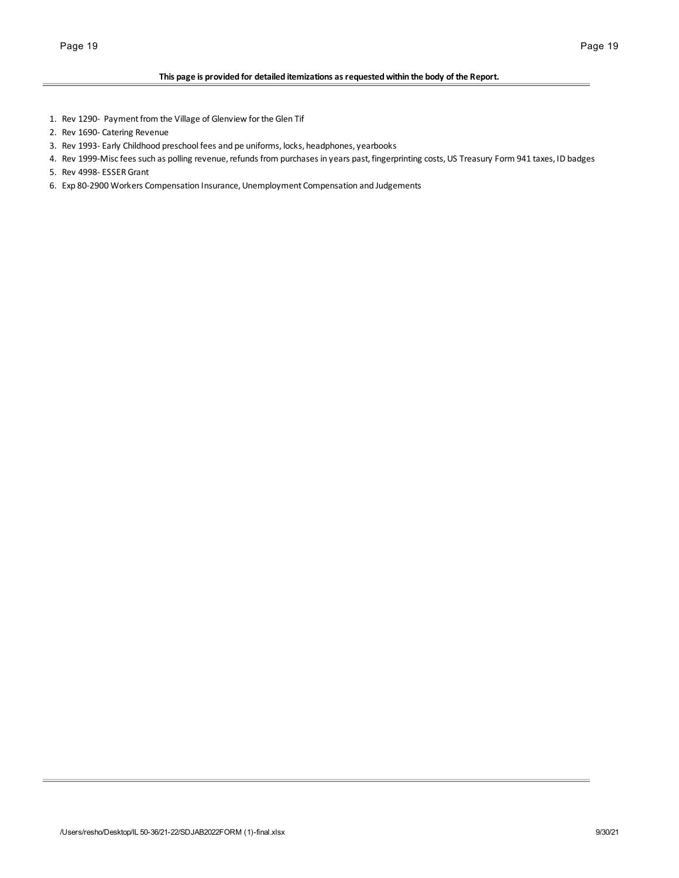## **This page is provided for detailed itemizations as requested within the body of the Report.**

- 1. Rev 1290- Payment from the Village of Glenview for the Glen Tif
- 2. Rev 1690- Catering Revenue
- 3. Rev 1993- Early Childhood preschool fees and pe uniforms, locks, headphones, yearbooks
- 4. Rev 1999-Misc fees such as polling revenue, refunds from purchases in years past, fingerprinting costs, US Treasury Form 941 taxes, ID badges
- 5. Rev 4998- ESSER Grant
- 6. Exp 80-2900 Workers Compensation Insurance, Unemployment Compensation and Judgements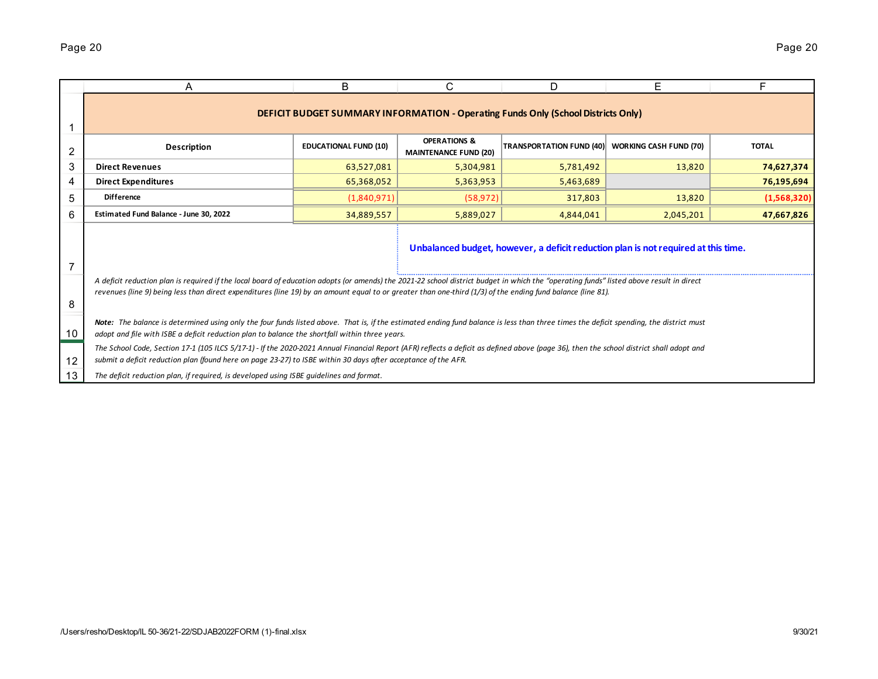|    | A                                                                                                                                                                                                                                                                                                                                                      | B                            | C                                                       | D                                                                                        | Е                             |              |  |  |  |  |  |  |
|----|--------------------------------------------------------------------------------------------------------------------------------------------------------------------------------------------------------------------------------------------------------------------------------------------------------------------------------------------------------|------------------------------|---------------------------------------------------------|------------------------------------------------------------------------------------------|-------------------------------|--------------|--|--|--|--|--|--|
|    |                                                                                                                                                                                                                                                                                                                                                        |                              |                                                         | <b>DEFICIT BUDGET SUMMARY INFORMATION - Operating Funds Only (School Districts Only)</b> |                               |              |  |  |  |  |  |  |
| 2  | <b>Description</b>                                                                                                                                                                                                                                                                                                                                     | <b>EDUCATIONAL FUND (10)</b> | <b>OPERATIONS &amp;</b><br><b>MAINTENANCE FUND (20)</b> | <b>TRANSPORTATION FUND (40)</b>                                                          | <b>WORKING CASH FUND (70)</b> | <b>TOTAL</b> |  |  |  |  |  |  |
| 3  | <b>Direct Revenues</b>                                                                                                                                                                                                                                                                                                                                 | 63,527,081                   | 5,304,981                                               | 5,781,492                                                                                | 13,820                        | 74,627,374   |  |  |  |  |  |  |
| 4  | <b>Direct Expenditures</b>                                                                                                                                                                                                                                                                                                                             | 65,368,052                   | 5,363,953                                               | 5,463,689                                                                                |                               | 76,195,694   |  |  |  |  |  |  |
| 5  | <b>Difference</b>                                                                                                                                                                                                                                                                                                                                      | (1,840,971)                  | (58, 972)                                               | 317,803                                                                                  | 13,820                        | (1,568,320)  |  |  |  |  |  |  |
| 6  | Estimated Fund Balance - June 30, 2022                                                                                                                                                                                                                                                                                                                 | 34,889,557                   | 5,889,027                                               | 4,844,041                                                                                | 2,045,201                     | 47,667,826   |  |  |  |  |  |  |
| 7  | Unbalanced budget, however, a deficit reduction plan is not required at this time.                                                                                                                                                                                                                                                                     |                              |                                                         |                                                                                          |                               |              |  |  |  |  |  |  |
| 8  | A deficit reduction plan is required if the local board of education adopts (or amends) the 2021-22 school district budget in which the "operating funds" listed above result in direct<br>revenues (line 9) being less than direct expenditures (line 19) by an amount equal to or greater than one-third (1/3) of the ending fund balance (line 81). |                              |                                                         |                                                                                          |                               |              |  |  |  |  |  |  |
| 10 | Note: The balance is determined using only the four funds listed above. That is, if the estimated ending fund balance is less than three times the deficit spending, the district must<br>adopt and file with ISBE a deficit reduction plan to balance the shortfall within three years.                                                               |                              |                                                         |                                                                                          |                               |              |  |  |  |  |  |  |
| 12 | The School Code, Section 17-1 (105 ILCS 5/17-1) - If the 2020-2021 Annual Financial Report (AFR) reflects a deficit as defined above (page 36), then the school district shall adopt and<br>submit a deficit reduction plan (found here on page 23-27) to ISBE within 30 days after acceptance of the AFR.                                             |                              |                                                         |                                                                                          |                               |              |  |  |  |  |  |  |
| 13 | The deficit reduction plan, if required, is developed using ISBE quidelines and format.                                                                                                                                                                                                                                                                |                              |                                                         |                                                                                          |                               |              |  |  |  |  |  |  |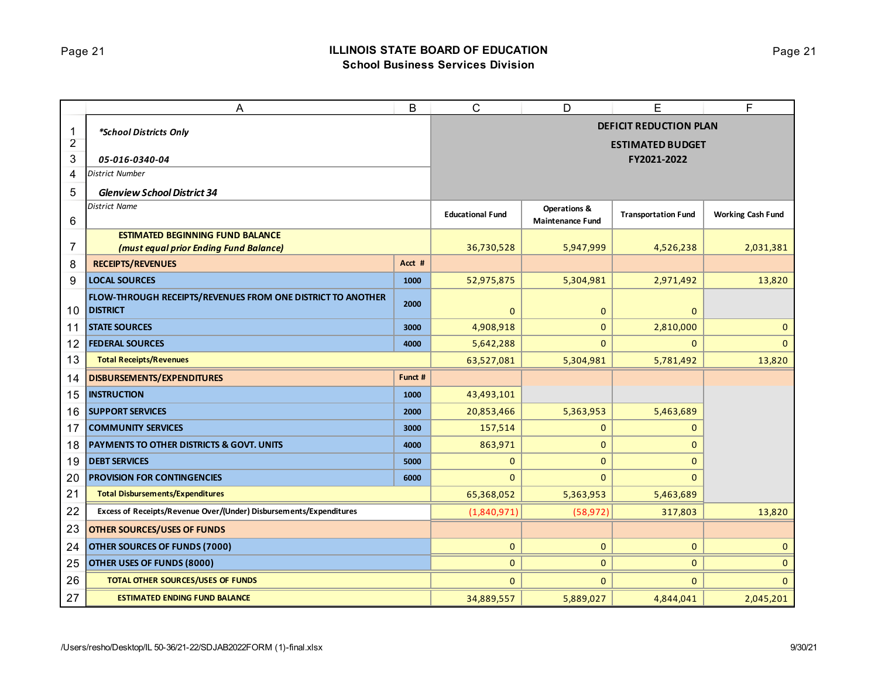# Page 21 **ILLINOIS STATE BOARD OF EDUCATION School Business Services Division**

|                | Α                                                                  | B       | $\mathsf{C}$                  | D                       | Ε                          | F                        |  |
|----------------|--------------------------------------------------------------------|---------|-------------------------------|-------------------------|----------------------------|--------------------------|--|
| 1              | *School Districts Only                                             |         | <b>DEFICIT REDUCTION PLAN</b> |                         |                            |                          |  |
| $\overline{2}$ |                                                                    |         |                               |                         | <b>ESTIMATED BUDGET</b>    |                          |  |
| 3              | 05-016-0340-04                                                     |         |                               |                         | FY2021-2022                |                          |  |
| 4              | <b>District Number</b>                                             |         |                               |                         |                            |                          |  |
| 5              | <b>Glenview School District 34</b>                                 |         |                               |                         |                            |                          |  |
|                | <b>District Name</b>                                               |         | <b>Educational Fund</b>       | Operations &            | <b>Transportation Fund</b> | <b>Working Cash Fund</b> |  |
| 6              |                                                                    |         |                               | <b>Maintenance Fund</b> |                            |                          |  |
| 7              | <b>ESTIMATED BEGINNING FUND BALANCE</b>                            |         | 36,730,528                    | 5,947,999               | 4,526,238                  | 2,031,381                |  |
| 8              | (must equal prior Ending Fund Balance)<br><b>RECEIPTS/REVENUES</b> | Acct #  |                               |                         |                            |                          |  |
| 9              | <b>LOCAL SOURCES</b>                                               | 1000    | 52,975,875                    | 5,304,981               | 2,971,492                  | 13,820                   |  |
|                | FLOW-THROUGH RECEIPTS/REVENUES FROM ONE DISTRICT TO ANOTHER        |         |                               |                         |                            |                          |  |
| 10             | <b>DISTRICT</b>                                                    | 2000    | $\mathbf{0}$                  | $\mathbf 0$             | $\mathbf{0}$               |                          |  |
| 11             | <b>STATE SOURCES</b>                                               | 3000    | 4,908,918                     | $\mathbf{0}$            | 2,810,000                  | $\mathbf{0}$             |  |
| 12             | <b>FEDERAL SOURCES</b>                                             | 4000    | 5,642,288                     | $\overline{0}$          | 0                          | $\overline{0}$           |  |
| 13             | <b>Total Receipts/Revenues</b>                                     |         | 63,527,081                    | 5,304,981               | 5,781,492                  | 13,820                   |  |
| 14             | <b>DISBURSEMENTS/EXPENDITURES</b>                                  | Funct # |                               |                         |                            |                          |  |
| 15             | <b>INSTRUCTION</b>                                                 | 1000    | 43,493,101                    |                         |                            |                          |  |
| 16             | <b>SUPPORT SERVICES</b>                                            | 2000    | 20,853,466                    | 5,363,953               | 5,463,689                  |                          |  |
| 17             | <b>COMMUNITY SERVICES</b>                                          | 3000    | 157,514                       | $\mathbf{0}$            | 0                          |                          |  |
| 18             | <b>PAYMENTS TO OTHER DISTRICTS &amp; GOVT. UNITS</b>               | 4000    | 863,971                       | 0                       | 0                          |                          |  |
| 19             | <b>DEBT SERVICES</b>                                               | 5000    | 0                             | $\mathbf 0$             | 0                          |                          |  |
| 20             | <b>PROVISION FOR CONTINGENCIES</b>                                 | 6000    | $\Omega$                      | $\Omega$                | $\mathbf{0}$               |                          |  |
| 21             | <b>Total Disbursements/Expenditures</b>                            |         | 65,368,052                    | 5,363,953               | 5,463,689                  |                          |  |
| 22             | Excess of Receipts/Revenue Over/(Under) Disbursements/Expenditures |         | (1,840,971)                   | (58, 972)               | 317,803                    | 13,820                   |  |
| 23             | <b>OTHER SOURCES/USES OF FUNDS</b>                                 |         |                               |                         |                            |                          |  |
| 24             | OTHER SOURCES OF FUNDS (7000)                                      |         | $\mathbf{0}$                  | $\mathbf 0$             | 0                          | $\overline{0}$           |  |
| 25             | OTHER USES OF FUNDS (8000)                                         |         | 0                             | $\mathbf{0}$            | 0                          | $\mathbf{0}$             |  |
| 26             | <b>TOTAL OTHER SOURCES/USES OF FUNDS</b>                           |         | $\mathbf{0}$                  | $\mathbf{0}$            | 0                          | $\overline{0}$           |  |
| 27             | <b>ESTIMATED ENDING FUND BALANCE</b>                               |         | 34,889,557                    | 5,889,027               | 4,844,041                  | 2,045,201                |  |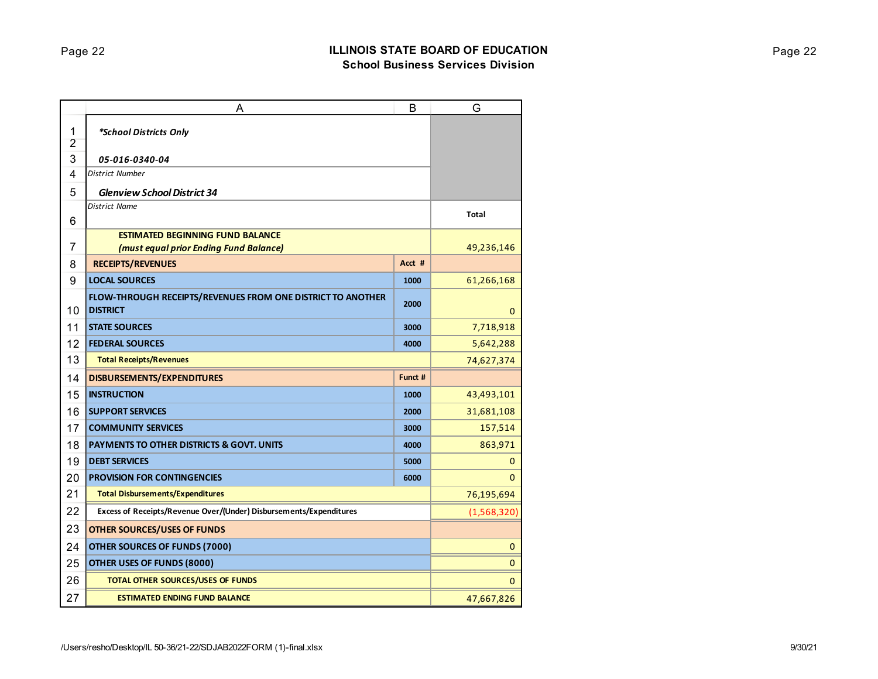|                     | Α                                                                                     | B       | G            |
|---------------------|---------------------------------------------------------------------------------------|---------|--------------|
| 1<br>$\overline{2}$ | *School Districts Only                                                                |         |              |
| 3                   | 05-016-0340-04                                                                        |         |              |
| 4                   | <b>District Number</b>                                                                |         |              |
| 5                   | <b>Glenview School District 34</b>                                                    |         |              |
| 6                   | <b>District Name</b>                                                                  |         | <b>Total</b> |
|                     | <b>ESTIMATED BEGINNING FUND BALANCE</b>                                               |         |              |
| 7                   | (must equal prior Ending Fund Balance)                                                |         | 49,236,146   |
| 8                   | <b>RECEIPTS/REVENUES</b>                                                              | Acct #  |              |
| 9                   | <b>LOCAL SOURCES</b>                                                                  | 1000    | 61,266,168   |
| 10                  | <b>FLOW-THROUGH RECEIPTS/REVENUES FROM ONE DISTRICT TO ANOTHER</b><br><b>DISTRICT</b> | 2000    | $\mathbf{0}$ |
| 11                  | <b>STATE SOURCES</b>                                                                  | 3000    | 7,718,918    |
| 12                  | <b>FEDERAL SOURCES</b>                                                                | 4000    | 5,642,288    |
| 13                  | <b>Total Receipts/Revenues</b>                                                        |         | 74,627,374   |
| 14                  | <b>DISBURSEMENTS/EXPENDITURES</b>                                                     | Funct # |              |
| 15                  | <b>INSTRUCTION</b>                                                                    | 1000    | 43,493,101   |
| 16                  | <b>SUPPORT SERVICES</b>                                                               | 2000    | 31,681,108   |
| 17                  | <b>COMMUNITY SERVICES</b>                                                             | 3000    | 157,514      |
| 18                  | <b>PAYMENTS TO OTHER DISTRICTS &amp; GOVT. UNITS</b>                                  | 4000    | 863,971      |
| 19                  | <b>DEBT SERVICES</b>                                                                  | 5000    | 0            |
| 20                  | <b>PROVISION FOR CONTINGENCIES</b>                                                    | 6000    | $\Omega$     |
| 21                  | <b>Total Disbursements/Expenditures</b>                                               |         | 76,195,694   |
| 22                  | Excess of Receipts/Revenue Over/(Under) Disbursements/Expenditures                    |         | (1,568,320)  |
| 23                  | <b>OTHER SOURCES/USES OF FUNDS</b>                                                    |         |              |
| 24                  | OTHER SOURCES OF FUNDS (7000)                                                         |         | $\mathbf 0$  |
| 25                  | OTHER USES OF FUNDS (8000)                                                            |         | $\mathbf 0$  |
| 26                  | <b>TOTAL OTHER SOURCES/USES OF FUNDS</b>                                              |         | $\mathbf 0$  |
| 27                  | <b>ESTIMATED ENDING FUND BALANCE</b>                                                  |         | 47,667,826   |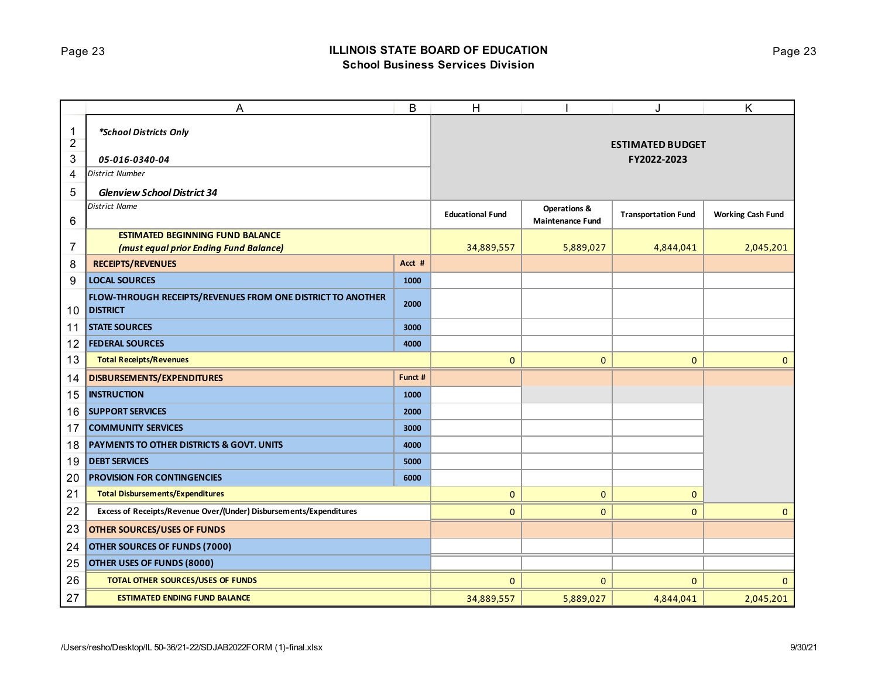# Page 23 **ILLINOIS STATE BOARD OF EDUCATION School Business Services Division**

|                     | A                                                                              | B       | H                       |                         | J                          | K                        |
|---------------------|--------------------------------------------------------------------------------|---------|-------------------------|-------------------------|----------------------------|--------------------------|
| 1<br>$\overline{2}$ | *School Districts Only                                                         |         |                         |                         | <b>ESTIMATED BUDGET</b>    |                          |
| 3                   | 05-016-0340-04                                                                 |         |                         |                         | FY2022-2023                |                          |
| 4                   | <b>District Number</b>                                                         |         |                         |                         |                            |                          |
| 5                   | <b>Glenview School District 34</b>                                             |         |                         |                         |                            |                          |
|                     | <b>District Name</b>                                                           |         |                         | <b>Operations &amp;</b> |                            |                          |
| $\,6$               |                                                                                |         | <b>Educational Fund</b> | <b>Maintenance Fund</b> | <b>Transportation Fund</b> | <b>Working Cash Fund</b> |
|                     | <b>ESTIMATED BEGINNING FUND BALANCE</b>                                        |         |                         |                         |                            |                          |
| $\overline{7}$      | (must equal prior Ending Fund Balance)                                         |         | 34,889,557              | 5,889,027               | 4,844,041                  | 2,045,201                |
| 8                   | <b>RECEIPTS/REVENUES</b>                                                       | Acct #  |                         |                         |                            |                          |
| 9                   | <b>LOCAL SOURCES</b>                                                           | 1000    |                         |                         |                            |                          |
| 10                  | FLOW-THROUGH RECEIPTS/REVENUES FROM ONE DISTRICT TO ANOTHER<br><b>DISTRICT</b> | 2000    |                         |                         |                            |                          |
| 11                  | <b>STATE SOURCES</b>                                                           | 3000    |                         |                         |                            |                          |
| 12                  | <b>FEDERAL SOURCES</b>                                                         | 4000    |                         |                         |                            |                          |
| 13                  | <b>Total Receipts/Revenues</b>                                                 |         | $\mathbf{0}$            | $\overline{0}$          | $\mathbf{0}$               | $\mathbf{0}$             |
| 14                  | DISBURSEMENTS/EXPENDITURES                                                     | Funct # |                         |                         |                            |                          |
| 15                  | <b>INSTRUCTION</b>                                                             | 1000    |                         |                         |                            |                          |
| 16                  | <b>SUPPORT SERVICES</b>                                                        | 2000    |                         |                         |                            |                          |
| 17                  | <b>COMMUNITY SERVICES</b>                                                      | 3000    |                         |                         |                            |                          |
| 18                  | <b>PAYMENTS TO OTHER DISTRICTS &amp; GOVT. UNITS</b>                           | 4000    |                         |                         |                            |                          |
| 19                  | <b>DEBT SERVICES</b>                                                           | 5000    |                         |                         |                            |                          |
| 20                  | <b>PROVISION FOR CONTINGENCIES</b>                                             | 6000    |                         |                         |                            |                          |
| 21                  | <b>Total Disbursements/Expenditures</b>                                        |         | $\mathbf 0$             | 0                       | $\mathbf{0}$               |                          |
| 22                  | Excess of Receipts/Revenue Over/(Under) Disbursements/Expenditures             |         | 0                       | 0                       | $\mathbf{0}$               | $\mathbf{0}$             |
| 23                  | <b>OTHER SOURCES/USES OF FUNDS</b>                                             |         |                         |                         |                            |                          |
| 24                  | <b>OTHER SOURCES OF FUNDS (7000)</b>                                           |         |                         |                         |                            |                          |
| 25                  | OTHER USES OF FUNDS (8000)                                                     |         |                         |                         |                            |                          |
| 26                  | <b>TOTAL OTHER SOURCES/USES OF FUNDS</b>                                       |         | 0                       | 0                       | $\mathbf{0}$               | $\mathbf{0}$             |
| 27                  | <b>ESTIMATED ENDING FUND BALANCE</b>                                           |         | 34,889,557              | 5,889,027               | 4,844,041                  | 2,045,201                |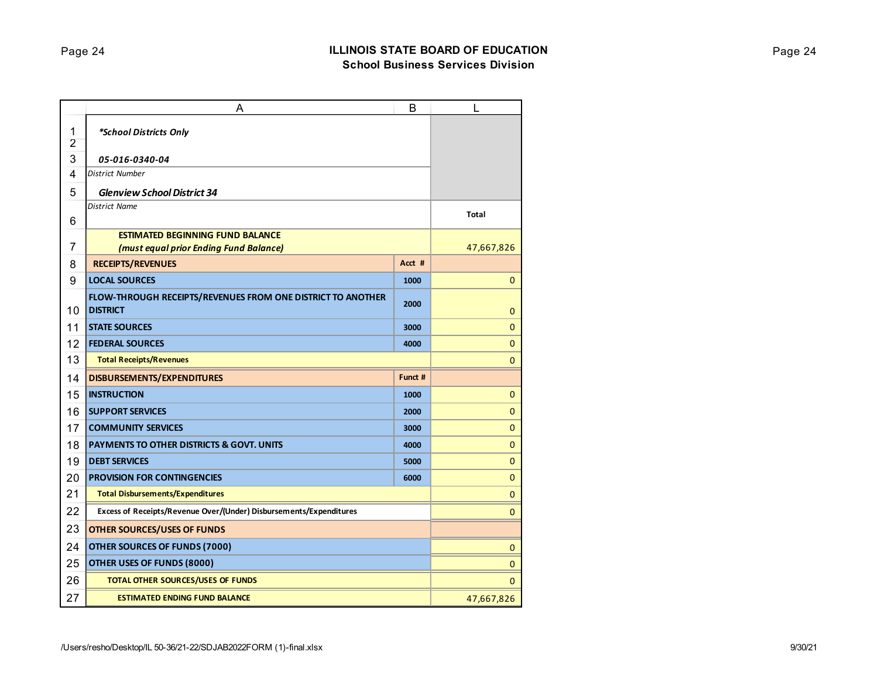|                     | Α                                                                              | B       | L            |
|---------------------|--------------------------------------------------------------------------------|---------|--------------|
| 1<br>$\overline{2}$ | *School Districts Only                                                         |         |              |
| 3                   | 05-016-0340-04                                                                 |         |              |
| 4                   | <b>District Number</b>                                                         |         |              |
| 5                   | <b>Glenview School District 34</b>                                             |         |              |
| 6                   | <b>District Name</b>                                                           |         | Total        |
|                     | <b>ESTIMATED BEGINNING FUND BALANCE</b>                                        |         |              |
| 7                   | (must equal prior Ending Fund Balance)                                         |         | 47,667,826   |
| 8                   | <b>RECEIPTS/REVENUES</b>                                                       | Acct #  |              |
| 9                   | <b>LOCAL SOURCES</b>                                                           | 1000    | $\mathbf{0}$ |
| 10                  | FLOW-THROUGH RECEIPTS/REVENUES FROM ONE DISTRICT TO ANOTHER<br><b>DISTRICT</b> | 2000    | 0            |
| 11                  | <b>STATE SOURCES</b>                                                           | 3000    | $\mathbf{0}$ |
| 12                  | <b>FEDERAL SOURCES</b>                                                         | 4000    | 0            |
| 13                  | <b>Total Receipts/Revenues</b>                                                 |         | $\mathbf{0}$ |
| 14                  | <b>DISBURSEMENTS/EXPENDITURES</b>                                              | Funct # |              |
| 15                  | <b>INSTRUCTION</b>                                                             | 1000    | 0            |
| 16                  | <b>SUPPORT SERVICES</b>                                                        | 2000    | 0            |
| 17                  | <b>COMMUNITY SERVICES</b>                                                      | 3000    | $\mathbf{0}$ |
| 18                  | <b>PAYMENTS TO OTHER DISTRICTS &amp; GOVT. UNITS</b>                           | 4000    | 0            |
| 19                  | <b>DEBT SERVICES</b>                                                           | 5000    | $\mathbf{0}$ |
| 20                  | <b>PROVISION FOR CONTINGENCIES</b>                                             | 6000    | 0            |
| 21                  | <b>Total Disbursements/Expenditures</b>                                        |         | 0            |
| 22                  | Excess of Receipts/Revenue Over/(Under) Disbursements/Expenditures             |         | 0            |
| 23                  | <b>OTHER SOURCES/USES OF FUNDS</b>                                             |         |              |
| 24                  | OTHER SOURCES OF FUNDS (7000)                                                  |         | 0            |
| 25                  | OTHER USES OF FUNDS (8000)                                                     |         | 0            |
| 26                  | <b>TOTAL OTHER SOURCES/USES OF FUNDS</b>                                       |         | 0            |
| 27                  | <b>ESTIMATED ENDING FUND BALANCE</b>                                           |         | 47,667,826   |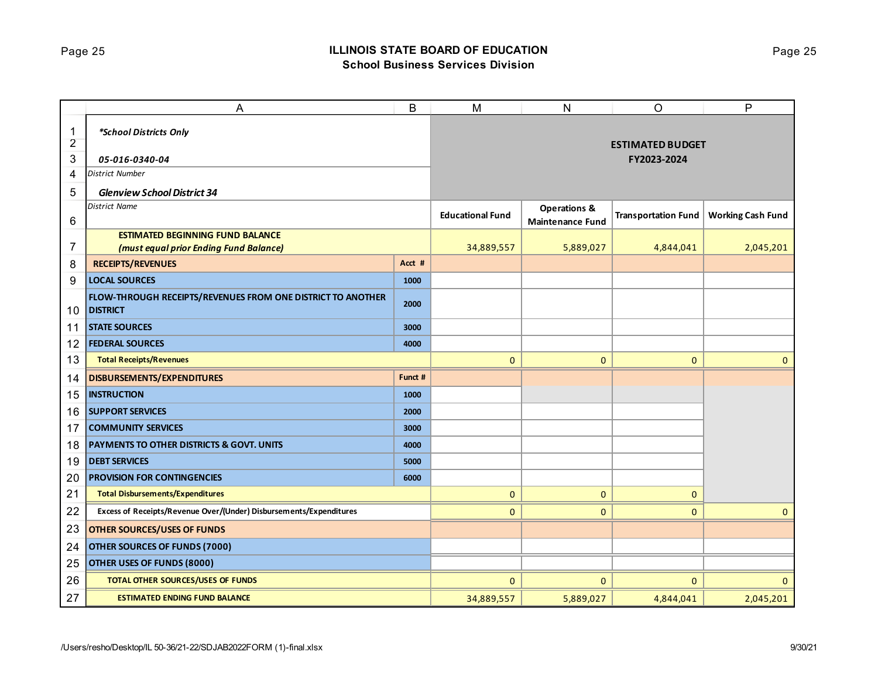## Page 25 **ILLINOIS STATE BOARD OF EDUCATION School Business Services Division**

|                     | А                                                                              | B       | M                       | N                       | O                                      | P                        |
|---------------------|--------------------------------------------------------------------------------|---------|-------------------------|-------------------------|----------------------------------------|--------------------------|
| 1                   | *School Districts Only                                                         |         |                         |                         |                                        |                          |
| $\overline{2}$<br>3 | 05-016-0340-04                                                                 |         |                         |                         | <b>ESTIMATED BUDGET</b><br>FY2023-2024 |                          |
| 4                   | District Number                                                                |         |                         |                         |                                        |                          |
| 5                   | <b>Glenview School District 34</b>                                             |         |                         |                         |                                        |                          |
|                     | <b>District Name</b>                                                           |         |                         | <b>Operations &amp;</b> |                                        |                          |
| 6                   |                                                                                |         | <b>Educational Fund</b> | <b>Maintenance Fund</b> | <b>Transportation Fund</b>             | <b>Working Cash Fund</b> |
|                     | <b>ESTIMATED BEGINNING FUND BALANCE</b>                                        |         |                         |                         |                                        |                          |
| 7                   | (must equal prior Ending Fund Balance)                                         |         | 34,889,557              | 5,889,027               | 4,844,041                              | 2,045,201                |
| 8                   | <b>RECEIPTS/REVENUES</b>                                                       | Acct #  |                         |                         |                                        |                          |
| 9                   | <b>LOCAL SOURCES</b>                                                           | 1000    |                         |                         |                                        |                          |
| 10                  | FLOW-THROUGH RECEIPTS/REVENUES FROM ONE DISTRICT TO ANOTHER<br><b>DISTRICT</b> | 2000    |                         |                         |                                        |                          |
| 11                  | <b>STATE SOURCES</b>                                                           | 3000    |                         |                         |                                        |                          |
| 12                  | <b>FEDERAL SOURCES</b>                                                         | 4000    |                         |                         |                                        |                          |
| 13                  | <b>Total Receipts/Revenues</b>                                                 |         | 0                       | $\mathbf{0}$            | $\mathbf 0$                            | $\mathbf{0}$             |
| 14                  | DISBURSEMENTS/EXPENDITURES                                                     | Funct # |                         |                         |                                        |                          |
| 15                  | <b>INSTRUCTION</b>                                                             | 1000    |                         |                         |                                        |                          |
| 16                  | <b>SUPPORT SERVICES</b>                                                        | 2000    |                         |                         |                                        |                          |
| 17                  | <b>COMMUNITY SERVICES</b>                                                      | 3000    |                         |                         |                                        |                          |
| 18                  | <b>PAYMENTS TO OTHER DISTRICTS &amp; GOVT. UNITS</b>                           | 4000    |                         |                         |                                        |                          |
| 19                  | <b>DEBT SERVICES</b>                                                           | 5000    |                         |                         |                                        |                          |
| 20                  | <b>PROVISION FOR CONTINGENCIES</b>                                             | 6000    |                         |                         |                                        |                          |
| 21                  | <b>Total Disbursements/Expenditures</b>                                        |         | 0                       | $\mathbf 0$             | $\mathbf{0}$                           |                          |
| 22                  | Excess of Receipts/Revenue Over/(Under) Disbursements/Expenditures             |         | 0                       | $\mathbf{0}$            | $\mathbf{0}$                           | $\mathbf{0}$             |
| 23                  | <b>OTHER SOURCES/USES OF FUNDS</b>                                             |         |                         |                         |                                        |                          |
| 24                  | OTHER SOURCES OF FUNDS (7000)                                                  |         |                         |                         |                                        |                          |
| 25                  | OTHER USES OF FUNDS (8000)                                                     |         |                         |                         |                                        |                          |
| 26                  | TOTAL OTHER SOURCES/USES OF FUNDS                                              |         | 0                       | $\mathbf 0$             | $\mathbf 0$                            | $\mathbf 0$              |
| 27                  | <b>ESTIMATED ENDING FUND BALANCE</b>                                           |         | 34,889,557              | 5,889,027               | 4,844,041                              | 2,045,201                |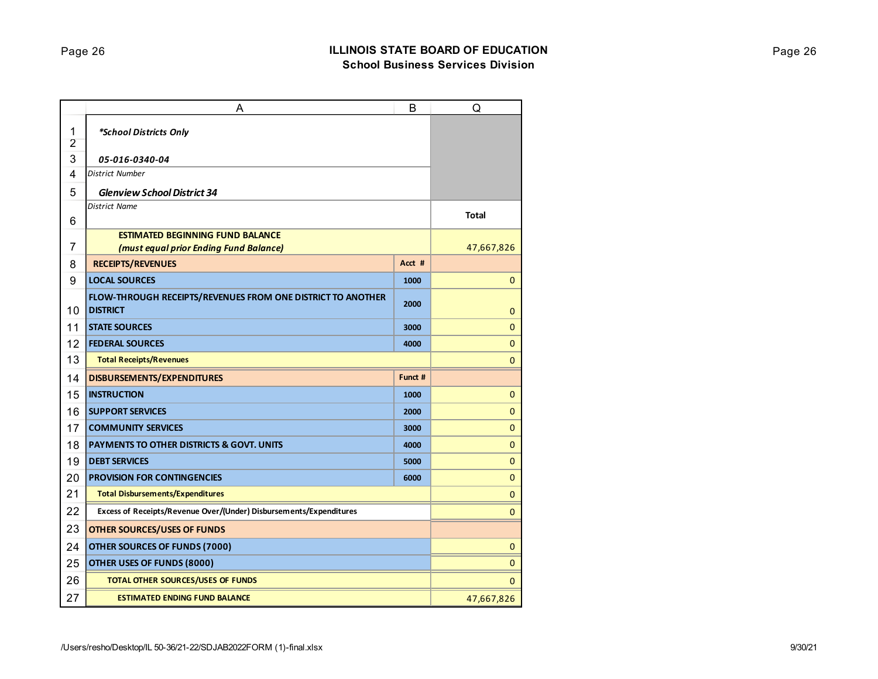|                     | A                                                                              | B       | Q            |
|---------------------|--------------------------------------------------------------------------------|---------|--------------|
| 1<br>$\overline{2}$ | *School Districts Only                                                         |         |              |
| 3                   | 05-016-0340-04                                                                 |         |              |
| 4                   | District Number                                                                |         |              |
| 5                   | <b>Glenview School District 34</b>                                             |         |              |
| 6                   | <b>District Name</b>                                                           |         | <b>Total</b> |
|                     | <b>ESTIMATED BEGINNING FUND BALANCE</b>                                        |         |              |
| 7                   | (must equal prior Ending Fund Balance)                                         |         | 47,667,826   |
| 8                   | <b>RECEIPTS/REVENUES</b>                                                       | Acct #  |              |
| 9                   | <b>LOCAL SOURCES</b>                                                           | 1000    | $\mathbf 0$  |
| 10                  | FLOW-THROUGH RECEIPTS/REVENUES FROM ONE DISTRICT TO ANOTHER<br><b>DISTRICT</b> | 2000    | $\mathbf{0}$ |
| 11                  | <b>STATE SOURCES</b>                                                           | 3000    | $\mathbf{0}$ |
| 12                  | <b>FEDERAL SOURCES</b>                                                         | 4000    | $\mathbf 0$  |
| 13                  | <b>Total Receipts/Revenues</b>                                                 |         | $\mathbf{0}$ |
| 14                  | <b>DISBURSEMENTS/EXPENDITURES</b>                                              | Funct # |              |
| 15                  | <b>INSTRUCTION</b>                                                             | 1000    | $\mathbf{0}$ |
| 16                  | <b>SUPPORT SERVICES</b>                                                        | 2000    | $\mathbf 0$  |
| 17                  | <b>COMMUNITY SERVICES</b>                                                      | 3000    | $\mathbf{0}$ |
| 18                  | <b>PAYMENTS TO OTHER DISTRICTS &amp; GOVT. UNITS</b>                           | 4000    | $\mathbf 0$  |
| 19                  | <b>DEBT SERVICES</b>                                                           | 5000    | $\mathbf{0}$ |
| 20                  | <b>PROVISION FOR CONTINGENCIES</b>                                             | 6000    | $\mathbf 0$  |
| 21                  | <b>Total Disbursements/Expenditures</b>                                        |         | $\mathbf 0$  |
| 22                  | Excess of Receipts/Revenue Over/(Under) Disbursements/Expenditures             |         | 0            |
| 23                  | <b>OTHER SOURCES/USES OF FUNDS</b>                                             |         |              |
| 24                  | <b>OTHER SOURCES OF FUNDS (7000)</b>                                           |         | $\mathbf 0$  |
| 25                  | OTHER USES OF FUNDS (8000)                                                     |         | $\mathbf 0$  |
| 26                  | <b>TOTAL OTHER SOURCES/USES OF FUNDS</b>                                       |         | 0            |
| 27                  | <b>ESTIMATED ENDING FUND BALANCE</b>                                           |         | 47,667,826   |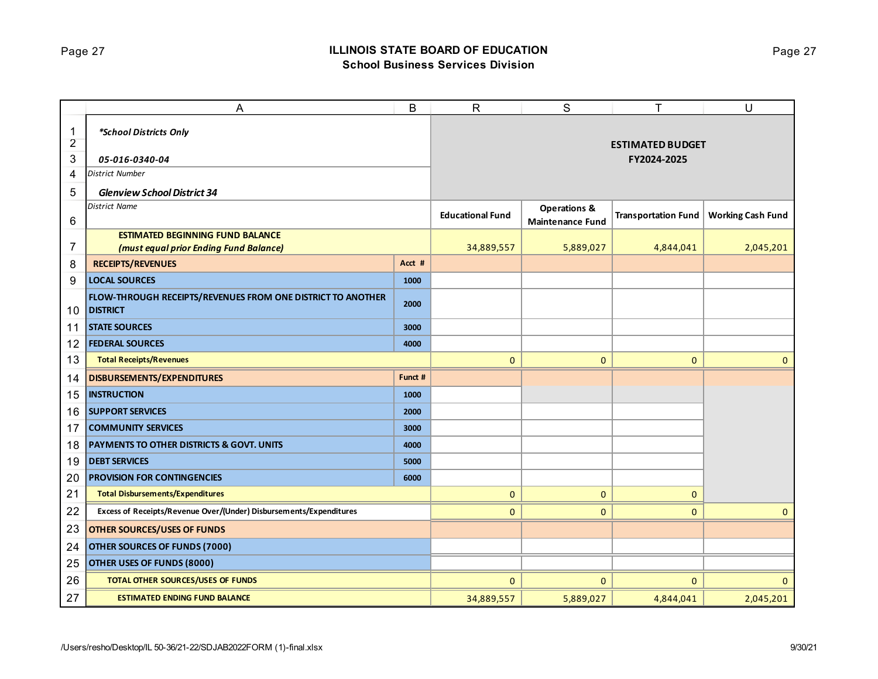# Page 27 **ILLINOIS STATE BOARD OF EDUCATION School Business Services Division**

|                     | A                                                                              | B       | $\mathsf{R}$            | S                       | т                          | U                        |
|---------------------|--------------------------------------------------------------------------------|---------|-------------------------|-------------------------|----------------------------|--------------------------|
| 1<br>$\overline{2}$ | *School Districts Only                                                         |         |                         |                         | <b>ESTIMATED BUDGET</b>    |                          |
| 3                   | 05-016-0340-04                                                                 |         |                         |                         | FY2024-2025                |                          |
| 4                   | <b>District Number</b>                                                         |         |                         |                         |                            |                          |
| 5                   | <b>Glenview School District 34</b>                                             |         |                         |                         |                            |                          |
|                     | <b>District Name</b>                                                           |         |                         | <b>Operations &amp;</b> |                            |                          |
| $\,6$               |                                                                                |         | <b>Educational Fund</b> | <b>Maintenance Fund</b> | <b>Transportation Fund</b> | <b>Working Cash Fund</b> |
|                     | <b>ESTIMATED BEGINNING FUND BALANCE</b>                                        |         |                         |                         |                            |                          |
| $\overline{7}$      | (must equal prior Ending Fund Balance)                                         |         | 34,889,557              | 5,889,027               | 4,844,041                  | 2,045,201                |
| 8                   | <b>RECEIPTS/REVENUES</b>                                                       | Acct #  |                         |                         |                            |                          |
| 9                   | <b>LOCAL SOURCES</b>                                                           | 1000    |                         |                         |                            |                          |
| 10                  | FLOW-THROUGH RECEIPTS/REVENUES FROM ONE DISTRICT TO ANOTHER<br><b>DISTRICT</b> | 2000    |                         |                         |                            |                          |
| 11                  | <b>STATE SOURCES</b>                                                           | 3000    |                         |                         |                            |                          |
| 12                  | <b>FEDERAL SOURCES</b>                                                         | 4000    |                         |                         |                            |                          |
| 13                  | <b>Total Receipts/Revenues</b>                                                 |         | $\mathbf{0}$            | $\overline{0}$          | $\mathbf{0}$               | $\mathbf{0}$             |
| 14                  | DISBURSEMENTS/EXPENDITURES                                                     | Funct # |                         |                         |                            |                          |
| 15                  | <b>INSTRUCTION</b>                                                             | 1000    |                         |                         |                            |                          |
| 16                  | <b>SUPPORT SERVICES</b>                                                        | 2000    |                         |                         |                            |                          |
| 17                  | <b>COMMUNITY SERVICES</b>                                                      | 3000    |                         |                         |                            |                          |
| 18                  | <b>PAYMENTS TO OTHER DISTRICTS &amp; GOVT. UNITS</b>                           | 4000    |                         |                         |                            |                          |
| 19                  | <b>DEBT SERVICES</b>                                                           | 5000    |                         |                         |                            |                          |
| 20                  | <b>PROVISION FOR CONTINGENCIES</b>                                             | 6000    |                         |                         |                            |                          |
| 21                  | <b>Total Disbursements/Expenditures</b>                                        |         | $\mathbf 0$             | 0                       | $\mathbf{0}$               |                          |
| 22                  | Excess of Receipts/Revenue Over/(Under) Disbursements/Expenditures             |         | 0                       | 0                       | $\mathbf{0}$               | $\mathbf{0}$             |
| 23                  | <b>OTHER SOURCES/USES OF FUNDS</b>                                             |         |                         |                         |                            |                          |
| 24                  | <b>OTHER SOURCES OF FUNDS (7000)</b>                                           |         |                         |                         |                            |                          |
| 25                  | OTHER USES OF FUNDS (8000)                                                     |         |                         |                         |                            |                          |
| 26                  | <b>TOTAL OTHER SOURCES/USES OF FUNDS</b>                                       |         | 0                       | 0                       | $\mathbf{0}$               | $\mathbf{0}$             |
| 27                  | <b>ESTIMATED ENDING FUND BALANCE</b>                                           |         | 34,889,557              | 5,889,027               | 4,844,041                  | 2,045,201                |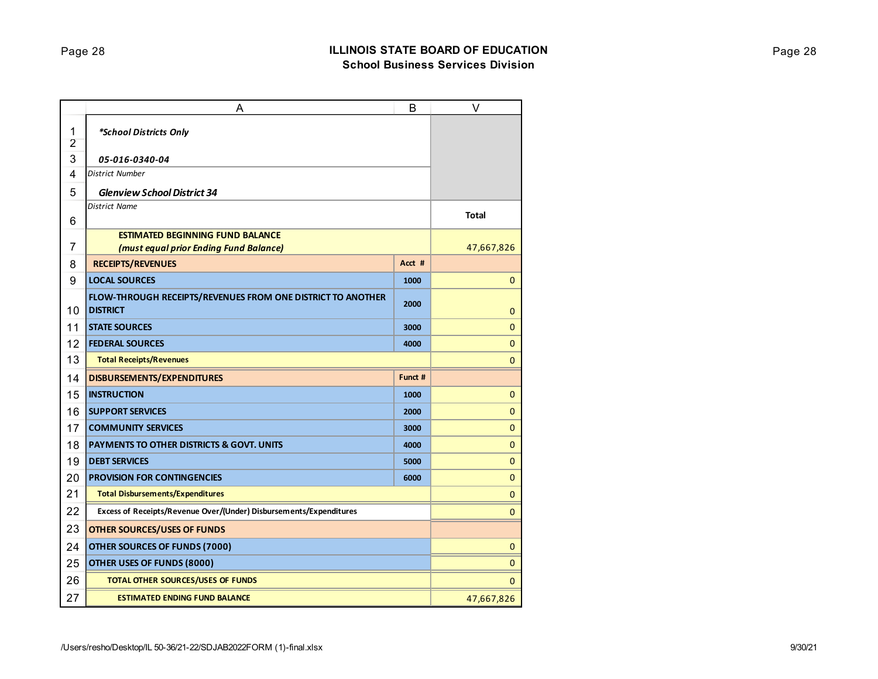|                     | A                                                                              | B       | V            |
|---------------------|--------------------------------------------------------------------------------|---------|--------------|
| 1<br>$\overline{2}$ | *School Districts Only                                                         |         |              |
| 3                   | 05-016-0340-04                                                                 |         |              |
| 4                   | <b>District Number</b>                                                         |         |              |
| 5                   | <b>Glenview School District 34</b>                                             |         |              |
| 6                   | <b>District Name</b>                                                           |         | <b>Total</b> |
|                     | <b>ESTIMATED BEGINNING FUND BALANCE</b>                                        |         |              |
| 7                   | (must equal prior Ending Fund Balance)                                         |         | 47,667,826   |
| 8                   | <b>RECEIPTS/REVENUES</b>                                                       | Acct #  |              |
| 9                   | <b>LOCAL SOURCES</b>                                                           | 1000    | $\mathbf{0}$ |
| 10                  | FLOW-THROUGH RECEIPTS/REVENUES FROM ONE DISTRICT TO ANOTHER<br><b>DISTRICT</b> | 2000    | $\mathbf 0$  |
| 11                  | <b>STATE SOURCES</b>                                                           | 3000    | $\mathbf 0$  |
| 12                  | <b>FEDERAL SOURCES</b>                                                         | 4000    | 0            |
| 13                  | <b>Total Receipts/Revenues</b>                                                 |         | 0            |
| 14                  | <b>DISBURSEMENTS/EXPENDITURES</b>                                              | Funct # |              |
| 15                  | <b>INSTRUCTION</b>                                                             | 1000    | 0            |
| 16                  | <b>SUPPORT SERVICES</b>                                                        | 2000    | $\mathbf 0$  |
| 17                  | <b>COMMUNITY SERVICES</b>                                                      | 3000    | 0            |
| 18                  | <b>PAYMENTS TO OTHER DISTRICTS &amp; GOVT. UNITS</b>                           | 4000    | $\mathbf 0$  |
| 19                  | <b>DEBT SERVICES</b>                                                           | 5000    | 0            |
| 20                  | <b>PROVISION FOR CONTINGENCIES</b>                                             | 6000    | 0            |
| 21                  | <b>Total Disbursements/Expenditures</b>                                        |         | 0            |
| 22                  | Excess of Receipts/Revenue Over/(Under) Disbursements/Expenditures             |         | 0            |
| 23                  | <b>OTHER SOURCES/USES OF FUNDS</b>                                             |         |              |
| 24                  | <b>OTHER SOURCES OF FUNDS (7000)</b>                                           |         | 0            |
| 25                  | OTHER USES OF FUNDS (8000)                                                     |         | $\mathbf 0$  |
| 26                  | <b>TOTAL OTHER SOURCES/USES OF FUNDS</b>                                       |         | 0            |
| 27                  | <b>ESTIMATED ENDING FUND BALANCE</b>                                           |         | 47,667,826   |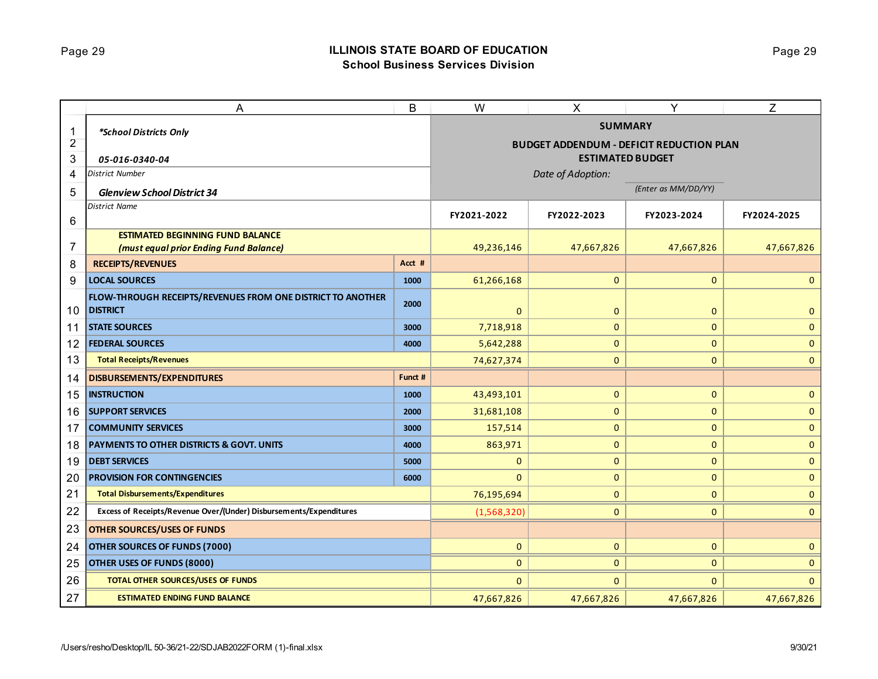## Page 29 **ILLINOIS STATE BOARD OF EDUCATION School Business Services Division**

|                | A                                                                              | B       | W                                               | X                 | Y                       | Z            |  |
|----------------|--------------------------------------------------------------------------------|---------|-------------------------------------------------|-------------------|-------------------------|--------------|--|
| 1              | *School Districts Only                                                         |         | <b>SUMMARY</b>                                  |                   |                         |              |  |
| $\overline{2}$ |                                                                                |         | <b>BUDGET ADDENDUM - DEFICIT REDUCTION PLAN</b> |                   |                         |              |  |
| 3              | 05-016-0340-04                                                                 |         |                                                 |                   | <b>ESTIMATED BUDGET</b> |              |  |
| 4              | <b>District Number</b>                                                         |         |                                                 | Date of Adoption: |                         |              |  |
| 5              | <b>Glenview School District 34</b>                                             |         |                                                 |                   | (Enter as MM/DD/YY)     |              |  |
|                | <b>District Name</b>                                                           |         | FY2021-2022                                     | FY2022-2023       | FY2023-2024             | FY2024-2025  |  |
| 6              |                                                                                |         |                                                 |                   |                         |              |  |
|                | <b>ESTIMATED BEGINNING FUND BALANCE</b>                                        |         |                                                 |                   |                         |              |  |
| 7              | (must equal prior Ending Fund Balance)                                         | Acct #  | 49,236,146                                      | 47,667,826        | 47,667,826              | 47,667,826   |  |
| 8              | <b>RECEIPTS/REVENUES</b><br><b>LOCAL SOURCES</b>                               |         |                                                 |                   |                         |              |  |
| 9              |                                                                                | 1000    | 61,266,168                                      | $\mathbf{0}$      | $\mathbf{0}$            | $\mathbf{0}$ |  |
| 10             | FLOW-THROUGH RECEIPTS/REVENUES FROM ONE DISTRICT TO ANOTHER<br><b>DISTRICT</b> | 2000    | $\mathbf{0}$                                    | $\mathbf 0$       | $\mathbf{0}$            | $\mathbf{0}$ |  |
| 11             | <b>STATE SOURCES</b>                                                           | 3000    | 7,718,918                                       | $\mathbf{0}$      | $\mathbf{0}$            | $\mathbf{0}$ |  |
| 12             | <b>FEDERAL SOURCES</b>                                                         | 4000    | 5,642,288                                       | $\mathbf{0}$      | $\mathbf 0$             | $\mathbf 0$  |  |
| 13             | <b>Total Receipts/Revenues</b>                                                 |         | 74,627,374                                      | $\mathbf{0}$      | $\mathbf{0}$            | $\mathbf{0}$ |  |
| 14             | <b>DISBURSEMENTS/EXPENDITURES</b>                                              | Funct # |                                                 |                   |                         |              |  |
| 15             | <b>INSTRUCTION</b>                                                             | 1000    | 43,493,101                                      | $\mathbf 0$       | $\mathbf{0}$            | $\mathbf 0$  |  |
| 16             | <b>SUPPORT SERVICES</b>                                                        | 2000    | 31,681,108                                      | $\mathbf{0}$      | $\mathbf{0}$            | $\mathbf{0}$ |  |
| 17             | <b>COMMUNITY SERVICES</b>                                                      | 3000    | 157,514                                         | $\mathbf 0$       | $\mathbf{0}$            | $\mathbf 0$  |  |
| 18             | PAYMENTS TO OTHER DISTRICTS & GOVT. UNITS                                      | 4000    | 863,971                                         | $\mathbf 0$       | $\pmb{0}$               | $\pmb{0}$    |  |
| 19             | <b>DEBT SERVICES</b>                                                           | 5000    | $\mathbf{0}$                                    | $\mathbf{0}$      | $\mathbf{0}$            | $\mathbf{0}$ |  |
| 20             | <b>PROVISION FOR CONTINGENCIES</b>                                             | 6000    | $\mathbf{0}$                                    | $\mathbf 0$       | $\mathbf 0$             | $\mathbf 0$  |  |
| 21             | <b>Total Disbursements/Expenditures</b>                                        |         | 76,195,694                                      | $\mathbf{0}$      | $\mathbf{0}$            | $\mathbf{0}$ |  |
| 22             | Excess of Receipts/Revenue Over/(Under) Disbursements/Expenditures             |         | (1,568,320)                                     | $\mathbf{0}$      | $\mathbf{0}$            | $\mathbf{0}$ |  |
| 23             | <b>OTHER SOURCES/USES OF FUNDS</b>                                             |         |                                                 |                   |                         |              |  |
| 24             | OTHER SOURCES OF FUNDS (7000)                                                  |         | $\mathbf{0}$                                    | $\mathbf{0}$      | $\mathbf{0}$            | $\mathbf{0}$ |  |
| 25             | OTHER USES OF FUNDS (8000)                                                     |         | $\mathbf{0}$                                    | $\mathbf 0$       | $\mathbf{0}$            | $\mathbf{0}$ |  |
| 26             | TOTAL OTHER SOURCES/USES OF FUNDS                                              |         | $\mathbf{0}$                                    | $\mathbf{0}$      | $\mathbf 0$             | $\mathbf{0}$ |  |
| 27             | <b>ESTIMATED ENDING FUND BALANCE</b>                                           |         | 47,667,826                                      | 47,667,826        | 47,667,826              | 47,667,826   |  |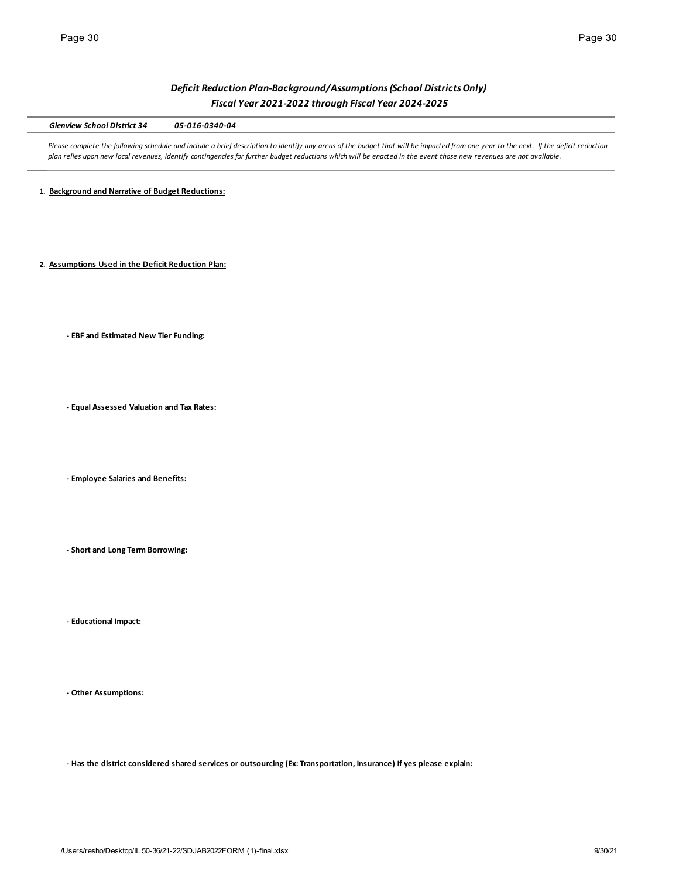# *Deficit Reduction Plan-Background/Assumptions (School Districts Only) Fiscal Year 2021-2022 through Fiscal Year 2024-2025*

*Glenview School District 34 05-016-0340-04*

Please complete the following schedule and include a brief description to identify any areas of the budget that will be impacted from one year to the next. If the deficit reduction *plan relies upon new local revenues, identify contingencies for further budget reductions which will be enacted in the event those new revenues are not available.* 

**1. Background and Narrative of Budget Reductions:**

**2. Assumptions Used in the Deficit Reduction Plan:**

**- EBF and Estimated New Tier Funding:**

**- Equal Assessed Valuation and Tax Rates:**

**- Employee Salaries and Benefits:**

**- Short and Long Term Borrowing:**

**- Educational Impact:**

**- Other Assumptions:**

**- Has the district considered shared services or outsourcing (Ex: Transportation, Insurance) If yes please explain:**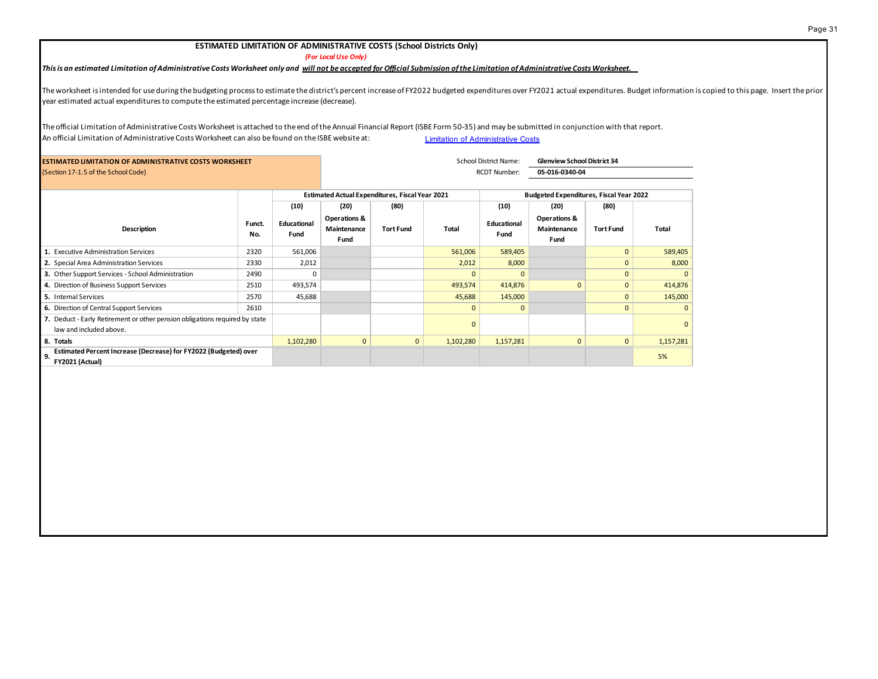### Page 31

### **ESTIMATED LIMITATION OF ADMINISTRATIVE COSTS (School Districts Only)**

*(For Local Use Only)*

## *This is an estimated Limitation of Administrative Costs Worksheet only and will not be accepted for Official Submission of the Limitation of Administrative Costs Worksheet.*

The worksheet is intended for use during the budgeting process to estimate the district's percent increase of FY2022 budgeted expenditures over FY2021 actual expenditures. Budget information is copied to this page. Insert year estimated actual expenditures to compute the estimated percentage increase (decrease).

The official Limitation of Administrative Costs Worksheet is attached to the end of the Annual Financial Report (ISBE Form 50-35) and may be submitted in conjunction with that report. An official Limitation of Administrative Costs Worksheet can also be found on the ISBE website at: Limitation of Administrative Costs

| <b>ESTIMATED LIMITATION OF ADMINISTRATIVE COSTS WORKSHEET</b>                                          |               |                     | <b>School District Name:</b><br><b>Glenview School District 34</b> |                  |           |                                                |                                     |                  |           |
|--------------------------------------------------------------------------------------------------------|---------------|---------------------|--------------------------------------------------------------------|------------------|-----------|------------------------------------------------|-------------------------------------|------------------|-----------|
| (Section 17-1.5 of the School Code)                                                                    |               |                     |                                                                    |                  |           | <b>RCDT Number:</b>                            | 05-016-0340-04                      |                  |           |
|                                                                                                        |               |                     | <b>Estimated Actual Expenditures, Fiscal Year 2021</b>             |                  |           | <b>Budgeted Expenditures, Fiscal Year 2022</b> |                                     |                  |           |
|                                                                                                        |               | (10)                | (20)                                                               | (80)             |           | (10)                                           | (20)                                | (80)             |           |
| <b>Description</b>                                                                                     | Funct.<br>No. | Educational<br>Fund | Operations &<br>Maintenance<br>Fund                                | <b>Tort Fund</b> | Total     | <b>Educational</b><br>Fund                     | Operations &<br>Maintenance<br>Fund | <b>Tort Fund</b> | Total     |
| 1. Executive Administration Services                                                                   | 2320          | 561,006             |                                                                    |                  | 561,006   | 589,405                                        |                                     | $\mathbf{0}$     | 589,405   |
| 2. Special Area Administration Services                                                                | 2330          | 2,012               |                                                                    |                  | 2,012     | 8,000                                          |                                     | $\mathbf{0}$     | 8,000     |
| 3. Other Support Services - School Administration                                                      | 2490          |                     |                                                                    |                  |           | $\Omega$                                       |                                     | $\mathbf{0}$     |           |
| 4. Direction of Business Support Services                                                              | 2510          | 493,574             |                                                                    |                  | 493,574   | 414,876                                        | $\Omega$                            | $\mathbf{0}$     | 414,876   |
| 5. Internal Services                                                                                   | 2570          | 45,688              |                                                                    |                  | 45,688    | 145,000                                        |                                     | $\mathbf{0}$     | 145,000   |
| 6. Direction of Central Support Services                                                               | 2610          |                     |                                                                    |                  | $\Omega$  | $\Omega$                                       |                                     | $\mathbf{0}$     |           |
| 7. Deduct - Early Retirement or other pension obligations required by state<br>law and included above. |               |                     |                                                                    |                  |           |                                                |                                     |                  |           |
| 8. Totals                                                                                              |               | 1,102,280           | $\mathbf{0}$                                                       | $\mathbf{0}$     | 1,102,280 | 1,157,281                                      | $\mathbf{0}$                        | $\mathbf{0}$     | 1,157,281 |
| Estimated Percent Increase (Decrease) for FY2022 (Budgeted) over<br>9.<br>FY2021 (Actual)              |               |                     |                                                                    |                  |           |                                                |                                     |                  | 5%        |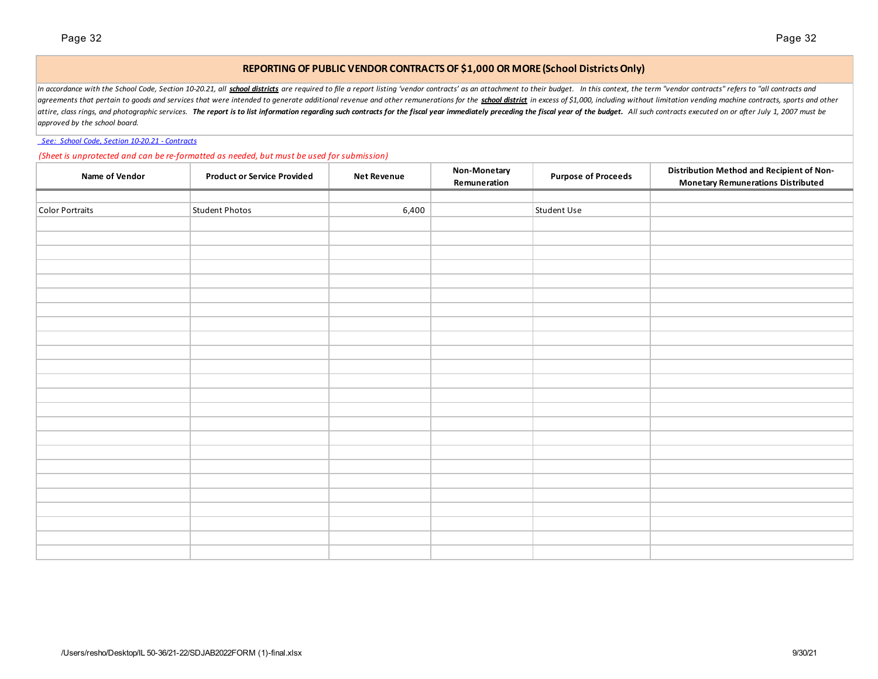## **REPORTING OF PUBLIC VENDOR CONTRACTS OF \$1,000 OR MORE (School Districts Only)**

In accordance with the School Code, Section 10-20.21, all school districts are required to file a report listing 'vendor contracts' as an attachment to their budget. In this context, the term "vendor contracts" refers to " agreements that pertain to goods and services that were intended to generate additional revenue and other remunerations for the school district in excess of \$1,000, including without limitation vending machine contracts, s attire, class rings, and photographic services. The report is to list information regarding such contracts for the fiscal year immediately preceding the fiscal year of the budget. All such contracts executed on or after Ju *approved by the school board.*

## *See: School Code, Section 10-20.21 - Contracts*

### *(Sheet is unprotected and can be re-formatted as needed, but must be used for submission)*

| Name of Vendor  | <b>Product or Service Provided</b> | <b>Net Revenue</b> | Non-Monetary<br>Remuneration | <b>Purpose of Proceeds</b> | Distribution Method and Recipient of Non-<br><b>Monetary Remunerations Distributed</b> |
|-----------------|------------------------------------|--------------------|------------------------------|----------------------------|----------------------------------------------------------------------------------------|
|                 |                                    |                    |                              |                            |                                                                                        |
| Color Portraits | <b>Student Photos</b>              | 6,400              |                              | Student Use                |                                                                                        |
|                 |                                    |                    |                              |                            |                                                                                        |
|                 |                                    |                    |                              |                            |                                                                                        |
|                 |                                    |                    |                              |                            |                                                                                        |
|                 |                                    |                    |                              |                            |                                                                                        |
|                 |                                    |                    |                              |                            |                                                                                        |
|                 |                                    |                    |                              |                            |                                                                                        |
|                 |                                    |                    |                              |                            |                                                                                        |
|                 |                                    |                    |                              |                            |                                                                                        |
|                 |                                    |                    |                              |                            |                                                                                        |
|                 |                                    |                    |                              |                            |                                                                                        |
|                 |                                    |                    |                              |                            |                                                                                        |
|                 |                                    |                    |                              |                            |                                                                                        |
|                 |                                    |                    |                              |                            |                                                                                        |
|                 |                                    |                    |                              |                            |                                                                                        |
|                 |                                    |                    |                              |                            |                                                                                        |
|                 |                                    |                    |                              |                            |                                                                                        |
|                 |                                    |                    |                              |                            |                                                                                        |
|                 |                                    |                    |                              |                            |                                                                                        |
|                 |                                    |                    |                              |                            |                                                                                        |
|                 |                                    |                    |                              |                            |                                                                                        |
|                 |                                    |                    |                              |                            |                                                                                        |
|                 |                                    |                    |                              |                            |                                                                                        |
|                 |                                    |                    |                              |                            |                                                                                        |
|                 |                                    |                    |                              |                            |                                                                                        |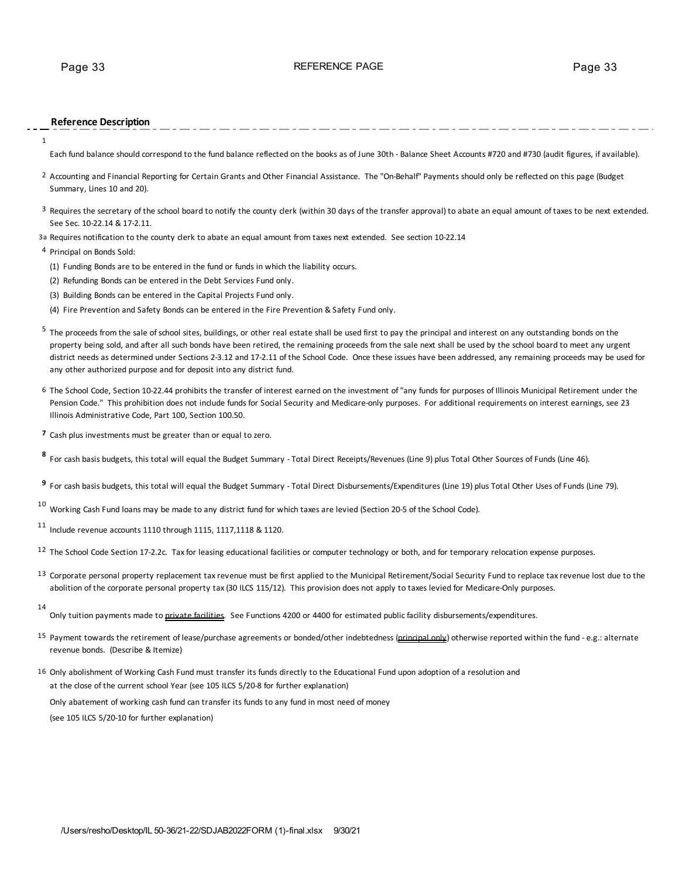## **Reference Description**

1

Each fund balance should correspond to the fund balance reflected on the books as of June 30th - Balance Sheet Accounts #720 and #730 (audit figures, if available).

- <sup>2</sup> Accounting and Financial Reporting for Certain Grants and Other Financial Assistance. The "On-Behalf" Payments should only be reflected on this page (Budget Summary, Lines 10 and 20).
- <sup>3</sup> Requires the secretary of the school board to notify the county clerk (within 30 days of the transfer approval) to abate an equal amount of taxes to be next extended. See Sec. 10-22.14 & 17-2.11.
- 3a Requires notification to the county clerk to abate an equal amount from taxes next extended. See section 10-22.14
- 4 Principal on Bonds Sold:
	- (1) Funding Bonds are to be entered in the fund or funds in which the liability occurs.
	- (2) Refunding Bonds can be entered in the Debt Services Fund only.
	- (3) Building Bonds can be entered in the Capital Projects Fund only.
	- (4) Fire Prevention and Safety Bonds can be entered in the Fire Prevention & Safety Fund only.
- <sup>5</sup> The proceeds from the sale of school sites, buildings, or other real estate shall be used first to pay the principal and interest on any outstanding bonds on the property being sold, and after all such bonds have been retired, the remaining proceeds from the sale next shall be used by the school board to meet any urgent district needs as determined under Sections 2-3.12 and 17-2.11 of the School Code. Once these issues have been addressed, any remaining proceeds may be used for any other authorized purpose and for deposit into any district fund.
- 6 The School Code, Section 10-22.44 prohibits the transfer of interest earned on the investment of "any funds for purposes of Illinois Municipal Retirement under the Pension Code." This prohibition does not include funds for Social Security and Medicare-only purposes. For additional requirements on interest earnings, see 23 Illinois Administrative Code, Part 100, Section 100.50.
- **7** Cash plus investments must be greater than or equal to zero.

**<sup>8</sup>** For cash basis budgets, this total will equal the Budget Summary - Total Direct Receipts/Revenues (Line 9) plus Total Other Sources of Funds (Line 46).

**<sup>9</sup>** For cash basis budgets, this total will equal the Budget Summary - Total Direct Disbursements/Expenditures (Line 19) plus Total Other Uses of Funds (Line 79).

- $10$  Working Cash Fund loans may be made to any district fund for which taxes are levied (Section 20-5 of the School Code).
- $11$  Include revenue accounts 1110 through 1115, 1117,1118 & 1120.
- <sup>12</sup> The School Code Section 17-2.2c. Tax for leasing educational facilities or computer technology or both, and for temporary relocation expense purposes.
- 13 Corporate personal property replacement tax revenue must be first applied to the Municipal Retirement/Social Security Fund to replace tax revenue lost due to the abolition of the corporate personal property tax (30 ILCS 115/12). This provision does not apply to taxes levied for Medicare-Only purposes.
- 14

Only tuition payments made to *private facilities*. See Functions 4200 or 4400 for estimated public facility disbursements/expenditures.

- 15 Payment towards the retirement of lease/purchase agreements or bonded/other indebtedness (principal only) otherwise reported within the fund e.g.: alternate revenue bonds. (Describe & Itemize)
- 16 Only abolishment of Working Cash Fund must transfer its funds directly to the Educational Fund upon adoption of a resolution and at the close of the current school Year (see 105 ILCS 5/20-8 for further explanation)

Only abatement of working cash fund can transfer its funds to any fund in most need of money (see 105 ILCS 5/20-10 for further explanation)